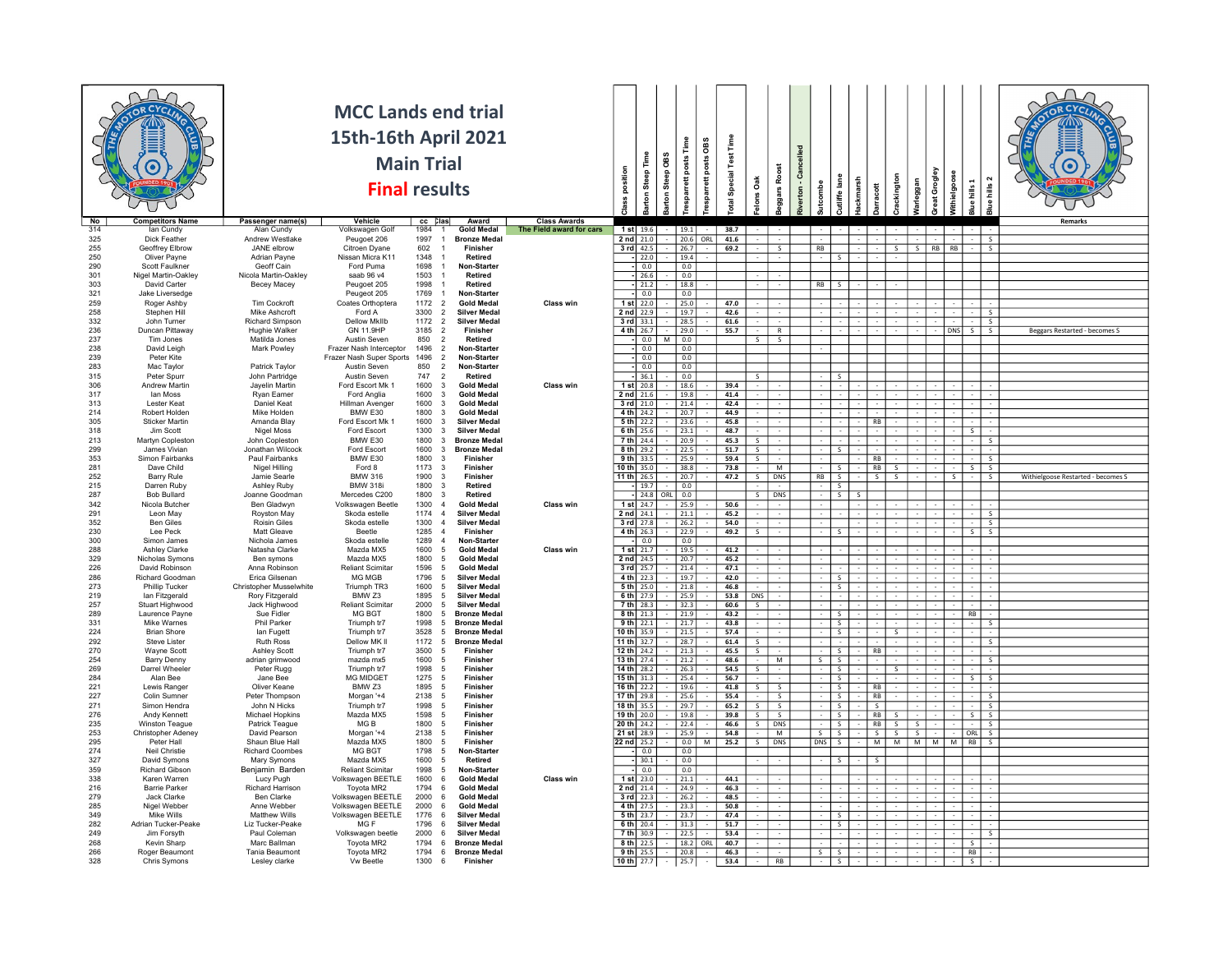| No         | <b>Competitors Name</b>                 | Passenger name(s)                          | <b>MCC Lands end trial</b><br>15th-16th April 2021<br><b>Main Trial</b><br><b>Final results</b><br>Vehicle | cc Clas                                           | Award                                      | <b>Class Awards</b>      | position                       | Steep Time<br>arton | arton Steep OBS  | Time<br>esparrett posts | OBS<br>esparrett posts | otal Special Test Time | Oak<br>$\frac{1}{2}$     | <b>agars Roost</b>             | lled<br>Cance<br>erton- |                                         | lane<br>ackmarsh<br>utliffe I  | 븅                                         | ackington               | naggan                  | eat Grogley<br>ithielgoose | $hills$ 1<br>ீ           | hills<br><b>Slue</b>           |                                    |
|------------|-----------------------------------------|--------------------------------------------|------------------------------------------------------------------------------------------------------------|---------------------------------------------------|--------------------------------------------|--------------------------|--------------------------------|---------------------|------------------|-------------------------|------------------------|------------------------|--------------------------|--------------------------------|-------------------------|-----------------------------------------|--------------------------------|-------------------------------------------|-------------------------|-------------------------|----------------------------|--------------------------|--------------------------------|------------------------------------|
| 314        | lan Cundy                               | Alan Cundy                                 | Volkswagen Golt                                                                                            | 1984                                              | <b>Gold Medal</b>                          | The Field award for cars | $1$ st $19.6$                  |                     |                  | 19.1                    |                        | 38.7                   |                          |                                |                         |                                         |                                |                                           |                         |                         |                            |                          |                                | Remarks                            |
| 325        | Dick Feather                            | Andrew Westlake                            | Peugoet 206                                                                                                | 1997<br>$\overline{1}$                            | <b>Bronze Meda</b>                         |                          | $2$ nd $21.0$                  |                     | 20.6             |                         | ORL                    | 41.6                   |                          |                                |                         |                                         |                                |                                           |                         |                         |                            |                          | $\leq$                         |                                    |
| 255<br>250 | Geoffrey Elbrow<br>Oliver Payne         | JANE elbrow<br><b>Adrian Payne</b>         | Citroen Dyane                                                                                              | 602<br>$\overline{1}$<br>1348                     | Finisher<br>Retired                        |                          | $3$ rd 42.5                    |                     |                  | 26.7                    |                        | 69.2                   |                          | $\overline{\mathsf{s}}$        |                         | RB                                      |                                |                                           | $\overline{\mathsf{s}}$ | $\overline{\mathbf{s}}$ | RB<br>R <sub>B</sub>       |                          | $\overline{\mathsf{s}}$        |                                    |
| 290        | Scott Faulkner                          | Geoff Cain                                 | Nissan Micra K11<br>Ford Puma                                                                              | 1698                                              | -1<br>Non-Starte                           |                          |                                | $- 22.0$<br>$-0.0$  |                  | 19.4<br>0.0             |                        |                        |                          |                                |                         | -S                                      |                                |                                           |                         |                         |                            |                          |                                |                                    |
| 301        | Nigel Martin-Oakley                     | Nicola Martin-Oakley                       | saab 96 v4                                                                                                 | 1503<br>$\overline{1}$                            | Retired                                    |                          |                                | $-26.6$             | $\boxed{0.0}$    |                         |                        |                        |                          |                                |                         |                                         |                                |                                           |                         |                         |                            |                          |                                |                                    |
| 303        | David Carter                            | Becey Macey                                | Peugoet 205                                                                                                | 1998<br>$\overline{1}$                            | <b>Retired</b>                             |                          |                                | $-21.2$             | 18.8             |                         |                        |                        |                          |                                |                         | $RB$ $S$                                |                                |                                           |                         |                         |                            |                          |                                |                                    |
| 321        | Jake Liversedge                         |                                            | Peugeot 205                                                                                                | 1769<br>$\overline{1}$                            | Non-Starter                                |                          |                                | $-10.0$             |                  | 0.0                     |                        |                        |                          |                                |                         |                                         |                                |                                           |                         |                         |                            |                          |                                |                                    |
| 259<br>258 | Roger Ashby<br>Stephen Hill             | Tim Cockroft<br>Mike Ashcroft              | Coates Orthoptera<br>Ford A                                                                                | 1172<br>$\overline{2}$<br>3300<br>$\overline{2}$  | <b>Gold Meda</b><br><b>Silver Medal</b>    | Class win                | $1$ st $22.0$<br>2 nd 22.9     |                     |                  | 25.0<br>19.7            |                        | 47.0<br>42.6           |                          |                                |                         |                                         |                                |                                           |                         |                         |                            |                          | $\leq$                         |                                    |
| 332        | John Turner                             | Richard Simpson                            | <b>Dellow MkIIb</b>                                                                                        | 1172<br>$\overline{2}$                            | <b>Silver Medal</b>                        |                          | $3$ rd $33.1$                  |                     |                  | 28.5                    |                        | 61.6                   |                          |                                |                         |                                         |                                |                                           |                         |                         |                            |                          | s                              |                                    |
| 236        | Duncan Pittaway                         | Hughie Walker                              | GN 11.9HP                                                                                                  | 3185<br>$\overline{2}$                            | Finisher                                   |                          | $4th$ 26.7                     |                     | 129.0            |                         |                        | 55.7                   |                          | $\mathsf{R}$                   |                         |                                         |                                |                                           |                         |                         |                            | DNS  S                   | $\sim$                         | Beggars Restarted - becomes S      |
| 237<br>238 | Tim Jones<br>David Leigh                | Matilda Jones<br>Mark Powley               | Austin Seven<br>Frazer Nash Intercentor                                                                    | 850<br>$\overline{2}$<br>1496<br>$\overline{2}$   | Retired<br>Non-Starter                     |                          |                                | $- 0.0$<br>0.0 -    | мı               | 0.0<br>0.0              |                        |                        | s.                       | S.                             |                         |                                         |                                |                                           |                         |                         |                            |                          |                                |                                    |
| 239        | Peter Kite                              |                                            | Frazer Nash Super Sports 1496                                                                              | $\overline{2}$                                    | Non-Starter                                |                          |                                | $- 0.0$             |                  | 0.0                     |                        |                        |                          |                                |                         |                                         |                                |                                           |                         |                         |                            |                          |                                |                                    |
| 283        | Mac Taylor                              | Patrick Taylor                             | <b>Austin Seven</b>                                                                                        | 850<br>$\overline{2}$                             | Non-Starter                                |                          |                                | $-10.0$             |                  | 0.0                     |                        |                        |                          |                                |                         |                                         |                                |                                           |                         |                         |                            |                          |                                |                                    |
| 315<br>306 | Peter Spurr<br>Andrew Martin            | John Partridge<br>Jayelin Martin           | Austin Seven<br>Ford Escort Mk 1                                                                           | 747<br>$\overline{2}$<br>1600<br>$_{3}$           | Retired<br><b>Gold Medal</b>               | Class win                | 1 st 20.8                      | $-36.1$             |                  | 0.0<br>18.6             |                        | 39.4                   |                          |                                |                         |                                         | $\sim$                         |                                           |                         |                         |                            |                          |                                |                                    |
| 317        | lan Moss                                | Ryan Eamer                                 | Ford Anglia                                                                                                | 1600<br>$\overline{\mathbf{3}}$                   | <b>Gold Medal</b>                          |                          | $2$ nd $21.6$                  |                     |                  | 19.8                    |                        | 41.4                   |                          |                                |                         |                                         |                                |                                           |                         |                         |                            |                          |                                |                                    |
| 313        | Lester Keat                             | Daniel Keat                                | Hillman Avenger                                                                                            | 1600<br>$\overline{\mathbf{3}}$                   | <b>Gold Medal</b>                          |                          | $3$ rd $21.0$                  |                     | 21.4             |                         |                        | 42.4                   |                          |                                |                         |                                         |                                |                                           |                         |                         |                            |                          |                                |                                    |
| 214        | Robert Holden                           | Mike Holden                                | BMW E30                                                                                                    | 1800<br>$_{3}$                                    | <b>Gold Medal</b>                          |                          | 4 th 24.2                      |                     |                  | 20.7                    |                        | 44.9                   |                          |                                |                         |                                         |                                |                                           |                         |                         |                            |                          |                                |                                    |
| 305<br>318 | Sticker Martin<br>Jim Scott             | Amanda Blay<br>Nigel Moss                  | Ford Escort Mk 1<br>Ford Escort                                                                            | 1600<br>$\overline{\mathbf{3}}$<br>1300<br>$_{3}$ | <b>Silver Medal</b><br><b>Silver Medal</b> |                          | $5th$ 22.2<br>6 th $25.6$      |                     |                  | 23.6<br>23.1            |                        | 45.8<br>48.7           |                          |                                |                         |                                         |                                | RB                                        |                         |                         |                            | $\overline{\mathsf{s}}$  |                                |                                    |
| 213        | Martyn Copleston                        | John Copleston                             | BMW E30                                                                                                    | 1800<br>$\mathbf{3}$                              | <b>Bronze Medal</b>                        |                          | 7 th 24.4                      |                     |                  | 20.9                    |                        | 45.3                   | S.                       |                                |                         |                                         |                                |                                           |                         |                         |                            |                          | -S                             |                                    |
| 299        | James Vivian                            | Jonathan Wilcock                           | Ford Escort                                                                                                | 1600<br>$_{3}$                                    | <b>Bronze Meda</b>                         |                          | $8th$ 29.2                     |                     | 22.5             |                         |                        | 51.7                   | s.                       |                                |                         | <b>S</b>                                |                                |                                           |                         |                         |                            |                          |                                |                                    |
| 353<br>281 | Simon Fairbanks<br>Dave Child           | Paul Fairbanks<br>Nigel Hilling            | <b>BMW E30</b><br>Ford 8                                                                                   | 1800<br>$\mathbf{3}$<br>1173<br>$_{3}$            | Finisher<br>Finisher                       |                          | $9th$ 33.5                     |                     | 25.9<br>38.8     |                         |                        | 59.4<br>73.8           | $\overline{\mathsf{s}}$  | M                              |                         |                                         | $\overline{\mathsf{S}}$        | R <sub>R</sub><br>RB I                    | $\overline{\mathbf{S}}$ |                         |                            |                          | ड<br>$\overline{\mathbf{s}}$   |                                    |
| 252        | <b>Barry Rule</b>                       | Jamie Searle                               | <b>BMW 316</b>                                                                                             | 1900<br>$\overline{\mathbf{3}}$                   | <b>Finisher</b>                            |                          | 10 th 35.0<br>11 th $26.5$     |                     | 20.7             |                         |                        | 47.2                   | S                        | DNS                            |                         | <b>RB</b><br>S                          |                                | -S I                                      | - 5                     |                         | -S.                        | S                        | -S                             | Withielgoose Restarted - becomes S |
| 215        | Darren Ruby                             | <b>Ashley Ruby</b>                         | <b>BMW 318i</b>                                                                                            | 1800<br>- 3                                       | Retired                                    |                          |                                | $-119.7$            | $\overline{0.0}$ |                         |                        |                        |                          |                                |                         | -S                                      |                                |                                           |                         |                         |                            |                          |                                |                                    |
| 287        | <b>Bob Bullard</b>                      | Joanne Goodman                             | Mercedes C200                                                                                              | 1800<br>$\overline{\mathbf{3}}$                   | <b>Retired</b>                             |                          |                                | $-24.8$             | ORL 0.0          |                         |                        |                        | S                        | <b>DNS</b>                     |                         |                                         | $\overline{\mathsf{s}}$<br>- S |                                           |                         |                         |                            |                          |                                |                                    |
| 342<br>291 | Nicola Butcher<br>Leon May              | Ben Gladwyn<br>Royston May                 | Volkswagen Beetle<br>Skoda estelle                                                                         | 1300<br>$\overline{a}$<br>1174<br>$\overline{4}$  | Gold Meda<br><b>Silver Medal</b>           | Class win                | $1$ st $24.7$<br>$2$ nd $24.1$ |                     | 25.9             | 21.1                    |                        | 50.6<br>45.2           |                          |                                |                         |                                         |                                |                                           |                         |                         |                            |                          |                                |                                    |
| 352        | <b>Ben Giles</b>                        | Roisin Giles                               | Skoda estelle                                                                                              | 1300<br>$\overline{4}$                            | <b>Silver Medal</b>                        |                          | $3$ rd $27.8$                  |                     | 26.2             |                         |                        | 54.0                   |                          |                                |                         |                                         |                                |                                           |                         |                         |                            |                          | $\overline{\mathbf{s}}$        |                                    |
| 230        | Lee Peck                                | Matt Gleave                                | Beetle                                                                                                     | 1285<br>$\overline{4}$                            | Finisher                                   |                          | $4th$ 26.3                     |                     | 22.9             |                         |                        | 49.2                   | s                        |                                |                         |                                         | S.                             |                                           |                         |                         |                            | S                        | s                              |                                    |
| 300<br>288 | Simon James<br><b>Ashley Clarke</b>     | Nichola James<br>Natasha Clarke            | Skoda estelle<br>Mazda MX5                                                                                 | 1289<br>$\mathbf{A}$<br>1600<br>5                 | Non-Starter<br><b>Gold Medal</b>           | Class win                | $1$ st $21.7$                  | $- 0.0$             |                  | 0.0                     |                        | 41.2                   |                          |                                |                         |                                         |                                |                                           |                         |                         |                            |                          |                                |                                    |
| 329        | Nicholas Symons                         | Ben symons                                 | Mazda MX5                                                                                                  | 1800<br>- 5                                       | <b>Gold Medal</b>                          |                          | $2nd$ 24.5                     |                     |                  | 19.5<br>20.7            |                        | 45.2                   |                          |                                |                         |                                         |                                |                                           |                         |                         |                            |                          |                                |                                    |
| 226        | David Robinson                          | Anna Robinson                              | <b>Reliant Scimitar</b>                                                                                    | 1596<br>- 5                                       | <b>Gold Medal</b>                          |                          | 3 rd 25.7                      |                     |                  | 21.4                    |                        | 47.1                   |                          |                                |                         |                                         |                                |                                           |                         |                         |                            |                          |                                |                                    |
| 286        | Richard Goodman                         | Frica Gilsenan                             | <b>MG MGB</b>                                                                                              | 1796<br>- 5                                       | <b>Silver Medal</b>                        |                          | 4 th $22.3$                    |                     |                  | 19.7                    |                        | 42.0                   |                          |                                |                         | -S.                                     |                                |                                           |                         |                         |                            |                          |                                |                                    |
| 273<br>219 | <b>Phillip Tucker</b><br>lan Fitzgerald | Christopher Musselwhite<br>Rory Fitzgerald | Triumph TR3<br><b>BMW 73</b>                                                                               | 1600<br>5<br>1895<br>- 5                          | <b>Silver Medal</b><br><b>Silver Medal</b> |                          | $5th$ 25.0<br>$6th$ 27.9       |                     |                  | 21.8<br>25.9            |                        | 46.8<br>53.8           | DNS                      |                                |                         | $\mathsf{s}$<br>$\sim$                  |                                |                                           |                         |                         |                            |                          |                                |                                    |
| 257        | Stuart Highwood                         | Jack Highwood                              | <b>Reliant Scimitar</b>                                                                                    | 2000<br>- 5                                       | <b>Silver Medal</b>                        |                          | $7 th$ 28.3                    |                     |                  | 32.3                    |                        | 60.6                   | $\overline{\mathsf{s}}$  |                                |                         |                                         |                                |                                           |                         |                         |                            |                          |                                |                                    |
| 289        | Laurence Payne                          | Sue Fidler                                 | MG BGT                                                                                                     | 1800<br>- 5                                       | <b>Bronze Medal</b>                        |                          | $8th$ 21.3                     |                     | 21.9             |                         |                        | 43.2                   |                          |                                |                         |                                         | -S.                            |                                           |                         |                         |                            | <b>RB</b>                |                                |                                    |
| 331<br>224 | Mike Warnes<br><b>Brian Shore</b>       | <b>Phil Parker</b><br>lan Fugett           | Triumph tr7<br>Triumph tr7                                                                                 | 1998<br>$5\phantom{.0}$<br>3528<br>- 5            | <b>Bronze Medal</b><br><b>Bronze Medal</b> |                          | $9 th$ 22.1<br>10 th 35.9      |                     | 21.7<br>21.5     |                         |                        | 43.8<br>57.4           |                          |                                |                         | S.                                      | $\overline{\mathsf{s}}$        |                                           | $\overline{\mathsf{s}}$ |                         |                            |                          |                                |                                    |
| 292        | Steve Lister                            | <b>Ruth Ross</b>                           | Dellow MK II                                                                                               | 1172<br>- 5                                       | <b>Bronze Medal</b>                        |                          | 11 th 32.7                     |                     | 28.7             |                         |                        | 61.4                   | S.                       |                                |                         |                                         |                                |                                           |                         |                         |                            |                          | -S                             |                                    |
| 270        | <b>Wayne Scott</b>                      | <b>Ashley Scott</b>                        | Triumph tr7                                                                                                | 3500<br>5                                         | Finisher                                   |                          | 12 th $24.2$                   |                     | 21.3             |                         |                        | 45.5                   | $\overline{\mathsf{s}}$  |                                |                         |                                         | -S                             | RB                                        |                         |                         |                            |                          |                                |                                    |
| 254<br>269 | Barry Denny<br>Darrel Wheeler           | adrian grimwood<br>Peter Rugg              | mazda mx5<br>Triumph tr7                                                                                   | 1600<br>- 5<br>1998<br>5                          | Finisher<br>Finisher                       |                          | 13 th 27.4<br>14 th 28.2       |                     | 21.2             | 26.3                    |                        | 48.6<br>54.5           | $\overline{\mathsf{S}}$  | M                              |                         | $\overline{\mathsf{s}}$<br>$\mathsf{s}$ | $\overline{\mathsf{s}}$        |                                           | S                       |                         |                            |                          | -S                             |                                    |
| 284        | Alan Bee                                | Jane Bee                                   | <b>MG MIDGET</b>                                                                                           | 1275<br>- 5                                       | Finisher                                   |                          | 15 th 31.3                     |                     |                  | 25.4                    |                        | 56.7                   |                          |                                |                         |                                         | S                              |                                           |                         |                         |                            | S                        | -S                             |                                    |
| 221        | Lewis Ranger                            | Oliver Keane                               | BMW Z3                                                                                                     | 1895<br>5                                         | Finisher                                   |                          | 16 th 22.2                     |                     |                  | 19.6                    |                        | 41.8                   | $\overline{\mathsf{s}}$  |                                |                         |                                         | S.                             | RE                                        |                         |                         |                            |                          |                                |                                    |
| 227        | Colin Sumner                            | Peter Thompson                             | Morgan '+4                                                                                                 | 2138<br>- 5                                       | Finisher<br><b>Finisher</b>                |                          | $17 th$ 29.8<br>18 th 35.5     |                     | 25.6             |                         |                        | 55.4                   | $\overline{\phantom{0}}$ | $\overline{\mathbf{s}}$        |                         | $\overline{\mathsf{s}}$                 |                                | R <sub>R</sub><br>$\overline{\mathbf{s}}$ |                         |                         |                            |                          | $\overline{\phantom{a}}$       |                                    |
| 271<br>276 | Simon Hendra<br>Andy Kennett            | John N Hicks<br>Michael Hopkins            | Triumph tr7<br>Mazda MX5                                                                                   | 1998<br>5<br>1598<br>- 5                          | <b>Finisher</b>                            |                          | $19 th$ 20.0                   |                     | 19.8             | 29.7                    |                        | 65.2<br>39.8           | S.                       | $\overline{\mathsf{s}}$<br>- S |                         | $\overline{\mathsf{s}}$                 | s.                             | RB I                                      | - 5                     |                         |                            | $\mathsf{S}$             | $\overline{\mathsf{s}}$<br>-S. |                                    |
| 235        | Winston Teague                          | Patrick Teague                             | MG <sub>B</sub>                                                                                            | 1800<br>5                                         | Finisher                                   |                          | 20 th 24.2                     |                     |                  | 22.4                    |                        | 46.6                   | $\overline{\mathsf{S}}$  | <b>DNS</b>                     |                         | S.                                      |                                | RB                                        | -S                      |                         |                            |                          | s                              |                                    |
| 253        | Christopher Adeney                      | David Pearson                              | Morgan '+4                                                                                                 | 2138<br>- 5                                       | Finisher                                   |                          | 21 st 28.9                     |                     |                  | 25.9                    |                        | 54.8                   |                          | M                              |                         | $s \mid s$                              |                                | ls I                                      | $s + s$                 |                         |                            | l ORI I                  | $\sim$                         |                                    |
| 295<br>274 | Peter Hall<br>Neil Christie             | Shaun Blue Hall<br>Richard Coombes         | Mazda MX5<br><b>MG BGT</b>                                                                                 | 1800<br>5<br>1798<br>- 5                          | Finisher<br>Non-Starter                    |                          | 22 nd 25.2                     | $- 0.0$             |                  | 0.0<br>0.0              | $\overline{M}$         | 25.2                   | $\overline{\mathsf{S}}$  | <b>DNS</b>                     |                         | $DNS$ $S$                               |                                | M                                         |                         | M M M M RB              |                            |                          |                                |                                    |
| 327        | David Symons                            | Mary Symons                                | Mazda MX5                                                                                                  | 1600<br>- 5                                       | Retired                                    |                          |                                | $-30.1$             |                  | 0.0                     |                        |                        |                          |                                |                         | -S                                      |                                |                                           |                         |                         |                            |                          |                                |                                    |
| 359        | <b>Richard Gibson</b>                   | Benjamin Barden                            | <b>Reliant Scimitar</b>                                                                                    | 1998<br>-5                                        | Non-Starter                                |                          |                                | $-0.0$              |                  | 0.0                     |                        |                        |                          |                                |                         |                                         |                                |                                           |                         |                         |                            |                          |                                |                                    |
| 338<br>216 | Karen Warren<br><b>Barrie Parker</b>    | Lucy Pugh<br>Richard Harrison              | Volkswagen BEETLE                                                                                          | 1600<br>6<br>1794                                 | <b>Gold Medal</b><br><b>Gold Medal</b>     | Class wir                | 1 st 23.0<br>2 nd 21.4         |                     |                  | 21.1                    |                        | 44.1<br>46.3           |                          |                                |                         |                                         |                                |                                           |                         |                         |                            |                          |                                |                                    |
| 279        | Jack Clarke                             | Ben Clarke                                 | Toyota MR2<br>Volkswagen BEETLE                                                                            | - 6<br>2000<br>6                                  | <b>Gold Medal</b>                          |                          | $3$ rd $22.3$                  |                     | 24.9             | 26.2                    |                        | 48.5                   |                          |                                |                         |                                         |                                |                                           |                         |                         |                            |                          |                                |                                    |
| 285        | Nigel Webber                            | Anne Webber                                | Volkswagen BEETLE                                                                                          | 2000<br>- 6                                       | <b>Gold Medal</b>                          |                          | 4 th 27.5                      |                     |                  | 23.3                    |                        | 50.8                   |                          |                                |                         |                                         |                                |                                           |                         |                         |                            |                          |                                |                                    |
| 349        | Mike Wills                              | <b>Matthew Wills</b>                       | Volkswagen BEETLE                                                                                          | 1776<br>6                                         | <b>Silver Medal</b>                        |                          | 5 th 23.7                      |                     | 23.7             |                         |                        | 47.4                   |                          |                                |                         | $\mathsf{s}$                            |                                |                                           |                         |                         |                            |                          |                                |                                    |
| 282<br>249 | Adrian Tucker-Peake<br>Jim Forsyth      | <b>Liz Tucker-Peake</b><br>Paul Coleman    | MG F<br>Volkswagen beetle                                                                                  | 1796<br>- 6<br>2000<br>6                          | <b>Silver Medal</b><br><b>Silver Medal</b> |                          | $6th$ 20.4<br>$7 th$ 30.9      |                     |                  | 31.3<br>22.5            |                        | 51.7<br>53.4           |                          |                                |                         |                                         | -S                             |                                           |                         |                         |                            |                          | s                              |                                    |
| 268        | Kevin Sharp                             | Marc Ballman                               | Toyota MR2                                                                                                 | 1794 6                                            | <b>Bronze Medal</b>                        |                          | 8 th 22.5                      |                     |                  | 18.2                    | ORL                    | 40.7                   |                          |                                |                         |                                         |                                |                                           |                         |                         |                            | $\overline{\phantom{a}}$ |                                |                                    |
| 266        | Roger Beaumont                          | Tania Beaumont                             | Toyota MR2                                                                                                 | 1794 6                                            | <b>Bronze Medal</b>                        |                          | $9th$ 25.5                     |                     |                  | 20.8                    |                        | 46.3                   |                          |                                |                         | S                                       |                                |                                           |                         |                         |                            | RB                       |                                |                                    |
| 328        | Chris Symons                            | Leslev clarke                              | Vw Beetle                                                                                                  | 1300 6                                            | Finisher                                   |                          | 10 th $27.7$                   |                     | $\boxed{25.7}$   |                         |                        | 53.4                   |                          | RB                             |                         | S                                       |                                |                                           |                         |                         |                            | $\overline{\mathsf{s}}$  |                                |                                    |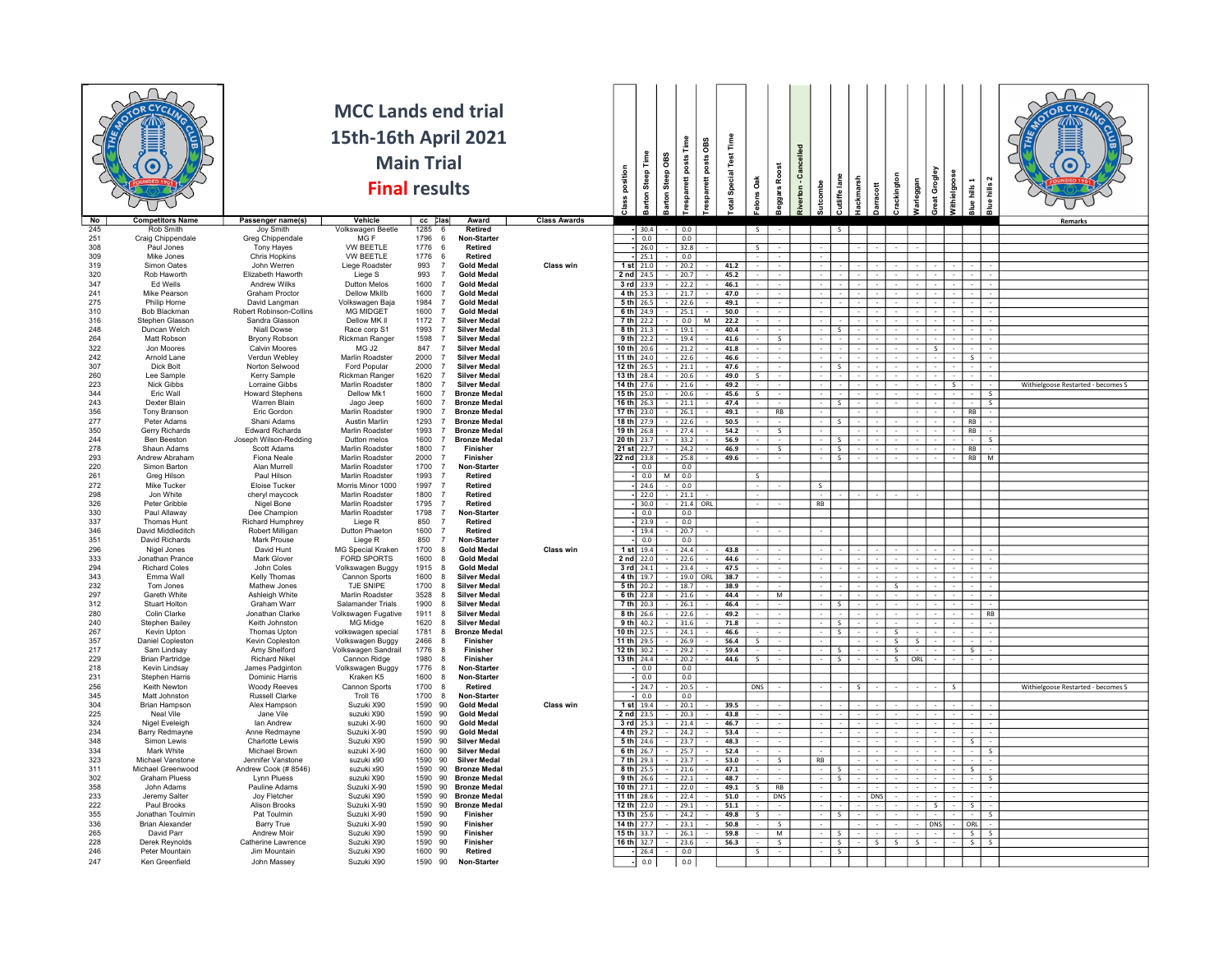| <b>Rob Smith</b><br>Joy Smith<br>Volkswagen Beetle<br>1285<br>Retired<br>0.0<br>30.4<br>S.<br>1796<br>Craig Chippendale<br>Greg Chippendale<br>MG F<br>Non-Starter<br>6<br>$\overline{0.0}$<br>0.0<br>308<br>Paul Jones<br>Tony Hayes<br>VW BEETLE<br>1776<br>6<br>Retired<br>26.0<br>32.8<br>$\overline{\mathbf{s}}$<br>Mike Jones<br><b>Chris Hopkins</b><br><b>VW BEETLE</b><br>1776<br>Retired<br>- 6<br>$-125.1$<br>$\vert 0.0 \vert$<br>993<br>Simon Oates<br>John Werren<br>Liege Roadster<br>$\overline{7}$<br><b>Gold Meda</b><br>Class win<br>$1$ st $21.0$<br>20.2<br>41.2<br>Rob Haworth<br>Flizabeth Haworth<br>993<br><b>Gold Medal</b><br>$2nd$ 24.5<br> 20.7 <br>45.2<br>Liege S<br>$\overline{7}$<br>3 rd 23.9<br>46.1<br>347<br>Ed Wells<br>Andrew Wilks<br><b>Dutton Melos</b><br>1600<br>$\overline{7}$<br><b>Gold Medal</b><br>22.2<br>Mike Pearson<br>Graham Proctor<br>1600<br>241<br><b>Dellow Mkilb</b><br><b>Gold Medal</b><br>$4th$ 25.3<br>21.7<br>47.0<br>$\overline{7}$<br>Philip Horne<br>1984<br><b>Gold Medal</b><br>$5th$ 26.5<br>David Langman<br>Volkswagen Baja<br>$\overline{7}$<br>22.6<br>49.1<br><b>MG MIDGET</b><br>$6th$ 24.9<br>$25.1$<br><b>Bob Blackman</b><br>Robert Robinson-Collins<br>1600<br><b>Gold Medal</b><br>50.0<br>$\overline{7}$<br>Stephen Glasson<br>Sandra Glasson<br>Dellow MK II<br>1172<br><b>Silver Medal</b><br>$7th$ 22.2<br>0.0<br>22.2<br>$\overline{7}$<br>248<br>1993<br><b>Silver Medal</b><br>$8th$ 21.3<br>40.4<br>Duncan Welch<br>Niall Dowse<br>$\sqrt{19.1}$<br>Race corp S1<br>$\overline{7}$<br>s.<br>264<br>Matt Robson<br><b>Bryony Robson</b><br>1598<br><b>Silver Medal</b><br>$9th$ 22.2<br>41.6<br>Rickman Ranger<br>$\overline{7}$<br>19.4<br>S.<br>MG J2<br>847<br>$\overline{7}$<br>10 th 20.6<br>21.2<br>Jon Moores<br>Calvin Moores<br><b>Silver Medal</b><br>41.8<br>$\overline{\mathcal{S}}$<br>Arnold Lane<br>Verdun Webley<br>Marlin Roadster<br>2000<br><b>Silver Medal</b><br>11 th $24.0$<br>22.6<br>46.6<br>$\overline{7}$<br>S<br>$12 th$ 26.5<br>307<br>Dick Bolt<br>Norton Selwood<br>2000<br><b>Silver Medal</b><br>$\boxed{21.1}$<br>47.6<br>Ford Popular<br>$\overline{7}$<br>s.<br>260<br>Lee Sample<br>Kerry Sample<br>Rickman Ranger<br>1620<br><b>Silver Medal</b><br>13 th 28.4<br>20.6<br>49.0<br>$\overline{7}$<br>Nick Gibbs<br>Marlin Roadster<br><b>Silver Medal</b><br>14 th 27.6<br>21.6<br>Withielgoose Restarted - becomes S<br>Lorraine Gibbs<br>1800<br>$\overline{7}$<br>49.2<br>-S.<br>Eric Wall<br><b>Howard Stephens</b><br>Dellow Mk1<br>1600<br><b>Bronze Medal</b><br>$15 th$ 25.0<br>20.6<br>45.6<br>$\overline{7}$<br>$\mathsf{S}$<br>- s<br>Dexter Blain<br>Warren Blain<br>Jago Jeep<br>1600<br><b>Bronze Medal</b><br>16 th $26.3$<br>21.1<br>47.4<br>- S<br>s.<br>356<br>Tony Branson<br>Eric Gordon<br><b>Marlin Roadster</b><br>1900<br>$\overline{7}$<br><b>Bronze Medal</b><br>17 th 23.0<br>26.1<br>49.1<br>RB<br>RB<br>277<br>Peter Adams<br>Shani Adams<br>Austin Marlin<br>1293<br><b>Bronze Medal</b><br>18 th 27.9<br>22.6<br>50.5<br>RB<br>$\overline{7}$<br>$\overline{\mathbf{s}}$<br>Gerry Richards<br>$19 th$ 26.8<br>54.2<br><b>Edward Richards</b><br>Marlin Roadster<br>1993<br><b>Bronze Medal</b><br>27.4<br>$\overline{\mathsf{s}}$<br>RB<br>$\overline{7}$<br>20 th 23.7<br>Ben Beeston<br>Joseph Wilson-Redding<br>Dutton melos<br>1600<br><b>Bronze Medal</b><br>33.2<br>56.9<br>s.<br>- 5<br>$21$ st $22.7$<br>Shaun Adams<br>Scott Adams<br>Marlin Roadster<br>1800<br>Finisher<br>24.2<br>46.9<br>S<br>s.<br><b>RB</b><br>$\overline{7}$<br>Andrew Abraham<br>293<br>Fiona Neale<br>Marlin Roadster<br>2000<br>Finisher<br>22 nd 23.8<br>25.8<br>49.6<br>$\overline{\mathsf{S}}$<br>RB M<br>220<br><b>Marlin Roadster</b><br>1700<br>Simon Barton<br>Alan Murrell<br>Non-Starter<br>$\vert 0.0 \vert$<br>0.0<br>$\overline{7}$<br>Greg Hilson<br>Paul Hilson<br>Marlin Roadster<br>1993<br>Retired<br>$\overline{7}$<br>0.0<br>0.0<br>M<br>Mike Tucker<br>Eloise Tucker<br>Morris Minor 1000<br>1997<br>24.6<br>0.0<br>$\overline{7}$<br>Retired<br>$\mathsf{S}$<br>Jon White<br>Marlin Roadster<br>298<br>cheryl maycock<br>1800<br>Retired<br>22.0<br>21.1<br>1795<br>326<br>Peter Gribble<br><b>Marlin Roadster</b><br>RB<br>Nigel Bone<br>$\overline{7}$<br>Retired<br>30.0<br>21.4 ORL<br>1798<br>330<br>Paul Allaway<br>Dee Champion<br>Marlin Roadster<br>$\overline{7}$<br>Non-Starter<br>0.0<br>0.0<br>Thomas Hunt<br><b>Richard Humphrey</b><br>Liege R<br>850<br>Retired<br>$-123.9$<br>0.0<br>$\overline{7}$<br>David Middleditch<br>Robert Milligan<br>1600<br>Dutton Phaeton<br>Retired<br>19.4<br>20.7<br>850<br>351<br>David Richards<br>Mark Prouse<br>Liege R<br>$\overline{7}$<br>Non-Starter<br>$\overline{0.0}$<br>0.0<br>296<br>Nigel Jones<br>David Hunt<br>MG Special Kraken<br>1700<br><b>Gold Medal</b><br>Class win<br>1 st 19.4<br>43.8<br>8<br>24.4<br>FORD SPORTS<br>Jonathan Prance<br>Mark Glover<br>1600<br><b>Gold Medal</b><br>2 nd 22.0<br>22.6<br>44.6<br>-8<br><b>Richard Coles</b><br>John Coles<br>Volkswagen Buggy<br>1915<br><b>Gold Medal</b><br>$3$ rd $24.1$<br>47.5<br>8<br>23.4<br>343<br>Kelly Thomas<br>Cannon Sports<br>1600<br>4 th 19.7<br>38.7<br><b>Emma Wall</b><br><b>Silver Medal</b><br>$19.0$ ORI<br>-8<br>232<br>Tom Jones<br>Mathew Jones<br>TJE SNIPE<br>1700<br>8<br><b>Silver Medal</b><br>$5th$ 20.2<br>18.7<br>38.9<br>Gareth White<br>Ashleigh White<br>Marlin Roadster<br>$6th$ 22.8<br>3528<br><b>Silver Medal</b><br>21.6<br>M<br>-8<br>44.4<br><b>Stuart Holton</b><br>Graham Warr<br>Salamander Trials<br>1900<br>8<br><b>Silver Medal</b><br>7 th 20.3<br>26.1<br>46.4<br>s<br>Colin Clarke<br>Jonathan Clarke<br>Volkswagen Fugative<br>1911<br><b>Silver Medal</b><br>8 th 26.6<br>49.2<br>8<br>22.6<br><b>RB</b><br>240<br>Stephen Bailey<br>Keith Johnston<br>MG Midge<br>1620<br>8<br><b>Silver Medal</b><br>9 th 40.2<br>31.6<br>71.8<br>s.<br>267<br>Kevin Upton<br>Thomas Upton<br>volkswagen special<br>1781<br><b>Bronze Medal</b><br>$10th$ 22.5<br>24.1<br>46.6<br>$\overline{\mathsf{S}}$<br>8<br>$\overline{\mathsf{s}}$<br>357<br>Daniel Coplestor<br>Kevin Copleston<br>Volkswagen Buggy<br>2466<br>8<br>Finisher<br>11 th 29.5<br>26.9<br>56.4<br>$\mathsf{S}$<br>S.<br>S.<br>Sam Lindsay<br>Amy Shelford<br>Volkswagen Sandrail<br>1776<br>Finisher<br>$12 th$ 30.2<br>29.2<br>59.4<br>8<br>S.<br>s.<br>$\sim$<br>S I<br>13 th $24.4$<br><b>Brian Partridge</b><br><b>Richard Nikel</b><br>Cannon Ridge<br>1980<br>-8<br>Finisher<br>20.2<br>44.6<br>$\overline{\mathsf{s}}$<br><b>ORL</b><br>-S.<br>S.<br>218<br>Kevin Lindsay<br>James Padginton<br>Volkswagen Buggy<br>1776<br>Non-Starter<br>$-0.0$<br>0.0<br>8<br>Stephen Harris<br><b>Dominic Harris</b><br>Kraken K5<br>1600<br>8<br>Non-Starter<br>$\overline{0.0}$<br>0.0<br>Keith Newton<br>1700<br>Withielgoose Restarted - becomes S<br><b>Woody Reeves</b><br>Cannon Sports<br>8<br>Retired<br>24.7<br>20.5<br><b>DNS</b><br>Matt Johnston<br>Troll T6<br>1700<br>Non-Starter<br>$\boxed{0.0}$<br>0.0<br>Russell Clarke<br>8<br>39.5<br>304<br><b>Brian Hampson</b><br>Alex Hampson<br>Suzuki X90<br>1590 90<br><b>Gold Medal</b><br>Class win<br>$1$ st $19.4$<br>20.1<br>225<br>1590<br>$2$ nd $23.5$<br>Neal Vile<br>suzuki X90<br>90<br><b>Gold Medal</b><br>20.3<br>43.8<br>Jane Vile<br><b>Nigel Eveleigh</b><br>suzuki X-90<br>1600 90<br>3 rd 25.3<br>46.7<br>lan Andrew<br><b>Gold Medal</b><br>21.4<br>Barry Redmayne<br>Anne Redmayne<br>Suzuki X-90<br>1590 90<br>Gold Medal<br>4 th $29.2$<br>24.2<br>53.4<br>Simon Lewis<br>$5th$ 24.6<br>Charlotte Lewis<br>Suzuki X90<br>1590 90<br><b>Silver Medal</b><br>23.7<br>48.3<br>$\overline{\phantom{a}}$<br>334<br>Mark White<br>Michael Brown<br>$6th$ 26.7<br>suzuki X-90<br>1600 90<br><b>Silver Medal</b><br>25.7<br>52.4<br>- 5<br>323<br>Michael Vanstone<br>Jennifer Vanstone<br>1590 90<br>$7 th$ 29.3<br>53.0<br>suzuki x90<br><b>Silver Medal</b><br>23.7<br><b>RB</b><br>S.<br>$8th$ 25.5<br>21.6<br>Michael Greenwood<br>Andrew Cook (# 8546)<br>1590 90<br>47.1<br>$\overline{\mathsf{S}}$<br>suzuki x90<br><b>Bronze Medal</b><br>$\leq$<br>$\sim$<br><b>Graham Pluess</b><br>Lynn Pluess<br>suzuki X90<br>1590<br>90<br><b>Bronze Medal</b><br>9 th 26.6<br>22.1<br>48.7<br>$\overline{\mathsf{S}}$<br>358<br>$10 th$ 27.1<br>49.1<br>John Adams<br>Pauline Adams<br>1590 90<br>22.0<br>R<br>Suzuki X-90<br><b>Bronze Medal</b><br>233<br>Jeremy Salter<br>Joy Fletcher<br>Suzuki X90<br>1590<br>90<br>11 th $28.6$<br>51.0<br><b>Bronze Medal</b><br>22.4<br>DNS<br>DNS<br>222<br>Alison Brooks<br>$12 th$ 22.0<br>$29.1$<br>Paul Brooks<br>Suzuki X-90<br>1590 90<br><b>Bronze Medal</b><br>51.1<br>$\overline{\mathbf{s}}$<br>डा<br>$\sim$<br>Jonathan Toulmin<br>Pat Toulmin<br>Suzuki X-90<br>1590 90<br>Finisher<br>$13 th$ 25.6<br>24.2<br>49.8<br>$\mathsf{s}$<br>14 th $27.7$<br>50.8<br><b>Brian Alexander</b><br><b>Barry True</b><br>Suzuki X-90<br>1590 90<br>23.1<br>Finisher<br><b>DNS</b><br>ORL I<br>S.<br>265<br>David Parr<br><b>Andrew Moir</b><br>Suzuki X90<br>1590 90<br>Finisher<br>15 th 33.7<br>26.1<br>59.8<br>M<br>S<br>s<br>S.<br>228<br>Derek Reynolds<br>Catherine Lawrence<br>1590 90<br>16 th 32.7<br>23.6<br>56.3<br>$\overline{\mathsf{s}}$<br>$\overline{\mathsf{s}}$<br>$S$ $S$ $S$<br>$s$ s<br>Suzuki X90<br>Finisher<br>$\sim$<br>Peter Mountain<br>Jim Mountain<br>Suzuki X90<br>1600 90<br>Retired<br>26.4<br>0.0<br>$\overline{\mathsf{S}}$<br>$\mathsf{S}$<br>Ken Greenfield<br>Suzuki X90<br>1590 90<br>$- 0.0$<br>0.0<br>John Massev<br>Non-Starter | No  | <b>Competitors Name</b> | Passenger name(s) | <b>MCC Lands end trial</b><br>15th-16th April 2021<br><b>Final results</b><br>Vehicle | <b>Main Trial</b><br>cc Clas | Award | <b>Class Awards</b> | position<br>ass | Time<br>Steep <sup>-</sup><br>arton | arton Steep OBS | Time<br>OBS<br>esparrett posts<br>esparrett posts | otal Special Test Time | $\tilde{\mathbf{g}}$<br>lons | Roost<br>sqars | lled<br>ౘ<br>verton- | tcombe | utliffe lane<br>ackmarsh | $\frac{4}{5}$ | ackington | naggar | Great Grogley<br>Vithielgoose | lue hills 2<br>hills <sub>1</sub><br>å | Remarks |
|-----------------------------------------------------------------------------------------------------------------------------------------------------------------------------------------------------------------------------------------------------------------------------------------------------------------------------------------------------------------------------------------------------------------------------------------------------------------------------------------------------------------------------------------------------------------------------------------------------------------------------------------------------------------------------------------------------------------------------------------------------------------------------------------------------------------------------------------------------------------------------------------------------------------------------------------------------------------------------------------------------------------------------------------------------------------------------------------------------------------------------------------------------------------------------------------------------------------------------------------------------------------------------------------------------------------------------------------------------------------------------------------------------------------------------------------------------------------------------------------------------------------------------------------------------------------------------------------------------------------------------------------------------------------------------------------------------------------------------------------------------------------------------------------------------------------------------------------------------------------------------------------------------------------------------------------------------------------------------------------------------------------------------------------------------------------------------------------------------------------------------------------------------------------------------------------------------------------------------------------------------------------------------------------------------------------------------------------------------------------------------------------------------------------------------------------------------------------------------------------------------------------------------------------------------------------------------------------------------------------------------------------------------------------------------------------------------------------------------------------------------------------------------------------------------------------------------------------------------------------------------------------------------------------------------------------------------------------------------------------------------------------------------------------------------------------------------------------------------------------------------------------------------------------------------------------------------------------------------------------------------------------------------------------------------------------------------------------------------------------------------------------------------------------------------------------------------------------------------------------------------------------------------------------------------------------------------------------------------------------------------------------------------------------------------------------------------------------------------------------------------------------------------------------------------------------------------------------------------------------------------------------------------------------------------------------------------------------------------------------------------------------------------------------------------------------------------------------------------------------------------------------------------------------------------------------------------------------------------------------------------------------------------------------------------------------------------------------------------------------------------------------------------------------------------------------------------------------------------------------------------------------------------------------------------------------------------------------------------------------------------------------------------------------------------------------------------------------------------------------------------------------------------------------------------------------------------------------------------------------------------------------------------------------------------------------------------------------------------------------------------------------------------------------------------------------------------------------------------------------------------------------------------------------------------------------------------------------------------------------------------------------------------------------------------------------------------------------------------------------------------------------------------------------------------------------------------------------------------------------------------------------------------------------------------------------------------------------------------------------------------------------------------------------------------------------------------------------------------------------------------------------------------------------------------------------------------------------------------------------------------------------------------------------------------------------------------------------------------------------------------------------------------------------------------------------------------------------------------------------------------------------------------------------------------------------------------------------------------------------------------------------------------------------------------------------------------------------------------------------------------------------------------------------------------------------------------------------------------------------------------------------------------------------------------------------------------------------------------------------------------------------------------------------------------------------------------------------------------------------------------------------------------------------------------------------------------------------------------------------------------------------------------------------------------------------------------------------------------------------------------------------------------------------------------------------------------------------------------------------------------------------------------------------------------------------------------------------------------------------------------------------------------------------------------------------------------------------------------------------------------------------------------------------------------------------------------------------------------------------------------------------------------------------------------------------------------------------------------------------------------------------------------------------------------------------------------------------------------------------------------------------------------------------------------------------------------------------------------------------------------------------------------------------------------------------------------------------------------------------------------------------------------------------------------------------------------------------------------------------------------------------------------------------------------------------------------------------------------------------------------------------------------------------------------------------------------------------------------------------------------------------------------------------------------------------------------------------------------------------------------------------------------------------------------------------------------------------------------------------------------------------------------------------------------------------------------------------------------------------------------------------------------------------------------------------------------------------------------------------------------------------------------------------------------------------------------------------------------------------------------------------------------------------------------------------------------------------------------------------------------------------------------------------------------------------------------------------------------------------------------------------------------------------------------------------------------------------------------------------------------------------------------------------------------------------------------------------------------------------------------------------------------------------------------------------------------------------------------------------------------------------------------------------------------------------------------|-----|-------------------------|-------------------|---------------------------------------------------------------------------------------|------------------------------|-------|---------------------|-----------------|-------------------------------------|-----------------|---------------------------------------------------|------------------------|------------------------------|----------------|----------------------|--------|--------------------------|---------------|-----------|--------|-------------------------------|----------------------------------------|---------|
|                                                                                                                                                                                                                                                                                                                                                                                                                                                                                                                                                                                                                                                                                                                                                                                                                                                                                                                                                                                                                                                                                                                                                                                                                                                                                                                                                                                                                                                                                                                                                                                                                                                                                                                                                                                                                                                                                                                                                                                                                                                                                                                                                                                                                                                                                                                                                                                                                                                                                                                                                                                                                                                                                                                                                                                                                                                                                                                                                                                                                                                                                                                                                                                                                                                                                                                                                                                                                                                                                                                                                                                                                                                                                                                                                                                                                                                                                                                                                                                                                                                                                                                                                                                                                                                                                                                                                                                                                                                                                                                                                                                                                                                                                                                                                                                                                                                                                                                                                                                                                                                                                                                                                                                                                                                                                                                                                                                                                                                                                                                                                                                                                                                                                                                                                                                                                                                                                                                                                                                                                                                                                                                                                                                                                                                                                                                                                                                                                                                                                                                                                                                                                                                                                                                                                                                                                                                                                                                                                                                                                                                                                                                                                                                                                                                                                                                                                                                                                                                                                                                                                                                                                                                                                                                                                                                                                                                                                                                                                                                                                                                                                                                                                                                                                                                                                                                                                                                                                                                                                                                                                                                                                                                                                                                                                                                                                                                                                                                                                                                                                                                                                                                                                                                                                                                                                                                                                                                                                                                                                                                                                                                                                                                                                                     | 245 |                         |                   |                                                                                       |                              |       |                     |                 |                                     |                 |                                                   |                        |                              |                |                      |        |                          |               |           |        |                               |                                        |         |
|                                                                                                                                                                                                                                                                                                                                                                                                                                                                                                                                                                                                                                                                                                                                                                                                                                                                                                                                                                                                                                                                                                                                                                                                                                                                                                                                                                                                                                                                                                                                                                                                                                                                                                                                                                                                                                                                                                                                                                                                                                                                                                                                                                                                                                                                                                                                                                                                                                                                                                                                                                                                                                                                                                                                                                                                                                                                                                                                                                                                                                                                                                                                                                                                                                                                                                                                                                                                                                                                                                                                                                                                                                                                                                                                                                                                                                                                                                                                                                                                                                                                                                                                                                                                                                                                                                                                                                                                                                                                                                                                                                                                                                                                                                                                                                                                                                                                                                                                                                                                                                                                                                                                                                                                                                                                                                                                                                                                                                                                                                                                                                                                                                                                                                                                                                                                                                                                                                                                                                                                                                                                                                                                                                                                                                                                                                                                                                                                                                                                                                                                                                                                                                                                                                                                                                                                                                                                                                                                                                                                                                                                                                                                                                                                                                                                                                                                                                                                                                                                                                                                                                                                                                                                                                                                                                                                                                                                                                                                                                                                                                                                                                                                                                                                                                                                                                                                                                                                                                                                                                                                                                                                                                                                                                                                                                                                                                                                                                                                                                                                                                                                                                                                                                                                                                                                                                                                                                                                                                                                                                                                                                                                                                                                                                     | 251 |                         |                   |                                                                                       |                              |       |                     |                 |                                     |                 |                                                   |                        |                              |                |                      |        |                          |               |           |        |                               |                                        |         |
|                                                                                                                                                                                                                                                                                                                                                                                                                                                                                                                                                                                                                                                                                                                                                                                                                                                                                                                                                                                                                                                                                                                                                                                                                                                                                                                                                                                                                                                                                                                                                                                                                                                                                                                                                                                                                                                                                                                                                                                                                                                                                                                                                                                                                                                                                                                                                                                                                                                                                                                                                                                                                                                                                                                                                                                                                                                                                                                                                                                                                                                                                                                                                                                                                                                                                                                                                                                                                                                                                                                                                                                                                                                                                                                                                                                                                                                                                                                                                                                                                                                                                                                                                                                                                                                                                                                                                                                                                                                                                                                                                                                                                                                                                                                                                                                                                                                                                                                                                                                                                                                                                                                                                                                                                                                                                                                                                                                                                                                                                                                                                                                                                                                                                                                                                                                                                                                                                                                                                                                                                                                                                                                                                                                                                                                                                                                                                                                                                                                                                                                                                                                                                                                                                                                                                                                                                                                                                                                                                                                                                                                                                                                                                                                                                                                                                                                                                                                                                                                                                                                                                                                                                                                                                                                                                                                                                                                                                                                                                                                                                                                                                                                                                                                                                                                                                                                                                                                                                                                                                                                                                                                                                                                                                                                                                                                                                                                                                                                                                                                                                                                                                                                                                                                                                                                                                                                                                                                                                                                                                                                                                                                                                                                                                                     | 309 |                         |                   |                                                                                       |                              |       |                     |                 |                                     |                 |                                                   |                        |                              |                |                      |        |                          |               |           |        |                               |                                        |         |
|                                                                                                                                                                                                                                                                                                                                                                                                                                                                                                                                                                                                                                                                                                                                                                                                                                                                                                                                                                                                                                                                                                                                                                                                                                                                                                                                                                                                                                                                                                                                                                                                                                                                                                                                                                                                                                                                                                                                                                                                                                                                                                                                                                                                                                                                                                                                                                                                                                                                                                                                                                                                                                                                                                                                                                                                                                                                                                                                                                                                                                                                                                                                                                                                                                                                                                                                                                                                                                                                                                                                                                                                                                                                                                                                                                                                                                                                                                                                                                                                                                                                                                                                                                                                                                                                                                                                                                                                                                                                                                                                                                                                                                                                                                                                                                                                                                                                                                                                                                                                                                                                                                                                                                                                                                                                                                                                                                                                                                                                                                                                                                                                                                                                                                                                                                                                                                                                                                                                                                                                                                                                                                                                                                                                                                                                                                                                                                                                                                                                                                                                                                                                                                                                                                                                                                                                                                                                                                                                                                                                                                                                                                                                                                                                                                                                                                                                                                                                                                                                                                                                                                                                                                                                                                                                                                                                                                                                                                                                                                                                                                                                                                                                                                                                                                                                                                                                                                                                                                                                                                                                                                                                                                                                                                                                                                                                                                                                                                                                                                                                                                                                                                                                                                                                                                                                                                                                                                                                                                                                                                                                                                                                                                                                                                     | 319 |                         |                   |                                                                                       |                              |       |                     |                 |                                     |                 |                                                   |                        |                              |                |                      |        |                          |               |           |        |                               |                                        |         |
|                                                                                                                                                                                                                                                                                                                                                                                                                                                                                                                                                                                                                                                                                                                                                                                                                                                                                                                                                                                                                                                                                                                                                                                                                                                                                                                                                                                                                                                                                                                                                                                                                                                                                                                                                                                                                                                                                                                                                                                                                                                                                                                                                                                                                                                                                                                                                                                                                                                                                                                                                                                                                                                                                                                                                                                                                                                                                                                                                                                                                                                                                                                                                                                                                                                                                                                                                                                                                                                                                                                                                                                                                                                                                                                                                                                                                                                                                                                                                                                                                                                                                                                                                                                                                                                                                                                                                                                                                                                                                                                                                                                                                                                                                                                                                                                                                                                                                                                                                                                                                                                                                                                                                                                                                                                                                                                                                                                                                                                                                                                                                                                                                                                                                                                                                                                                                                                                                                                                                                                                                                                                                                                                                                                                                                                                                                                                                                                                                                                                                                                                                                                                                                                                                                                                                                                                                                                                                                                                                                                                                                                                                                                                                                                                                                                                                                                                                                                                                                                                                                                                                                                                                                                                                                                                                                                                                                                                                                                                                                                                                                                                                                                                                                                                                                                                                                                                                                                                                                                                                                                                                                                                                                                                                                                                                                                                                                                                                                                                                                                                                                                                                                                                                                                                                                                                                                                                                                                                                                                                                                                                                                                                                                                                                                     | 320 |                         |                   |                                                                                       |                              |       |                     |                 |                                     |                 |                                                   |                        |                              |                |                      |        |                          |               |           |        |                               |                                        |         |
|                                                                                                                                                                                                                                                                                                                                                                                                                                                                                                                                                                                                                                                                                                                                                                                                                                                                                                                                                                                                                                                                                                                                                                                                                                                                                                                                                                                                                                                                                                                                                                                                                                                                                                                                                                                                                                                                                                                                                                                                                                                                                                                                                                                                                                                                                                                                                                                                                                                                                                                                                                                                                                                                                                                                                                                                                                                                                                                                                                                                                                                                                                                                                                                                                                                                                                                                                                                                                                                                                                                                                                                                                                                                                                                                                                                                                                                                                                                                                                                                                                                                                                                                                                                                                                                                                                                                                                                                                                                                                                                                                                                                                                                                                                                                                                                                                                                                                                                                                                                                                                                                                                                                                                                                                                                                                                                                                                                                                                                                                                                                                                                                                                                                                                                                                                                                                                                                                                                                                                                                                                                                                                                                                                                                                                                                                                                                                                                                                                                                                                                                                                                                                                                                                                                                                                                                                                                                                                                                                                                                                                                                                                                                                                                                                                                                                                                                                                                                                                                                                                                                                                                                                                                                                                                                                                                                                                                                                                                                                                                                                                                                                                                                                                                                                                                                                                                                                                                                                                                                                                                                                                                                                                                                                                                                                                                                                                                                                                                                                                                                                                                                                                                                                                                                                                                                                                                                                                                                                                                                                                                                                                                                                                                                                                     |     |                         |                   |                                                                                       |                              |       |                     |                 |                                     |                 |                                                   |                        |                              |                |                      |        |                          |               |           |        |                               |                                        |         |
|                                                                                                                                                                                                                                                                                                                                                                                                                                                                                                                                                                                                                                                                                                                                                                                                                                                                                                                                                                                                                                                                                                                                                                                                                                                                                                                                                                                                                                                                                                                                                                                                                                                                                                                                                                                                                                                                                                                                                                                                                                                                                                                                                                                                                                                                                                                                                                                                                                                                                                                                                                                                                                                                                                                                                                                                                                                                                                                                                                                                                                                                                                                                                                                                                                                                                                                                                                                                                                                                                                                                                                                                                                                                                                                                                                                                                                                                                                                                                                                                                                                                                                                                                                                                                                                                                                                                                                                                                                                                                                                                                                                                                                                                                                                                                                                                                                                                                                                                                                                                                                                                                                                                                                                                                                                                                                                                                                                                                                                                                                                                                                                                                                                                                                                                                                                                                                                                                                                                                                                                                                                                                                                                                                                                                                                                                                                                                                                                                                                                                                                                                                                                                                                                                                                                                                                                                                                                                                                                                                                                                                                                                                                                                                                                                                                                                                                                                                                                                                                                                                                                                                                                                                                                                                                                                                                                                                                                                                                                                                                                                                                                                                                                                                                                                                                                                                                                                                                                                                                                                                                                                                                                                                                                                                                                                                                                                                                                                                                                                                                                                                                                                                                                                                                                                                                                                                                                                                                                                                                                                                                                                                                                                                                                                                     | 275 |                         |                   |                                                                                       |                              |       |                     |                 |                                     |                 |                                                   |                        |                              |                |                      |        |                          |               |           |        |                               |                                        |         |
|                                                                                                                                                                                                                                                                                                                                                                                                                                                                                                                                                                                                                                                                                                                                                                                                                                                                                                                                                                                                                                                                                                                                                                                                                                                                                                                                                                                                                                                                                                                                                                                                                                                                                                                                                                                                                                                                                                                                                                                                                                                                                                                                                                                                                                                                                                                                                                                                                                                                                                                                                                                                                                                                                                                                                                                                                                                                                                                                                                                                                                                                                                                                                                                                                                                                                                                                                                                                                                                                                                                                                                                                                                                                                                                                                                                                                                                                                                                                                                                                                                                                                                                                                                                                                                                                                                                                                                                                                                                                                                                                                                                                                                                                                                                                                                                                                                                                                                                                                                                                                                                                                                                                                                                                                                                                                                                                                                                                                                                                                                                                                                                                                                                                                                                                                                                                                                                                                                                                                                                                                                                                                                                                                                                                                                                                                                                                                                                                                                                                                                                                                                                                                                                                                                                                                                                                                                                                                                                                                                                                                                                                                                                                                                                                                                                                                                                                                                                                                                                                                                                                                                                                                                                                                                                                                                                                                                                                                                                                                                                                                                                                                                                                                                                                                                                                                                                                                                                                                                                                                                                                                                                                                                                                                                                                                                                                                                                                                                                                                                                                                                                                                                                                                                                                                                                                                                                                                                                                                                                                                                                                                                                                                                                                                                     | 310 |                         |                   |                                                                                       |                              |       |                     |                 |                                     |                 |                                                   |                        |                              |                |                      |        |                          |               |           |        |                               |                                        |         |
|                                                                                                                                                                                                                                                                                                                                                                                                                                                                                                                                                                                                                                                                                                                                                                                                                                                                                                                                                                                                                                                                                                                                                                                                                                                                                                                                                                                                                                                                                                                                                                                                                                                                                                                                                                                                                                                                                                                                                                                                                                                                                                                                                                                                                                                                                                                                                                                                                                                                                                                                                                                                                                                                                                                                                                                                                                                                                                                                                                                                                                                                                                                                                                                                                                                                                                                                                                                                                                                                                                                                                                                                                                                                                                                                                                                                                                                                                                                                                                                                                                                                                                                                                                                                                                                                                                                                                                                                                                                                                                                                                                                                                                                                                                                                                                                                                                                                                                                                                                                                                                                                                                                                                                                                                                                                                                                                                                                                                                                                                                                                                                                                                                                                                                                                                                                                                                                                                                                                                                                                                                                                                                                                                                                                                                                                                                                                                                                                                                                                                                                                                                                                                                                                                                                                                                                                                                                                                                                                                                                                                                                                                                                                                                                                                                                                                                                                                                                                                                                                                                                                                                                                                                                                                                                                                                                                                                                                                                                                                                                                                                                                                                                                                                                                                                                                                                                                                                                                                                                                                                                                                                                                                                                                                                                                                                                                                                                                                                                                                                                                                                                                                                                                                                                                                                                                                                                                                                                                                                                                                                                                                                                                                                                                                                     | 316 |                         |                   |                                                                                       |                              |       |                     |                 |                                     |                 |                                                   |                        |                              |                |                      |        |                          |               |           |        |                               |                                        |         |
|                                                                                                                                                                                                                                                                                                                                                                                                                                                                                                                                                                                                                                                                                                                                                                                                                                                                                                                                                                                                                                                                                                                                                                                                                                                                                                                                                                                                                                                                                                                                                                                                                                                                                                                                                                                                                                                                                                                                                                                                                                                                                                                                                                                                                                                                                                                                                                                                                                                                                                                                                                                                                                                                                                                                                                                                                                                                                                                                                                                                                                                                                                                                                                                                                                                                                                                                                                                                                                                                                                                                                                                                                                                                                                                                                                                                                                                                                                                                                                                                                                                                                                                                                                                                                                                                                                                                                                                                                                                                                                                                                                                                                                                                                                                                                                                                                                                                                                                                                                                                                                                                                                                                                                                                                                                                                                                                                                                                                                                                                                                                                                                                                                                                                                                                                                                                                                                                                                                                                                                                                                                                                                                                                                                                                                                                                                                                                                                                                                                                                                                                                                                                                                                                                                                                                                                                                                                                                                                                                                                                                                                                                                                                                                                                                                                                                                                                                                                                                                                                                                                                                                                                                                                                                                                                                                                                                                                                                                                                                                                                                                                                                                                                                                                                                                                                                                                                                                                                                                                                                                                                                                                                                                                                                                                                                                                                                                                                                                                                                                                                                                                                                                                                                                                                                                                                                                                                                                                                                                                                                                                                                                                                                                                                                                     |     |                         |                   |                                                                                       |                              |       |                     |                 |                                     |                 |                                                   |                        |                              |                |                      |        |                          |               |           |        |                               |                                        |         |
|                                                                                                                                                                                                                                                                                                                                                                                                                                                                                                                                                                                                                                                                                                                                                                                                                                                                                                                                                                                                                                                                                                                                                                                                                                                                                                                                                                                                                                                                                                                                                                                                                                                                                                                                                                                                                                                                                                                                                                                                                                                                                                                                                                                                                                                                                                                                                                                                                                                                                                                                                                                                                                                                                                                                                                                                                                                                                                                                                                                                                                                                                                                                                                                                                                                                                                                                                                                                                                                                                                                                                                                                                                                                                                                                                                                                                                                                                                                                                                                                                                                                                                                                                                                                                                                                                                                                                                                                                                                                                                                                                                                                                                                                                                                                                                                                                                                                                                                                                                                                                                                                                                                                                                                                                                                                                                                                                                                                                                                                                                                                                                                                                                                                                                                                                                                                                                                                                                                                                                                                                                                                                                                                                                                                                                                                                                                                                                                                                                                                                                                                                                                                                                                                                                                                                                                                                                                                                                                                                                                                                                                                                                                                                                                                                                                                                                                                                                                                                                                                                                                                                                                                                                                                                                                                                                                                                                                                                                                                                                                                                                                                                                                                                                                                                                                                                                                                                                                                                                                                                                                                                                                                                                                                                                                                                                                                                                                                                                                                                                                                                                                                                                                                                                                                                                                                                                                                                                                                                                                                                                                                                                                                                                                                                                     | 322 |                         |                   |                                                                                       |                              |       |                     |                 |                                     |                 |                                                   |                        |                              |                |                      |        |                          |               |           |        |                               |                                        |         |
|                                                                                                                                                                                                                                                                                                                                                                                                                                                                                                                                                                                                                                                                                                                                                                                                                                                                                                                                                                                                                                                                                                                                                                                                                                                                                                                                                                                                                                                                                                                                                                                                                                                                                                                                                                                                                                                                                                                                                                                                                                                                                                                                                                                                                                                                                                                                                                                                                                                                                                                                                                                                                                                                                                                                                                                                                                                                                                                                                                                                                                                                                                                                                                                                                                                                                                                                                                                                                                                                                                                                                                                                                                                                                                                                                                                                                                                                                                                                                                                                                                                                                                                                                                                                                                                                                                                                                                                                                                                                                                                                                                                                                                                                                                                                                                                                                                                                                                                                                                                                                                                                                                                                                                                                                                                                                                                                                                                                                                                                                                                                                                                                                                                                                                                                                                                                                                                                                                                                                                                                                                                                                                                                                                                                                                                                                                                                                                                                                                                                                                                                                                                                                                                                                                                                                                                                                                                                                                                                                                                                                                                                                                                                                                                                                                                                                                                                                                                                                                                                                                                                                                                                                                                                                                                                                                                                                                                                                                                                                                                                                                                                                                                                                                                                                                                                                                                                                                                                                                                                                                                                                                                                                                                                                                                                                                                                                                                                                                                                                                                                                                                                                                                                                                                                                                                                                                                                                                                                                                                                                                                                                                                                                                                                                                     | 242 |                         |                   |                                                                                       |                              |       |                     |                 |                                     |                 |                                                   |                        |                              |                |                      |        |                          |               |           |        |                               |                                        |         |
|                                                                                                                                                                                                                                                                                                                                                                                                                                                                                                                                                                                                                                                                                                                                                                                                                                                                                                                                                                                                                                                                                                                                                                                                                                                                                                                                                                                                                                                                                                                                                                                                                                                                                                                                                                                                                                                                                                                                                                                                                                                                                                                                                                                                                                                                                                                                                                                                                                                                                                                                                                                                                                                                                                                                                                                                                                                                                                                                                                                                                                                                                                                                                                                                                                                                                                                                                                                                                                                                                                                                                                                                                                                                                                                                                                                                                                                                                                                                                                                                                                                                                                                                                                                                                                                                                                                                                                                                                                                                                                                                                                                                                                                                                                                                                                                                                                                                                                                                                                                                                                                                                                                                                                                                                                                                                                                                                                                                                                                                                                                                                                                                                                                                                                                                                                                                                                                                                                                                                                                                                                                                                                                                                                                                                                                                                                                                                                                                                                                                                                                                                                                                                                                                                                                                                                                                                                                                                                                                                                                                                                                                                                                                                                                                                                                                                                                                                                                                                                                                                                                                                                                                                                                                                                                                                                                                                                                                                                                                                                                                                                                                                                                                                                                                                                                                                                                                                                                                                                                                                                                                                                                                                                                                                                                                                                                                                                                                                                                                                                                                                                                                                                                                                                                                                                                                                                                                                                                                                                                                                                                                                                                                                                                                                                     |     |                         |                   |                                                                                       |                              |       |                     |                 |                                     |                 |                                                   |                        |                              |                |                      |        |                          |               |           |        |                               |                                        |         |
|                                                                                                                                                                                                                                                                                                                                                                                                                                                                                                                                                                                                                                                                                                                                                                                                                                                                                                                                                                                                                                                                                                                                                                                                                                                                                                                                                                                                                                                                                                                                                                                                                                                                                                                                                                                                                                                                                                                                                                                                                                                                                                                                                                                                                                                                                                                                                                                                                                                                                                                                                                                                                                                                                                                                                                                                                                                                                                                                                                                                                                                                                                                                                                                                                                                                                                                                                                                                                                                                                                                                                                                                                                                                                                                                                                                                                                                                                                                                                                                                                                                                                                                                                                                                                                                                                                                                                                                                                                                                                                                                                                                                                                                                                                                                                                                                                                                                                                                                                                                                                                                                                                                                                                                                                                                                                                                                                                                                                                                                                                                                                                                                                                                                                                                                                                                                                                                                                                                                                                                                                                                                                                                                                                                                                                                                                                                                                                                                                                                                                                                                                                                                                                                                                                                                                                                                                                                                                                                                                                                                                                                                                                                                                                                                                                                                                                                                                                                                                                                                                                                                                                                                                                                                                                                                                                                                                                                                                                                                                                                                                                                                                                                                                                                                                                                                                                                                                                                                                                                                                                                                                                                                                                                                                                                                                                                                                                                                                                                                                                                                                                                                                                                                                                                                                                                                                                                                                                                                                                                                                                                                                                                                                                                                                                     | 223 |                         |                   |                                                                                       |                              |       |                     |                 |                                     |                 |                                                   |                        |                              |                |                      |        |                          |               |           |        |                               |                                        |         |
|                                                                                                                                                                                                                                                                                                                                                                                                                                                                                                                                                                                                                                                                                                                                                                                                                                                                                                                                                                                                                                                                                                                                                                                                                                                                                                                                                                                                                                                                                                                                                                                                                                                                                                                                                                                                                                                                                                                                                                                                                                                                                                                                                                                                                                                                                                                                                                                                                                                                                                                                                                                                                                                                                                                                                                                                                                                                                                                                                                                                                                                                                                                                                                                                                                                                                                                                                                                                                                                                                                                                                                                                                                                                                                                                                                                                                                                                                                                                                                                                                                                                                                                                                                                                                                                                                                                                                                                                                                                                                                                                                                                                                                                                                                                                                                                                                                                                                                                                                                                                                                                                                                                                                                                                                                                                                                                                                                                                                                                                                                                                                                                                                                                                                                                                                                                                                                                                                                                                                                                                                                                                                                                                                                                                                                                                                                                                                                                                                                                                                                                                                                                                                                                                                                                                                                                                                                                                                                                                                                                                                                                                                                                                                                                                                                                                                                                                                                                                                                                                                                                                                                                                                                                                                                                                                                                                                                                                                                                                                                                                                                                                                                                                                                                                                                                                                                                                                                                                                                                                                                                                                                                                                                                                                                                                                                                                                                                                                                                                                                                                                                                                                                                                                                                                                                                                                                                                                                                                                                                                                                                                                                                                                                                                                                     | 344 |                         |                   |                                                                                       |                              |       |                     |                 |                                     |                 |                                                   |                        |                              |                |                      |        |                          |               |           |        |                               |                                        |         |
|                                                                                                                                                                                                                                                                                                                                                                                                                                                                                                                                                                                                                                                                                                                                                                                                                                                                                                                                                                                                                                                                                                                                                                                                                                                                                                                                                                                                                                                                                                                                                                                                                                                                                                                                                                                                                                                                                                                                                                                                                                                                                                                                                                                                                                                                                                                                                                                                                                                                                                                                                                                                                                                                                                                                                                                                                                                                                                                                                                                                                                                                                                                                                                                                                                                                                                                                                                                                                                                                                                                                                                                                                                                                                                                                                                                                                                                                                                                                                                                                                                                                                                                                                                                                                                                                                                                                                                                                                                                                                                                                                                                                                                                                                                                                                                                                                                                                                                                                                                                                                                                                                                                                                                                                                                                                                                                                                                                                                                                                                                                                                                                                                                                                                                                                                                                                                                                                                                                                                                                                                                                                                                                                                                                                                                                                                                                                                                                                                                                                                                                                                                                                                                                                                                                                                                                                                                                                                                                                                                                                                                                                                                                                                                                                                                                                                                                                                                                                                                                                                                                                                                                                                                                                                                                                                                                                                                                                                                                                                                                                                                                                                                                                                                                                                                                                                                                                                                                                                                                                                                                                                                                                                                                                                                                                                                                                                                                                                                                                                                                                                                                                                                                                                                                                                                                                                                                                                                                                                                                                                                                                                                                                                                                                                                     | 243 |                         |                   |                                                                                       |                              |       |                     |                 |                                     |                 |                                                   |                        |                              |                |                      |        |                          |               |           |        |                               |                                        |         |
|                                                                                                                                                                                                                                                                                                                                                                                                                                                                                                                                                                                                                                                                                                                                                                                                                                                                                                                                                                                                                                                                                                                                                                                                                                                                                                                                                                                                                                                                                                                                                                                                                                                                                                                                                                                                                                                                                                                                                                                                                                                                                                                                                                                                                                                                                                                                                                                                                                                                                                                                                                                                                                                                                                                                                                                                                                                                                                                                                                                                                                                                                                                                                                                                                                                                                                                                                                                                                                                                                                                                                                                                                                                                                                                                                                                                                                                                                                                                                                                                                                                                                                                                                                                                                                                                                                                                                                                                                                                                                                                                                                                                                                                                                                                                                                                                                                                                                                                                                                                                                                                                                                                                                                                                                                                                                                                                                                                                                                                                                                                                                                                                                                                                                                                                                                                                                                                                                                                                                                                                                                                                                                                                                                                                                                                                                                                                                                                                                                                                                                                                                                                                                                                                                                                                                                                                                                                                                                                                                                                                                                                                                                                                                                                                                                                                                                                                                                                                                                                                                                                                                                                                                                                                                                                                                                                                                                                                                                                                                                                                                                                                                                                                                                                                                                                                                                                                                                                                                                                                                                                                                                                                                                                                                                                                                                                                                                                                                                                                                                                                                                                                                                                                                                                                                                                                                                                                                                                                                                                                                                                                                                                                                                                                                                     |     |                         |                   |                                                                                       |                              |       |                     |                 |                                     |                 |                                                   |                        |                              |                |                      |        |                          |               |           |        |                               |                                        |         |
|                                                                                                                                                                                                                                                                                                                                                                                                                                                                                                                                                                                                                                                                                                                                                                                                                                                                                                                                                                                                                                                                                                                                                                                                                                                                                                                                                                                                                                                                                                                                                                                                                                                                                                                                                                                                                                                                                                                                                                                                                                                                                                                                                                                                                                                                                                                                                                                                                                                                                                                                                                                                                                                                                                                                                                                                                                                                                                                                                                                                                                                                                                                                                                                                                                                                                                                                                                                                                                                                                                                                                                                                                                                                                                                                                                                                                                                                                                                                                                                                                                                                                                                                                                                                                                                                                                                                                                                                                                                                                                                                                                                                                                                                                                                                                                                                                                                                                                                                                                                                                                                                                                                                                                                                                                                                                                                                                                                                                                                                                                                                                                                                                                                                                                                                                                                                                                                                                                                                                                                                                                                                                                                                                                                                                                                                                                                                                                                                                                                                                                                                                                                                                                                                                                                                                                                                                                                                                                                                                                                                                                                                                                                                                                                                                                                                                                                                                                                                                                                                                                                                                                                                                                                                                                                                                                                                                                                                                                                                                                                                                                                                                                                                                                                                                                                                                                                                                                                                                                                                                                                                                                                                                                                                                                                                                                                                                                                                                                                                                                                                                                                                                                                                                                                                                                                                                                                                                                                                                                                                                                                                                                                                                                                                                                     | 350 |                         |                   |                                                                                       |                              |       |                     |                 |                                     |                 |                                                   |                        |                              |                |                      |        |                          |               |           |        |                               |                                        |         |
|                                                                                                                                                                                                                                                                                                                                                                                                                                                                                                                                                                                                                                                                                                                                                                                                                                                                                                                                                                                                                                                                                                                                                                                                                                                                                                                                                                                                                                                                                                                                                                                                                                                                                                                                                                                                                                                                                                                                                                                                                                                                                                                                                                                                                                                                                                                                                                                                                                                                                                                                                                                                                                                                                                                                                                                                                                                                                                                                                                                                                                                                                                                                                                                                                                                                                                                                                                                                                                                                                                                                                                                                                                                                                                                                                                                                                                                                                                                                                                                                                                                                                                                                                                                                                                                                                                                                                                                                                                                                                                                                                                                                                                                                                                                                                                                                                                                                                                                                                                                                                                                                                                                                                                                                                                                                                                                                                                                                                                                                                                                                                                                                                                                                                                                                                                                                                                                                                                                                                                                                                                                                                                                                                                                                                                                                                                                                                                                                                                                                                                                                                                                                                                                                                                                                                                                                                                                                                                                                                                                                                                                                                                                                                                                                                                                                                                                                                                                                                                                                                                                                                                                                                                                                                                                                                                                                                                                                                                                                                                                                                                                                                                                                                                                                                                                                                                                                                                                                                                                                                                                                                                                                                                                                                                                                                                                                                                                                                                                                                                                                                                                                                                                                                                                                                                                                                                                                                                                                                                                                                                                                                                                                                                                                                                     | 244 |                         |                   |                                                                                       |                              |       |                     |                 |                                     |                 |                                                   |                        |                              |                |                      |        |                          |               |           |        |                               |                                        |         |
|                                                                                                                                                                                                                                                                                                                                                                                                                                                                                                                                                                                                                                                                                                                                                                                                                                                                                                                                                                                                                                                                                                                                                                                                                                                                                                                                                                                                                                                                                                                                                                                                                                                                                                                                                                                                                                                                                                                                                                                                                                                                                                                                                                                                                                                                                                                                                                                                                                                                                                                                                                                                                                                                                                                                                                                                                                                                                                                                                                                                                                                                                                                                                                                                                                                                                                                                                                                                                                                                                                                                                                                                                                                                                                                                                                                                                                                                                                                                                                                                                                                                                                                                                                                                                                                                                                                                                                                                                                                                                                                                                                                                                                                                                                                                                                                                                                                                                                                                                                                                                                                                                                                                                                                                                                                                                                                                                                                                                                                                                                                                                                                                                                                                                                                                                                                                                                                                                                                                                                                                                                                                                                                                                                                                                                                                                                                                                                                                                                                                                                                                                                                                                                                                                                                                                                                                                                                                                                                                                                                                                                                                                                                                                                                                                                                                                                                                                                                                                                                                                                                                                                                                                                                                                                                                                                                                                                                                                                                                                                                                                                                                                                                                                                                                                                                                                                                                                                                                                                                                                                                                                                                                                                                                                                                                                                                                                                                                                                                                                                                                                                                                                                                                                                                                                                                                                                                                                                                                                                                                                                                                                                                                                                                                                                     | 278 |                         |                   |                                                                                       |                              |       |                     |                 |                                     |                 |                                                   |                        |                              |                |                      |        |                          |               |           |        |                               |                                        |         |
|                                                                                                                                                                                                                                                                                                                                                                                                                                                                                                                                                                                                                                                                                                                                                                                                                                                                                                                                                                                                                                                                                                                                                                                                                                                                                                                                                                                                                                                                                                                                                                                                                                                                                                                                                                                                                                                                                                                                                                                                                                                                                                                                                                                                                                                                                                                                                                                                                                                                                                                                                                                                                                                                                                                                                                                                                                                                                                                                                                                                                                                                                                                                                                                                                                                                                                                                                                                                                                                                                                                                                                                                                                                                                                                                                                                                                                                                                                                                                                                                                                                                                                                                                                                                                                                                                                                                                                                                                                                                                                                                                                                                                                                                                                                                                                                                                                                                                                                                                                                                                                                                                                                                                                                                                                                                                                                                                                                                                                                                                                                                                                                                                                                                                                                                                                                                                                                                                                                                                                                                                                                                                                                                                                                                                                                                                                                                                                                                                                                                                                                                                                                                                                                                                                                                                                                                                                                                                                                                                                                                                                                                                                                                                                                                                                                                                                                                                                                                                                                                                                                                                                                                                                                                                                                                                                                                                                                                                                                                                                                                                                                                                                                                                                                                                                                                                                                                                                                                                                                                                                                                                                                                                                                                                                                                                                                                                                                                                                                                                                                                                                                                                                                                                                                                                                                                                                                                                                                                                                                                                                                                                                                                                                                                                                     |     |                         |                   |                                                                                       |                              |       |                     |                 |                                     |                 |                                                   |                        |                              |                |                      |        |                          |               |           |        |                               |                                        |         |
|                                                                                                                                                                                                                                                                                                                                                                                                                                                                                                                                                                                                                                                                                                                                                                                                                                                                                                                                                                                                                                                                                                                                                                                                                                                                                                                                                                                                                                                                                                                                                                                                                                                                                                                                                                                                                                                                                                                                                                                                                                                                                                                                                                                                                                                                                                                                                                                                                                                                                                                                                                                                                                                                                                                                                                                                                                                                                                                                                                                                                                                                                                                                                                                                                                                                                                                                                                                                                                                                                                                                                                                                                                                                                                                                                                                                                                                                                                                                                                                                                                                                                                                                                                                                                                                                                                                                                                                                                                                                                                                                                                                                                                                                                                                                                                                                                                                                                                                                                                                                                                                                                                                                                                                                                                                                                                                                                                                                                                                                                                                                                                                                                                                                                                                                                                                                                                                                                                                                                                                                                                                                                                                                                                                                                                                                                                                                                                                                                                                                                                                                                                                                                                                                                                                                                                                                                                                                                                                                                                                                                                                                                                                                                                                                                                                                                                                                                                                                                                                                                                                                                                                                                                                                                                                                                                                                                                                                                                                                                                                                                                                                                                                                                                                                                                                                                                                                                                                                                                                                                                                                                                                                                                                                                                                                                                                                                                                                                                                                                                                                                                                                                                                                                                                                                                                                                                                                                                                                                                                                                                                                                                                                                                                                                                     | 261 |                         |                   |                                                                                       |                              |       |                     |                 |                                     |                 |                                                   |                        |                              |                |                      |        |                          |               |           |        |                               |                                        |         |
|                                                                                                                                                                                                                                                                                                                                                                                                                                                                                                                                                                                                                                                                                                                                                                                                                                                                                                                                                                                                                                                                                                                                                                                                                                                                                                                                                                                                                                                                                                                                                                                                                                                                                                                                                                                                                                                                                                                                                                                                                                                                                                                                                                                                                                                                                                                                                                                                                                                                                                                                                                                                                                                                                                                                                                                                                                                                                                                                                                                                                                                                                                                                                                                                                                                                                                                                                                                                                                                                                                                                                                                                                                                                                                                                                                                                                                                                                                                                                                                                                                                                                                                                                                                                                                                                                                                                                                                                                                                                                                                                                                                                                                                                                                                                                                                                                                                                                                                                                                                                                                                                                                                                                                                                                                                                                                                                                                                                                                                                                                                                                                                                                                                                                                                                                                                                                                                                                                                                                                                                                                                                                                                                                                                                                                                                                                                                                                                                                                                                                                                                                                                                                                                                                                                                                                                                                                                                                                                                                                                                                                                                                                                                                                                                                                                                                                                                                                                                                                                                                                                                                                                                                                                                                                                                                                                                                                                                                                                                                                                                                                                                                                                                                                                                                                                                                                                                                                                                                                                                                                                                                                                                                                                                                                                                                                                                                                                                                                                                                                                                                                                                                                                                                                                                                                                                                                                                                                                                                                                                                                                                                                                                                                                                                                     | 272 |                         |                   |                                                                                       |                              |       |                     |                 |                                     |                 |                                                   |                        |                              |                |                      |        |                          |               |           |        |                               |                                        |         |
|                                                                                                                                                                                                                                                                                                                                                                                                                                                                                                                                                                                                                                                                                                                                                                                                                                                                                                                                                                                                                                                                                                                                                                                                                                                                                                                                                                                                                                                                                                                                                                                                                                                                                                                                                                                                                                                                                                                                                                                                                                                                                                                                                                                                                                                                                                                                                                                                                                                                                                                                                                                                                                                                                                                                                                                                                                                                                                                                                                                                                                                                                                                                                                                                                                                                                                                                                                                                                                                                                                                                                                                                                                                                                                                                                                                                                                                                                                                                                                                                                                                                                                                                                                                                                                                                                                                                                                                                                                                                                                                                                                                                                                                                                                                                                                                                                                                                                                                                                                                                                                                                                                                                                                                                                                                                                                                                                                                                                                                                                                                                                                                                                                                                                                                                                                                                                                                                                                                                                                                                                                                                                                                                                                                                                                                                                                                                                                                                                                                                                                                                                                                                                                                                                                                                                                                                                                                                                                                                                                                                                                                                                                                                                                                                                                                                                                                                                                                                                                                                                                                                                                                                                                                                                                                                                                                                                                                                                                                                                                                                                                                                                                                                                                                                                                                                                                                                                                                                                                                                                                                                                                                                                                                                                                                                                                                                                                                                                                                                                                                                                                                                                                                                                                                                                                                                                                                                                                                                                                                                                                                                                                                                                                                                                                     |     |                         |                   |                                                                                       |                              |       |                     |                 |                                     |                 |                                                   |                        |                              |                |                      |        |                          |               |           |        |                               |                                        |         |
|                                                                                                                                                                                                                                                                                                                                                                                                                                                                                                                                                                                                                                                                                                                                                                                                                                                                                                                                                                                                                                                                                                                                                                                                                                                                                                                                                                                                                                                                                                                                                                                                                                                                                                                                                                                                                                                                                                                                                                                                                                                                                                                                                                                                                                                                                                                                                                                                                                                                                                                                                                                                                                                                                                                                                                                                                                                                                                                                                                                                                                                                                                                                                                                                                                                                                                                                                                                                                                                                                                                                                                                                                                                                                                                                                                                                                                                                                                                                                                                                                                                                                                                                                                                                                                                                                                                                                                                                                                                                                                                                                                                                                                                                                                                                                                                                                                                                                                                                                                                                                                                                                                                                                                                                                                                                                                                                                                                                                                                                                                                                                                                                                                                                                                                                                                                                                                                                                                                                                                                                                                                                                                                                                                                                                                                                                                                                                                                                                                                                                                                                                                                                                                                                                                                                                                                                                                                                                                                                                                                                                                                                                                                                                                                                                                                                                                                                                                                                                                                                                                                                                                                                                                                                                                                                                                                                                                                                                                                                                                                                                                                                                                                                                                                                                                                                                                                                                                                                                                                                                                                                                                                                                                                                                                                                                                                                                                                                                                                                                                                                                                                                                                                                                                                                                                                                                                                                                                                                                                                                                                                                                                                                                                                                                                     |     |                         |                   |                                                                                       |                              |       |                     |                 |                                     |                 |                                                   |                        |                              |                |                      |        |                          |               |           |        |                               |                                        |         |
|                                                                                                                                                                                                                                                                                                                                                                                                                                                                                                                                                                                                                                                                                                                                                                                                                                                                                                                                                                                                                                                                                                                                                                                                                                                                                                                                                                                                                                                                                                                                                                                                                                                                                                                                                                                                                                                                                                                                                                                                                                                                                                                                                                                                                                                                                                                                                                                                                                                                                                                                                                                                                                                                                                                                                                                                                                                                                                                                                                                                                                                                                                                                                                                                                                                                                                                                                                                                                                                                                                                                                                                                                                                                                                                                                                                                                                                                                                                                                                                                                                                                                                                                                                                                                                                                                                                                                                                                                                                                                                                                                                                                                                                                                                                                                                                                                                                                                                                                                                                                                                                                                                                                                                                                                                                                                                                                                                                                                                                                                                                                                                                                                                                                                                                                                                                                                                                                                                                                                                                                                                                                                                                                                                                                                                                                                                                                                                                                                                                                                                                                                                                                                                                                                                                                                                                                                                                                                                                                                                                                                                                                                                                                                                                                                                                                                                                                                                                                                                                                                                                                                                                                                                                                                                                                                                                                                                                                                                                                                                                                                                                                                                                                                                                                                                                                                                                                                                                                                                                                                                                                                                                                                                                                                                                                                                                                                                                                                                                                                                                                                                                                                                                                                                                                                                                                                                                                                                                                                                                                                                                                                                                                                                                                                                     | 337 |                         |                   |                                                                                       |                              |       |                     |                 |                                     |                 |                                                   |                        |                              |                |                      |        |                          |               |           |        |                               |                                        |         |
|                                                                                                                                                                                                                                                                                                                                                                                                                                                                                                                                                                                                                                                                                                                                                                                                                                                                                                                                                                                                                                                                                                                                                                                                                                                                                                                                                                                                                                                                                                                                                                                                                                                                                                                                                                                                                                                                                                                                                                                                                                                                                                                                                                                                                                                                                                                                                                                                                                                                                                                                                                                                                                                                                                                                                                                                                                                                                                                                                                                                                                                                                                                                                                                                                                                                                                                                                                                                                                                                                                                                                                                                                                                                                                                                                                                                                                                                                                                                                                                                                                                                                                                                                                                                                                                                                                                                                                                                                                                                                                                                                                                                                                                                                                                                                                                                                                                                                                                                                                                                                                                                                                                                                                                                                                                                                                                                                                                                                                                                                                                                                                                                                                                                                                                                                                                                                                                                                                                                                                                                                                                                                                                                                                                                                                                                                                                                                                                                                                                                                                                                                                                                                                                                                                                                                                                                                                                                                                                                                                                                                                                                                                                                                                                                                                                                                                                                                                                                                                                                                                                                                                                                                                                                                                                                                                                                                                                                                                                                                                                                                                                                                                                                                                                                                                                                                                                                                                                                                                                                                                                                                                                                                                                                                                                                                                                                                                                                                                                                                                                                                                                                                                                                                                                                                                                                                                                                                                                                                                                                                                                                                                                                                                                                                                     | 346 |                         |                   |                                                                                       |                              |       |                     |                 |                                     |                 |                                                   |                        |                              |                |                      |        |                          |               |           |        |                               |                                        |         |
|                                                                                                                                                                                                                                                                                                                                                                                                                                                                                                                                                                                                                                                                                                                                                                                                                                                                                                                                                                                                                                                                                                                                                                                                                                                                                                                                                                                                                                                                                                                                                                                                                                                                                                                                                                                                                                                                                                                                                                                                                                                                                                                                                                                                                                                                                                                                                                                                                                                                                                                                                                                                                                                                                                                                                                                                                                                                                                                                                                                                                                                                                                                                                                                                                                                                                                                                                                                                                                                                                                                                                                                                                                                                                                                                                                                                                                                                                                                                                                                                                                                                                                                                                                                                                                                                                                                                                                                                                                                                                                                                                                                                                                                                                                                                                                                                                                                                                                                                                                                                                                                                                                                                                                                                                                                                                                                                                                                                                                                                                                                                                                                                                                                                                                                                                                                                                                                                                                                                                                                                                                                                                                                                                                                                                                                                                                                                                                                                                                                                                                                                                                                                                                                                                                                                                                                                                                                                                                                                                                                                                                                                                                                                                                                                                                                                                                                                                                                                                                                                                                                                                                                                                                                                                                                                                                                                                                                                                                                                                                                                                                                                                                                                                                                                                                                                                                                                                                                                                                                                                                                                                                                                                                                                                                                                                                                                                                                                                                                                                                                                                                                                                                                                                                                                                                                                                                                                                                                                                                                                                                                                                                                                                                                                                                     |     |                         |                   |                                                                                       |                              |       |                     |                 |                                     |                 |                                                   |                        |                              |                |                      |        |                          |               |           |        |                               |                                        |         |
|                                                                                                                                                                                                                                                                                                                                                                                                                                                                                                                                                                                                                                                                                                                                                                                                                                                                                                                                                                                                                                                                                                                                                                                                                                                                                                                                                                                                                                                                                                                                                                                                                                                                                                                                                                                                                                                                                                                                                                                                                                                                                                                                                                                                                                                                                                                                                                                                                                                                                                                                                                                                                                                                                                                                                                                                                                                                                                                                                                                                                                                                                                                                                                                                                                                                                                                                                                                                                                                                                                                                                                                                                                                                                                                                                                                                                                                                                                                                                                                                                                                                                                                                                                                                                                                                                                                                                                                                                                                                                                                                                                                                                                                                                                                                                                                                                                                                                                                                                                                                                                                                                                                                                                                                                                                                                                                                                                                                                                                                                                                                                                                                                                                                                                                                                                                                                                                                                                                                                                                                                                                                                                                                                                                                                                                                                                                                                                                                                                                                                                                                                                                                                                                                                                                                                                                                                                                                                                                                                                                                                                                                                                                                                                                                                                                                                                                                                                                                                                                                                                                                                                                                                                                                                                                                                                                                                                                                                                                                                                                                                                                                                                                                                                                                                                                                                                                                                                                                                                                                                                                                                                                                                                                                                                                                                                                                                                                                                                                                                                                                                                                                                                                                                                                                                                                                                                                                                                                                                                                                                                                                                                                                                                                                                                     | 333 |                         |                   |                                                                                       |                              |       |                     |                 |                                     |                 |                                                   |                        |                              |                |                      |        |                          |               |           |        |                               |                                        |         |
|                                                                                                                                                                                                                                                                                                                                                                                                                                                                                                                                                                                                                                                                                                                                                                                                                                                                                                                                                                                                                                                                                                                                                                                                                                                                                                                                                                                                                                                                                                                                                                                                                                                                                                                                                                                                                                                                                                                                                                                                                                                                                                                                                                                                                                                                                                                                                                                                                                                                                                                                                                                                                                                                                                                                                                                                                                                                                                                                                                                                                                                                                                                                                                                                                                                                                                                                                                                                                                                                                                                                                                                                                                                                                                                                                                                                                                                                                                                                                                                                                                                                                                                                                                                                                                                                                                                                                                                                                                                                                                                                                                                                                                                                                                                                                                                                                                                                                                                                                                                                                                                                                                                                                                                                                                                                                                                                                                                                                                                                                                                                                                                                                                                                                                                                                                                                                                                                                                                                                                                                                                                                                                                                                                                                                                                                                                                                                                                                                                                                                                                                                                                                                                                                                                                                                                                                                                                                                                                                                                                                                                                                                                                                                                                                                                                                                                                                                                                                                                                                                                                                                                                                                                                                                                                                                                                                                                                                                                                                                                                                                                                                                                                                                                                                                                                                                                                                                                                                                                                                                                                                                                                                                                                                                                                                                                                                                                                                                                                                                                                                                                                                                                                                                                                                                                                                                                                                                                                                                                                                                                                                                                                                                                                                                                     | 294 |                         |                   |                                                                                       |                              |       |                     |                 |                                     |                 |                                                   |                        |                              |                |                      |        |                          |               |           |        |                               |                                        |         |
|                                                                                                                                                                                                                                                                                                                                                                                                                                                                                                                                                                                                                                                                                                                                                                                                                                                                                                                                                                                                                                                                                                                                                                                                                                                                                                                                                                                                                                                                                                                                                                                                                                                                                                                                                                                                                                                                                                                                                                                                                                                                                                                                                                                                                                                                                                                                                                                                                                                                                                                                                                                                                                                                                                                                                                                                                                                                                                                                                                                                                                                                                                                                                                                                                                                                                                                                                                                                                                                                                                                                                                                                                                                                                                                                                                                                                                                                                                                                                                                                                                                                                                                                                                                                                                                                                                                                                                                                                                                                                                                                                                                                                                                                                                                                                                                                                                                                                                                                                                                                                                                                                                                                                                                                                                                                                                                                                                                                                                                                                                                                                                                                                                                                                                                                                                                                                                                                                                                                                                                                                                                                                                                                                                                                                                                                                                                                                                                                                                                                                                                                                                                                                                                                                                                                                                                                                                                                                                                                                                                                                                                                                                                                                                                                                                                                                                                                                                                                                                                                                                                                                                                                                                                                                                                                                                                                                                                                                                                                                                                                                                                                                                                                                                                                                                                                                                                                                                                                                                                                                                                                                                                                                                                                                                                                                                                                                                                                                                                                                                                                                                                                                                                                                                                                                                                                                                                                                                                                                                                                                                                                                                                                                                                                                                     |     |                         |                   |                                                                                       |                              |       |                     |                 |                                     |                 |                                                   |                        |                              |                |                      |        |                          |               |           |        |                               |                                        |         |
|                                                                                                                                                                                                                                                                                                                                                                                                                                                                                                                                                                                                                                                                                                                                                                                                                                                                                                                                                                                                                                                                                                                                                                                                                                                                                                                                                                                                                                                                                                                                                                                                                                                                                                                                                                                                                                                                                                                                                                                                                                                                                                                                                                                                                                                                                                                                                                                                                                                                                                                                                                                                                                                                                                                                                                                                                                                                                                                                                                                                                                                                                                                                                                                                                                                                                                                                                                                                                                                                                                                                                                                                                                                                                                                                                                                                                                                                                                                                                                                                                                                                                                                                                                                                                                                                                                                                                                                                                                                                                                                                                                                                                                                                                                                                                                                                                                                                                                                                                                                                                                                                                                                                                                                                                                                                                                                                                                                                                                                                                                                                                                                                                                                                                                                                                                                                                                                                                                                                                                                                                                                                                                                                                                                                                                                                                                                                                                                                                                                                                                                                                                                                                                                                                                                                                                                                                                                                                                                                                                                                                                                                                                                                                                                                                                                                                                                                                                                                                                                                                                                                                                                                                                                                                                                                                                                                                                                                                                                                                                                                                                                                                                                                                                                                                                                                                                                                                                                                                                                                                                                                                                                                                                                                                                                                                                                                                                                                                                                                                                                                                                                                                                                                                                                                                                                                                                                                                                                                                                                                                                                                                                                                                                                                                                     | 297 |                         |                   |                                                                                       |                              |       |                     |                 |                                     |                 |                                                   |                        |                              |                |                      |        |                          |               |           |        |                               |                                        |         |
|                                                                                                                                                                                                                                                                                                                                                                                                                                                                                                                                                                                                                                                                                                                                                                                                                                                                                                                                                                                                                                                                                                                                                                                                                                                                                                                                                                                                                                                                                                                                                                                                                                                                                                                                                                                                                                                                                                                                                                                                                                                                                                                                                                                                                                                                                                                                                                                                                                                                                                                                                                                                                                                                                                                                                                                                                                                                                                                                                                                                                                                                                                                                                                                                                                                                                                                                                                                                                                                                                                                                                                                                                                                                                                                                                                                                                                                                                                                                                                                                                                                                                                                                                                                                                                                                                                                                                                                                                                                                                                                                                                                                                                                                                                                                                                                                                                                                                                                                                                                                                                                                                                                                                                                                                                                                                                                                                                                                                                                                                                                                                                                                                                                                                                                                                                                                                                                                                                                                                                                                                                                                                                                                                                                                                                                                                                                                                                                                                                                                                                                                                                                                                                                                                                                                                                                                                                                                                                                                                                                                                                                                                                                                                                                                                                                                                                                                                                                                                                                                                                                                                                                                                                                                                                                                                                                                                                                                                                                                                                                                                                                                                                                                                                                                                                                                                                                                                                                                                                                                                                                                                                                                                                                                                                                                                                                                                                                                                                                                                                                                                                                                                                                                                                                                                                                                                                                                                                                                                                                                                                                                                                                                                                                                                                     | 312 |                         |                   |                                                                                       |                              |       |                     |                 |                                     |                 |                                                   |                        |                              |                |                      |        |                          |               |           |        |                               |                                        |         |
|                                                                                                                                                                                                                                                                                                                                                                                                                                                                                                                                                                                                                                                                                                                                                                                                                                                                                                                                                                                                                                                                                                                                                                                                                                                                                                                                                                                                                                                                                                                                                                                                                                                                                                                                                                                                                                                                                                                                                                                                                                                                                                                                                                                                                                                                                                                                                                                                                                                                                                                                                                                                                                                                                                                                                                                                                                                                                                                                                                                                                                                                                                                                                                                                                                                                                                                                                                                                                                                                                                                                                                                                                                                                                                                                                                                                                                                                                                                                                                                                                                                                                                                                                                                                                                                                                                                                                                                                                                                                                                                                                                                                                                                                                                                                                                                                                                                                                                                                                                                                                                                                                                                                                                                                                                                                                                                                                                                                                                                                                                                                                                                                                                                                                                                                                                                                                                                                                                                                                                                                                                                                                                                                                                                                                                                                                                                                                                                                                                                                                                                                                                                                                                                                                                                                                                                                                                                                                                                                                                                                                                                                                                                                                                                                                                                                                                                                                                                                                                                                                                                                                                                                                                                                                                                                                                                                                                                                                                                                                                                                                                                                                                                                                                                                                                                                                                                                                                                                                                                                                                                                                                                                                                                                                                                                                                                                                                                                                                                                                                                                                                                                                                                                                                                                                                                                                                                                                                                                                                                                                                                                                                                                                                                                                                     | 280 |                         |                   |                                                                                       |                              |       |                     |                 |                                     |                 |                                                   |                        |                              |                |                      |        |                          |               |           |        |                               |                                        |         |
|                                                                                                                                                                                                                                                                                                                                                                                                                                                                                                                                                                                                                                                                                                                                                                                                                                                                                                                                                                                                                                                                                                                                                                                                                                                                                                                                                                                                                                                                                                                                                                                                                                                                                                                                                                                                                                                                                                                                                                                                                                                                                                                                                                                                                                                                                                                                                                                                                                                                                                                                                                                                                                                                                                                                                                                                                                                                                                                                                                                                                                                                                                                                                                                                                                                                                                                                                                                                                                                                                                                                                                                                                                                                                                                                                                                                                                                                                                                                                                                                                                                                                                                                                                                                                                                                                                                                                                                                                                                                                                                                                                                                                                                                                                                                                                                                                                                                                                                                                                                                                                                                                                                                                                                                                                                                                                                                                                                                                                                                                                                                                                                                                                                                                                                                                                                                                                                                                                                                                                                                                                                                                                                                                                                                                                                                                                                                                                                                                                                                                                                                                                                                                                                                                                                                                                                                                                                                                                                                                                                                                                                                                                                                                                                                                                                                                                                                                                                                                                                                                                                                                                                                                                                                                                                                                                                                                                                                                                                                                                                                                                                                                                                                                                                                                                                                                                                                                                                                                                                                                                                                                                                                                                                                                                                                                                                                                                                                                                                                                                                                                                                                                                                                                                                                                                                                                                                                                                                                                                                                                                                                                                                                                                                                                                     |     |                         |                   |                                                                                       |                              |       |                     |                 |                                     |                 |                                                   |                        |                              |                |                      |        |                          |               |           |        |                               |                                        |         |
|                                                                                                                                                                                                                                                                                                                                                                                                                                                                                                                                                                                                                                                                                                                                                                                                                                                                                                                                                                                                                                                                                                                                                                                                                                                                                                                                                                                                                                                                                                                                                                                                                                                                                                                                                                                                                                                                                                                                                                                                                                                                                                                                                                                                                                                                                                                                                                                                                                                                                                                                                                                                                                                                                                                                                                                                                                                                                                                                                                                                                                                                                                                                                                                                                                                                                                                                                                                                                                                                                                                                                                                                                                                                                                                                                                                                                                                                                                                                                                                                                                                                                                                                                                                                                                                                                                                                                                                                                                                                                                                                                                                                                                                                                                                                                                                                                                                                                                                                                                                                                                                                                                                                                                                                                                                                                                                                                                                                                                                                                                                                                                                                                                                                                                                                                                                                                                                                                                                                                                                                                                                                                                                                                                                                                                                                                                                                                                                                                                                                                                                                                                                                                                                                                                                                                                                                                                                                                                                                                                                                                                                                                                                                                                                                                                                                                                                                                                                                                                                                                                                                                                                                                                                                                                                                                                                                                                                                                                                                                                                                                                                                                                                                                                                                                                                                                                                                                                                                                                                                                                                                                                                                                                                                                                                                                                                                                                                                                                                                                                                                                                                                                                                                                                                                                                                                                                                                                                                                                                                                                                                                                                                                                                                                                                     |     |                         |                   |                                                                                       |                              |       |                     |                 |                                     |                 |                                                   |                        |                              |                |                      |        |                          |               |           |        |                               |                                        |         |
|                                                                                                                                                                                                                                                                                                                                                                                                                                                                                                                                                                                                                                                                                                                                                                                                                                                                                                                                                                                                                                                                                                                                                                                                                                                                                                                                                                                                                                                                                                                                                                                                                                                                                                                                                                                                                                                                                                                                                                                                                                                                                                                                                                                                                                                                                                                                                                                                                                                                                                                                                                                                                                                                                                                                                                                                                                                                                                                                                                                                                                                                                                                                                                                                                                                                                                                                                                                                                                                                                                                                                                                                                                                                                                                                                                                                                                                                                                                                                                                                                                                                                                                                                                                                                                                                                                                                                                                                                                                                                                                                                                                                                                                                                                                                                                                                                                                                                                                                                                                                                                                                                                                                                                                                                                                                                                                                                                                                                                                                                                                                                                                                                                                                                                                                                                                                                                                                                                                                                                                                                                                                                                                                                                                                                                                                                                                                                                                                                                                                                                                                                                                                                                                                                                                                                                                                                                                                                                                                                                                                                                                                                                                                                                                                                                                                                                                                                                                                                                                                                                                                                                                                                                                                                                                                                                                                                                                                                                                                                                                                                                                                                                                                                                                                                                                                                                                                                                                                                                                                                                                                                                                                                                                                                                                                                                                                                                                                                                                                                                                                                                                                                                                                                                                                                                                                                                                                                                                                                                                                                                                                                                                                                                                                                                     | 217 |                         |                   |                                                                                       |                              |       |                     |                 |                                     |                 |                                                   |                        |                              |                |                      |        |                          |               |           |        |                               |                                        |         |
|                                                                                                                                                                                                                                                                                                                                                                                                                                                                                                                                                                                                                                                                                                                                                                                                                                                                                                                                                                                                                                                                                                                                                                                                                                                                                                                                                                                                                                                                                                                                                                                                                                                                                                                                                                                                                                                                                                                                                                                                                                                                                                                                                                                                                                                                                                                                                                                                                                                                                                                                                                                                                                                                                                                                                                                                                                                                                                                                                                                                                                                                                                                                                                                                                                                                                                                                                                                                                                                                                                                                                                                                                                                                                                                                                                                                                                                                                                                                                                                                                                                                                                                                                                                                                                                                                                                                                                                                                                                                                                                                                                                                                                                                                                                                                                                                                                                                                                                                                                                                                                                                                                                                                                                                                                                                                                                                                                                                                                                                                                                                                                                                                                                                                                                                                                                                                                                                                                                                                                                                                                                                                                                                                                                                                                                                                                                                                                                                                                                                                                                                                                                                                                                                                                                                                                                                                                                                                                                                                                                                                                                                                                                                                                                                                                                                                                                                                                                                                                                                                                                                                                                                                                                                                                                                                                                                                                                                                                                                                                                                                                                                                                                                                                                                                                                                                                                                                                                                                                                                                                                                                                                                                                                                                                                                                                                                                                                                                                                                                                                                                                                                                                                                                                                                                                                                                                                                                                                                                                                                                                                                                                                                                                                                                                     | 229 |                         |                   |                                                                                       |                              |       |                     |                 |                                     |                 |                                                   |                        |                              |                |                      |        |                          |               |           |        |                               |                                        |         |
|                                                                                                                                                                                                                                                                                                                                                                                                                                                                                                                                                                                                                                                                                                                                                                                                                                                                                                                                                                                                                                                                                                                                                                                                                                                                                                                                                                                                                                                                                                                                                                                                                                                                                                                                                                                                                                                                                                                                                                                                                                                                                                                                                                                                                                                                                                                                                                                                                                                                                                                                                                                                                                                                                                                                                                                                                                                                                                                                                                                                                                                                                                                                                                                                                                                                                                                                                                                                                                                                                                                                                                                                                                                                                                                                                                                                                                                                                                                                                                                                                                                                                                                                                                                                                                                                                                                                                                                                                                                                                                                                                                                                                                                                                                                                                                                                                                                                                                                                                                                                                                                                                                                                                                                                                                                                                                                                                                                                                                                                                                                                                                                                                                                                                                                                                                                                                                                                                                                                                                                                                                                                                                                                                                                                                                                                                                                                                                                                                                                                                                                                                                                                                                                                                                                                                                                                                                                                                                                                                                                                                                                                                                                                                                                                                                                                                                                                                                                                                                                                                                                                                                                                                                                                                                                                                                                                                                                                                                                                                                                                                                                                                                                                                                                                                                                                                                                                                                                                                                                                                                                                                                                                                                                                                                                                                                                                                                                                                                                                                                                                                                                                                                                                                                                                                                                                                                                                                                                                                                                                                                                                                                                                                                                                                                     | 231 |                         |                   |                                                                                       |                              |       |                     |                 |                                     |                 |                                                   |                        |                              |                |                      |        |                          |               |           |        |                               |                                        |         |
|                                                                                                                                                                                                                                                                                                                                                                                                                                                                                                                                                                                                                                                                                                                                                                                                                                                                                                                                                                                                                                                                                                                                                                                                                                                                                                                                                                                                                                                                                                                                                                                                                                                                                                                                                                                                                                                                                                                                                                                                                                                                                                                                                                                                                                                                                                                                                                                                                                                                                                                                                                                                                                                                                                                                                                                                                                                                                                                                                                                                                                                                                                                                                                                                                                                                                                                                                                                                                                                                                                                                                                                                                                                                                                                                                                                                                                                                                                                                                                                                                                                                                                                                                                                                                                                                                                                                                                                                                                                                                                                                                                                                                                                                                                                                                                                                                                                                                                                                                                                                                                                                                                                                                                                                                                                                                                                                                                                                                                                                                                                                                                                                                                                                                                                                                                                                                                                                                                                                                                                                                                                                                                                                                                                                                                                                                                                                                                                                                                                                                                                                                                                                                                                                                                                                                                                                                                                                                                                                                                                                                                                                                                                                                                                                                                                                                                                                                                                                                                                                                                                                                                                                                                                                                                                                                                                                                                                                                                                                                                                                                                                                                                                                                                                                                                                                                                                                                                                                                                                                                                                                                                                                                                                                                                                                                                                                                                                                                                                                                                                                                                                                                                                                                                                                                                                                                                                                                                                                                                                                                                                                                                                                                                                                                                     | 256 |                         |                   |                                                                                       |                              |       |                     |                 |                                     |                 |                                                   |                        |                              |                |                      |        |                          |               |           |        |                               |                                        |         |
|                                                                                                                                                                                                                                                                                                                                                                                                                                                                                                                                                                                                                                                                                                                                                                                                                                                                                                                                                                                                                                                                                                                                                                                                                                                                                                                                                                                                                                                                                                                                                                                                                                                                                                                                                                                                                                                                                                                                                                                                                                                                                                                                                                                                                                                                                                                                                                                                                                                                                                                                                                                                                                                                                                                                                                                                                                                                                                                                                                                                                                                                                                                                                                                                                                                                                                                                                                                                                                                                                                                                                                                                                                                                                                                                                                                                                                                                                                                                                                                                                                                                                                                                                                                                                                                                                                                                                                                                                                                                                                                                                                                                                                                                                                                                                                                                                                                                                                                                                                                                                                                                                                                                                                                                                                                                                                                                                                                                                                                                                                                                                                                                                                                                                                                                                                                                                                                                                                                                                                                                                                                                                                                                                                                                                                                                                                                                                                                                                                                                                                                                                                                                                                                                                                                                                                                                                                                                                                                                                                                                                                                                                                                                                                                                                                                                                                                                                                                                                                                                                                                                                                                                                                                                                                                                                                                                                                                                                                                                                                                                                                                                                                                                                                                                                                                                                                                                                                                                                                                                                                                                                                                                                                                                                                                                                                                                                                                                                                                                                                                                                                                                                                                                                                                                                                                                                                                                                                                                                                                                                                                                                                                                                                                                                                     | 345 |                         |                   |                                                                                       |                              |       |                     |                 |                                     |                 |                                                   |                        |                              |                |                      |        |                          |               |           |        |                               |                                        |         |
|                                                                                                                                                                                                                                                                                                                                                                                                                                                                                                                                                                                                                                                                                                                                                                                                                                                                                                                                                                                                                                                                                                                                                                                                                                                                                                                                                                                                                                                                                                                                                                                                                                                                                                                                                                                                                                                                                                                                                                                                                                                                                                                                                                                                                                                                                                                                                                                                                                                                                                                                                                                                                                                                                                                                                                                                                                                                                                                                                                                                                                                                                                                                                                                                                                                                                                                                                                                                                                                                                                                                                                                                                                                                                                                                                                                                                                                                                                                                                                                                                                                                                                                                                                                                                                                                                                                                                                                                                                                                                                                                                                                                                                                                                                                                                                                                                                                                                                                                                                                                                                                                                                                                                                                                                                                                                                                                                                                                                                                                                                                                                                                                                                                                                                                                                                                                                                                                                                                                                                                                                                                                                                                                                                                                                                                                                                                                                                                                                                                                                                                                                                                                                                                                                                                                                                                                                                                                                                                                                                                                                                                                                                                                                                                                                                                                                                                                                                                                                                                                                                                                                                                                                                                                                                                                                                                                                                                                                                                                                                                                                                                                                                                                                                                                                                                                                                                                                                                                                                                                                                                                                                                                                                                                                                                                                                                                                                                                                                                                                                                                                                                                                                                                                                                                                                                                                                                                                                                                                                                                                                                                                                                                                                                                                                     |     |                         |                   |                                                                                       |                              |       |                     |                 |                                     |                 |                                                   |                        |                              |                |                      |        |                          |               |           |        |                               |                                        |         |
|                                                                                                                                                                                                                                                                                                                                                                                                                                                                                                                                                                                                                                                                                                                                                                                                                                                                                                                                                                                                                                                                                                                                                                                                                                                                                                                                                                                                                                                                                                                                                                                                                                                                                                                                                                                                                                                                                                                                                                                                                                                                                                                                                                                                                                                                                                                                                                                                                                                                                                                                                                                                                                                                                                                                                                                                                                                                                                                                                                                                                                                                                                                                                                                                                                                                                                                                                                                                                                                                                                                                                                                                                                                                                                                                                                                                                                                                                                                                                                                                                                                                                                                                                                                                                                                                                                                                                                                                                                                                                                                                                                                                                                                                                                                                                                                                                                                                                                                                                                                                                                                                                                                                                                                                                                                                                                                                                                                                                                                                                                                                                                                                                                                                                                                                                                                                                                                                                                                                                                                                                                                                                                                                                                                                                                                                                                                                                                                                                                                                                                                                                                                                                                                                                                                                                                                                                                                                                                                                                                                                                                                                                                                                                                                                                                                                                                                                                                                                                                                                                                                                                                                                                                                                                                                                                                                                                                                                                                                                                                                                                                                                                                                                                                                                                                                                                                                                                                                                                                                                                                                                                                                                                                                                                                                                                                                                                                                                                                                                                                                                                                                                                                                                                                                                                                                                                                                                                                                                                                                                                                                                                                                                                                                                                                     | 324 |                         |                   |                                                                                       |                              |       |                     |                 |                                     |                 |                                                   |                        |                              |                |                      |        |                          |               |           |        |                               |                                        |         |
|                                                                                                                                                                                                                                                                                                                                                                                                                                                                                                                                                                                                                                                                                                                                                                                                                                                                                                                                                                                                                                                                                                                                                                                                                                                                                                                                                                                                                                                                                                                                                                                                                                                                                                                                                                                                                                                                                                                                                                                                                                                                                                                                                                                                                                                                                                                                                                                                                                                                                                                                                                                                                                                                                                                                                                                                                                                                                                                                                                                                                                                                                                                                                                                                                                                                                                                                                                                                                                                                                                                                                                                                                                                                                                                                                                                                                                                                                                                                                                                                                                                                                                                                                                                                                                                                                                                                                                                                                                                                                                                                                                                                                                                                                                                                                                                                                                                                                                                                                                                                                                                                                                                                                                                                                                                                                                                                                                                                                                                                                                                                                                                                                                                                                                                                                                                                                                                                                                                                                                                                                                                                                                                                                                                                                                                                                                                                                                                                                                                                                                                                                                                                                                                                                                                                                                                                                                                                                                                                                                                                                                                                                                                                                                                                                                                                                                                                                                                                                                                                                                                                                                                                                                                                                                                                                                                                                                                                                                                                                                                                                                                                                                                                                                                                                                                                                                                                                                                                                                                                                                                                                                                                                                                                                                                                                                                                                                                                                                                                                                                                                                                                                                                                                                                                                                                                                                                                                                                                                                                                                                                                                                                                                                                                                                     | 234 |                         |                   |                                                                                       |                              |       |                     |                 |                                     |                 |                                                   |                        |                              |                |                      |        |                          |               |           |        |                               |                                        |         |
|                                                                                                                                                                                                                                                                                                                                                                                                                                                                                                                                                                                                                                                                                                                                                                                                                                                                                                                                                                                                                                                                                                                                                                                                                                                                                                                                                                                                                                                                                                                                                                                                                                                                                                                                                                                                                                                                                                                                                                                                                                                                                                                                                                                                                                                                                                                                                                                                                                                                                                                                                                                                                                                                                                                                                                                                                                                                                                                                                                                                                                                                                                                                                                                                                                                                                                                                                                                                                                                                                                                                                                                                                                                                                                                                                                                                                                                                                                                                                                                                                                                                                                                                                                                                                                                                                                                                                                                                                                                                                                                                                                                                                                                                                                                                                                                                                                                                                                                                                                                                                                                                                                                                                                                                                                                                                                                                                                                                                                                                                                                                                                                                                                                                                                                                                                                                                                                                                                                                                                                                                                                                                                                                                                                                                                                                                                                                                                                                                                                                                                                                                                                                                                                                                                                                                                                                                                                                                                                                                                                                                                                                                                                                                                                                                                                                                                                                                                                                                                                                                                                                                                                                                                                                                                                                                                                                                                                                                                                                                                                                                                                                                                                                                                                                                                                                                                                                                                                                                                                                                                                                                                                                                                                                                                                                                                                                                                                                                                                                                                                                                                                                                                                                                                                                                                                                                                                                                                                                                                                                                                                                                                                                                                                                                                     | 348 |                         |                   |                                                                                       |                              |       |                     |                 |                                     |                 |                                                   |                        |                              |                |                      |        |                          |               |           |        |                               |                                        |         |
|                                                                                                                                                                                                                                                                                                                                                                                                                                                                                                                                                                                                                                                                                                                                                                                                                                                                                                                                                                                                                                                                                                                                                                                                                                                                                                                                                                                                                                                                                                                                                                                                                                                                                                                                                                                                                                                                                                                                                                                                                                                                                                                                                                                                                                                                                                                                                                                                                                                                                                                                                                                                                                                                                                                                                                                                                                                                                                                                                                                                                                                                                                                                                                                                                                                                                                                                                                                                                                                                                                                                                                                                                                                                                                                                                                                                                                                                                                                                                                                                                                                                                                                                                                                                                                                                                                                                                                                                                                                                                                                                                                                                                                                                                                                                                                                                                                                                                                                                                                                                                                                                                                                                                                                                                                                                                                                                                                                                                                                                                                                                                                                                                                                                                                                                                                                                                                                                                                                                                                                                                                                                                                                                                                                                                                                                                                                                                                                                                                                                                                                                                                                                                                                                                                                                                                                                                                                                                                                                                                                                                                                                                                                                                                                                                                                                                                                                                                                                                                                                                                                                                                                                                                                                                                                                                                                                                                                                                                                                                                                                                                                                                                                                                                                                                                                                                                                                                                                                                                                                                                                                                                                                                                                                                                                                                                                                                                                                                                                                                                                                                                                                                                                                                                                                                                                                                                                                                                                                                                                                                                                                                                                                                                                                                                     |     |                         |                   |                                                                                       |                              |       |                     |                 |                                     |                 |                                                   |                        |                              |                |                      |        |                          |               |           |        |                               |                                        |         |
|                                                                                                                                                                                                                                                                                                                                                                                                                                                                                                                                                                                                                                                                                                                                                                                                                                                                                                                                                                                                                                                                                                                                                                                                                                                                                                                                                                                                                                                                                                                                                                                                                                                                                                                                                                                                                                                                                                                                                                                                                                                                                                                                                                                                                                                                                                                                                                                                                                                                                                                                                                                                                                                                                                                                                                                                                                                                                                                                                                                                                                                                                                                                                                                                                                                                                                                                                                                                                                                                                                                                                                                                                                                                                                                                                                                                                                                                                                                                                                                                                                                                                                                                                                                                                                                                                                                                                                                                                                                                                                                                                                                                                                                                                                                                                                                                                                                                                                                                                                                                                                                                                                                                                                                                                                                                                                                                                                                                                                                                                                                                                                                                                                                                                                                                                                                                                                                                                                                                                                                                                                                                                                                                                                                                                                                                                                                                                                                                                                                                                                                                                                                                                                                                                                                                                                                                                                                                                                                                                                                                                                                                                                                                                                                                                                                                                                                                                                                                                                                                                                                                                                                                                                                                                                                                                                                                                                                                                                                                                                                                                                                                                                                                                                                                                                                                                                                                                                                                                                                                                                                                                                                                                                                                                                                                                                                                                                                                                                                                                                                                                                                                                                                                                                                                                                                                                                                                                                                                                                                                                                                                                                                                                                                                                                     | 311 |                         |                   |                                                                                       |                              |       |                     |                 |                                     |                 |                                                   |                        |                              |                |                      |        |                          |               |           |        |                               |                                        |         |
|                                                                                                                                                                                                                                                                                                                                                                                                                                                                                                                                                                                                                                                                                                                                                                                                                                                                                                                                                                                                                                                                                                                                                                                                                                                                                                                                                                                                                                                                                                                                                                                                                                                                                                                                                                                                                                                                                                                                                                                                                                                                                                                                                                                                                                                                                                                                                                                                                                                                                                                                                                                                                                                                                                                                                                                                                                                                                                                                                                                                                                                                                                                                                                                                                                                                                                                                                                                                                                                                                                                                                                                                                                                                                                                                                                                                                                                                                                                                                                                                                                                                                                                                                                                                                                                                                                                                                                                                                                                                                                                                                                                                                                                                                                                                                                                                                                                                                                                                                                                                                                                                                                                                                                                                                                                                                                                                                                                                                                                                                                                                                                                                                                                                                                                                                                                                                                                                                                                                                                                                                                                                                                                                                                                                                                                                                                                                                                                                                                                                                                                                                                                                                                                                                                                                                                                                                                                                                                                                                                                                                                                                                                                                                                                                                                                                                                                                                                                                                                                                                                                                                                                                                                                                                                                                                                                                                                                                                                                                                                                                                                                                                                                                                                                                                                                                                                                                                                                                                                                                                                                                                                                                                                                                                                                                                                                                                                                                                                                                                                                                                                                                                                                                                                                                                                                                                                                                                                                                                                                                                                                                                                                                                                                                                                     | 302 |                         |                   |                                                                                       |                              |       |                     |                 |                                     |                 |                                                   |                        |                              |                |                      |        |                          |               |           |        |                               |                                        |         |
|                                                                                                                                                                                                                                                                                                                                                                                                                                                                                                                                                                                                                                                                                                                                                                                                                                                                                                                                                                                                                                                                                                                                                                                                                                                                                                                                                                                                                                                                                                                                                                                                                                                                                                                                                                                                                                                                                                                                                                                                                                                                                                                                                                                                                                                                                                                                                                                                                                                                                                                                                                                                                                                                                                                                                                                                                                                                                                                                                                                                                                                                                                                                                                                                                                                                                                                                                                                                                                                                                                                                                                                                                                                                                                                                                                                                                                                                                                                                                                                                                                                                                                                                                                                                                                                                                                                                                                                                                                                                                                                                                                                                                                                                                                                                                                                                                                                                                                                                                                                                                                                                                                                                                                                                                                                                                                                                                                                                                                                                                                                                                                                                                                                                                                                                                                                                                                                                                                                                                                                                                                                                                                                                                                                                                                                                                                                                                                                                                                                                                                                                                                                                                                                                                                                                                                                                                                                                                                                                                                                                                                                                                                                                                                                                                                                                                                                                                                                                                                                                                                                                                                                                                                                                                                                                                                                                                                                                                                                                                                                                                                                                                                                                                                                                                                                                                                                                                                                                                                                                                                                                                                                                                                                                                                                                                                                                                                                                                                                                                                                                                                                                                                                                                                                                                                                                                                                                                                                                                                                                                                                                                                                                                                                                                                     |     |                         |                   |                                                                                       |                              |       |                     |                 |                                     |                 |                                                   |                        |                              |                |                      |        |                          |               |           |        |                               |                                        |         |
|                                                                                                                                                                                                                                                                                                                                                                                                                                                                                                                                                                                                                                                                                                                                                                                                                                                                                                                                                                                                                                                                                                                                                                                                                                                                                                                                                                                                                                                                                                                                                                                                                                                                                                                                                                                                                                                                                                                                                                                                                                                                                                                                                                                                                                                                                                                                                                                                                                                                                                                                                                                                                                                                                                                                                                                                                                                                                                                                                                                                                                                                                                                                                                                                                                                                                                                                                                                                                                                                                                                                                                                                                                                                                                                                                                                                                                                                                                                                                                                                                                                                                                                                                                                                                                                                                                                                                                                                                                                                                                                                                                                                                                                                                                                                                                                                                                                                                                                                                                                                                                                                                                                                                                                                                                                                                                                                                                                                                                                                                                                                                                                                                                                                                                                                                                                                                                                                                                                                                                                                                                                                                                                                                                                                                                                                                                                                                                                                                                                                                                                                                                                                                                                                                                                                                                                                                                                                                                                                                                                                                                                                                                                                                                                                                                                                                                                                                                                                                                                                                                                                                                                                                                                                                                                                                                                                                                                                                                                                                                                                                                                                                                                                                                                                                                                                                                                                                                                                                                                                                                                                                                                                                                                                                                                                                                                                                                                                                                                                                                                                                                                                                                                                                                                                                                                                                                                                                                                                                                                                                                                                                                                                                                                                                                     |     |                         |                   |                                                                                       |                              |       |                     |                 |                                     |                 |                                                   |                        |                              |                |                      |        |                          |               |           |        |                               |                                        |         |
|                                                                                                                                                                                                                                                                                                                                                                                                                                                                                                                                                                                                                                                                                                                                                                                                                                                                                                                                                                                                                                                                                                                                                                                                                                                                                                                                                                                                                                                                                                                                                                                                                                                                                                                                                                                                                                                                                                                                                                                                                                                                                                                                                                                                                                                                                                                                                                                                                                                                                                                                                                                                                                                                                                                                                                                                                                                                                                                                                                                                                                                                                                                                                                                                                                                                                                                                                                                                                                                                                                                                                                                                                                                                                                                                                                                                                                                                                                                                                                                                                                                                                                                                                                                                                                                                                                                                                                                                                                                                                                                                                                                                                                                                                                                                                                                                                                                                                                                                                                                                                                                                                                                                                                                                                                                                                                                                                                                                                                                                                                                                                                                                                                                                                                                                                                                                                                                                                                                                                                                                                                                                                                                                                                                                                                                                                                                                                                                                                                                                                                                                                                                                                                                                                                                                                                                                                                                                                                                                                                                                                                                                                                                                                                                                                                                                                                                                                                                                                                                                                                                                                                                                                                                                                                                                                                                                                                                                                                                                                                                                                                                                                                                                                                                                                                                                                                                                                                                                                                                                                                                                                                                                                                                                                                                                                                                                                                                                                                                                                                                                                                                                                                                                                                                                                                                                                                                                                                                                                                                                                                                                                                                                                                                                                                     | 355 |                         |                   |                                                                                       |                              |       |                     |                 |                                     |                 |                                                   |                        |                              |                |                      |        |                          |               |           |        |                               |                                        |         |
|                                                                                                                                                                                                                                                                                                                                                                                                                                                                                                                                                                                                                                                                                                                                                                                                                                                                                                                                                                                                                                                                                                                                                                                                                                                                                                                                                                                                                                                                                                                                                                                                                                                                                                                                                                                                                                                                                                                                                                                                                                                                                                                                                                                                                                                                                                                                                                                                                                                                                                                                                                                                                                                                                                                                                                                                                                                                                                                                                                                                                                                                                                                                                                                                                                                                                                                                                                                                                                                                                                                                                                                                                                                                                                                                                                                                                                                                                                                                                                                                                                                                                                                                                                                                                                                                                                                                                                                                                                                                                                                                                                                                                                                                                                                                                                                                                                                                                                                                                                                                                                                                                                                                                                                                                                                                                                                                                                                                                                                                                                                                                                                                                                                                                                                                                                                                                                                                                                                                                                                                                                                                                                                                                                                                                                                                                                                                                                                                                                                                                                                                                                                                                                                                                                                                                                                                                                                                                                                                                                                                                                                                                                                                                                                                                                                                                                                                                                                                                                                                                                                                                                                                                                                                                                                                                                                                                                                                                                                                                                                                                                                                                                                                                                                                                                                                                                                                                                                                                                                                                                                                                                                                                                                                                                                                                                                                                                                                                                                                                                                                                                                                                                                                                                                                                                                                                                                                                                                                                                                                                                                                                                                                                                                                                                     | 336 |                         |                   |                                                                                       |                              |       |                     |                 |                                     |                 |                                                   |                        |                              |                |                      |        |                          |               |           |        |                               |                                        |         |
|                                                                                                                                                                                                                                                                                                                                                                                                                                                                                                                                                                                                                                                                                                                                                                                                                                                                                                                                                                                                                                                                                                                                                                                                                                                                                                                                                                                                                                                                                                                                                                                                                                                                                                                                                                                                                                                                                                                                                                                                                                                                                                                                                                                                                                                                                                                                                                                                                                                                                                                                                                                                                                                                                                                                                                                                                                                                                                                                                                                                                                                                                                                                                                                                                                                                                                                                                                                                                                                                                                                                                                                                                                                                                                                                                                                                                                                                                                                                                                                                                                                                                                                                                                                                                                                                                                                                                                                                                                                                                                                                                                                                                                                                                                                                                                                                                                                                                                                                                                                                                                                                                                                                                                                                                                                                                                                                                                                                                                                                                                                                                                                                                                                                                                                                                                                                                                                                                                                                                                                                                                                                                                                                                                                                                                                                                                                                                                                                                                                                                                                                                                                                                                                                                                                                                                                                                                                                                                                                                                                                                                                                                                                                                                                                                                                                                                                                                                                                                                                                                                                                                                                                                                                                                                                                                                                                                                                                                                                                                                                                                                                                                                                                                                                                                                                                                                                                                                                                                                                                                                                                                                                                                                                                                                                                                                                                                                                                                                                                                                                                                                                                                                                                                                                                                                                                                                                                                                                                                                                                                                                                                                                                                                                                                                     |     |                         |                   |                                                                                       |                              |       |                     |                 |                                     |                 |                                                   |                        |                              |                |                      |        |                          |               |           |        |                               |                                        |         |
|                                                                                                                                                                                                                                                                                                                                                                                                                                                                                                                                                                                                                                                                                                                                                                                                                                                                                                                                                                                                                                                                                                                                                                                                                                                                                                                                                                                                                                                                                                                                                                                                                                                                                                                                                                                                                                                                                                                                                                                                                                                                                                                                                                                                                                                                                                                                                                                                                                                                                                                                                                                                                                                                                                                                                                                                                                                                                                                                                                                                                                                                                                                                                                                                                                                                                                                                                                                                                                                                                                                                                                                                                                                                                                                                                                                                                                                                                                                                                                                                                                                                                                                                                                                                                                                                                                                                                                                                                                                                                                                                                                                                                                                                                                                                                                                                                                                                                                                                                                                                                                                                                                                                                                                                                                                                                                                                                                                                                                                                                                                                                                                                                                                                                                                                                                                                                                                                                                                                                                                                                                                                                                                                                                                                                                                                                                                                                                                                                                                                                                                                                                                                                                                                                                                                                                                                                                                                                                                                                                                                                                                                                                                                                                                                                                                                                                                                                                                                                                                                                                                                                                                                                                                                                                                                                                                                                                                                                                                                                                                                                                                                                                                                                                                                                                                                                                                                                                                                                                                                                                                                                                                                                                                                                                                                                                                                                                                                                                                                                                                                                                                                                                                                                                                                                                                                                                                                                                                                                                                                                                                                                                                                                                                                                                     | 246 |                         |                   |                                                                                       |                              |       |                     |                 |                                     |                 |                                                   |                        |                              |                |                      |        |                          |               |           |        |                               |                                        |         |
|                                                                                                                                                                                                                                                                                                                                                                                                                                                                                                                                                                                                                                                                                                                                                                                                                                                                                                                                                                                                                                                                                                                                                                                                                                                                                                                                                                                                                                                                                                                                                                                                                                                                                                                                                                                                                                                                                                                                                                                                                                                                                                                                                                                                                                                                                                                                                                                                                                                                                                                                                                                                                                                                                                                                                                                                                                                                                                                                                                                                                                                                                                                                                                                                                                                                                                                                                                                                                                                                                                                                                                                                                                                                                                                                                                                                                                                                                                                                                                                                                                                                                                                                                                                                                                                                                                                                                                                                                                                                                                                                                                                                                                                                                                                                                                                                                                                                                                                                                                                                                                                                                                                                                                                                                                                                                                                                                                                                                                                                                                                                                                                                                                                                                                                                                                                                                                                                                                                                                                                                                                                                                                                                                                                                                                                                                                                                                                                                                                                                                                                                                                                                                                                                                                                                                                                                                                                                                                                                                                                                                                                                                                                                                                                                                                                                                                                                                                                                                                                                                                                                                                                                                                                                                                                                                                                                                                                                                                                                                                                                                                                                                                                                                                                                                                                                                                                                                                                                                                                                                                                                                                                                                                                                                                                                                                                                                                                                                                                                                                                                                                                                                                                                                                                                                                                                                                                                                                                                                                                                                                                                                                                                                                                                                                     | 247 |                         |                   |                                                                                       |                              |       |                     |                 |                                     |                 |                                                   |                        |                              |                |                      |        |                          |               |           |        |                               |                                        |         |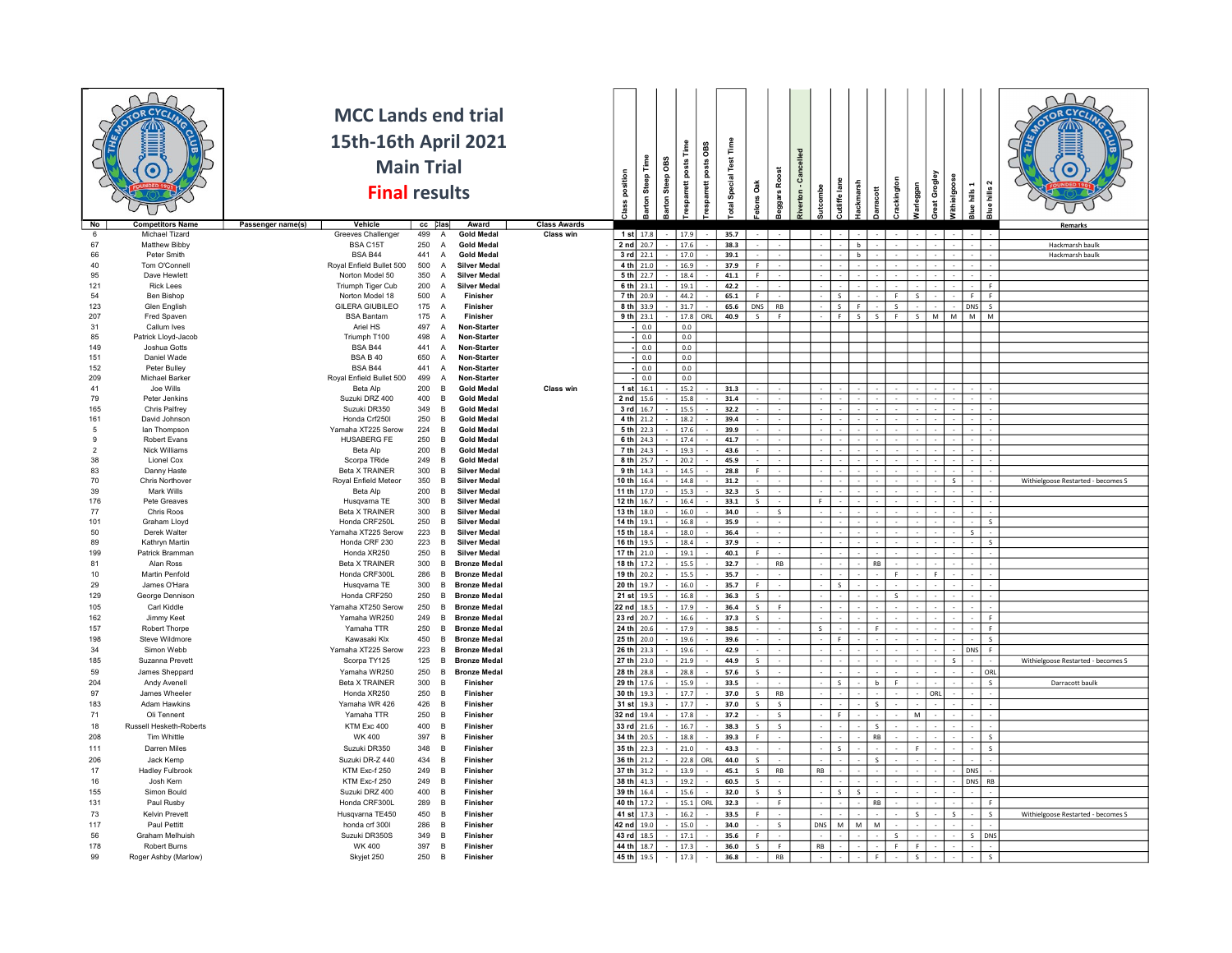|                      |                                    | <b>MCC Lands end trial</b>                  |                                |                                                                              |                     |                            |                            |           |                  |                 |                        |                         |                         |                |          |                                   |             |                   |              |                               |                |                              |                                    |
|----------------------|------------------------------------|---------------------------------------------|--------------------------------|------------------------------------------------------------------------------|---------------------|----------------------------|----------------------------|-----------|------------------|-----------------|------------------------|-------------------------|-------------------------|----------------|----------|-----------------------------------|-------------|-------------------|--------------|-------------------------------|----------------|------------------------------|------------------------------------|
|                      |                                    |                                             |                                |                                                                              |                     |                            |                            |           |                  |                 |                        |                         |                         |                |          |                                   |             |                   |              |                               |                |                              |                                    |
|                      |                                    | 15th-16th April 2021                        |                                |                                                                              |                     |                            |                            |           | Time             | œs              |                        |                         |                         | lled           |          |                                   |             |                   |              |                               |                |                              |                                    |
|                      |                                    | <b>Main Trial</b>                           |                                |                                                                              |                     |                            | Steep Time                 | Steep OBS |                  |                 | otal Special Test Time |                         |                         |                |          |                                   |             |                   |              |                               |                |                              |                                    |
|                      |                                    | <b>Final results</b>                        |                                |                                                                              |                     |                            |                            |           |                  |                 |                        | $\mathsf{d}$            |                         |                |          |                                   |             |                   |              |                               |                |                              |                                    |
|                      |                                    |                                             |                                |                                                                              |                     | Class position             | Barton                     | Barton    | esparrett posts  | esparrett posts |                        | elons                   | Beggars Roost           | Riverton - Car | tcombe   | Cutliffe lane<br><b>Hackmarsh</b> | ă           | <b>rackington</b> | Warleggan    | Great Grogley<br>Withielgoose | $hills$ 1      | Blue hills 2                 |                                    |
| No                   | <b>Competitors Name</b>            | Passenger name(s)<br>Vehicle                | $cc$ $Class$                   | Award                                                                        | <b>Class Awards</b> |                            |                            |           |                  |                 |                        |                         |                         |                |          |                                   |             |                   |              |                               | $\overline{m}$ |                              | Remarks                            |
| -6                   | Michael Tizard                     | Greeves Challenger                          | 499                            | $\overline{A}$<br><b>Gold Medal</b>                                          | Class win           |                            | 1 st 17.8                  |           | 17.9             |                 | 35.7                   |                         |                         |                |          |                                   |             |                   |              |                               |                |                              |                                    |
| 67                   | <b>Matthew Bibby</b>               | BSA C15T                                    | 250                            | $\overline{A}$<br><b>Gold Medal</b>                                          |                     | 2 nd 20.7                  |                            |           | 17.6             |                 | 38.3                   |                         |                         |                |          | b                                 |             |                   |              |                               |                |                              | Hackmarsh baulk                    |
| 66<br>40             | Peter Smith<br>Tom O'Connell       | BSA B44<br>Royal Enfield Bullet 500         | 441<br>500                     | $\overline{A}$<br><b>Gold Medal</b><br><b>Silver Medal</b><br>$\overline{A}$ |                     |                            | 3 rd 22.1<br>$4th$ 21.0    |           | 17.0<br>16.9     |                 | 39.1<br>37.9           | F.                      |                         |                |          | b                                 |             |                   |              |                               |                |                              | Hackmarsh baulk                    |
| 95                   | Dave Hewlett                       | Norton Model 50                             | 350                            | <b>Silver Medal</b><br>$\overline{A}$                                        |                     |                            | 5 th 22.7                  |           | 18.4             |                 | 41.1                   | $\mathsf F$             |                         |                |          |                                   |             |                   |              |                               |                |                              |                                    |
| 121                  | <b>Rick Lees</b>                   | Triumph Tiger Cub                           | 200                            | <b>Silver Medal</b><br>A                                                     |                     |                            | 6 th 23.1                  |           | 19.1             |                 | 42.2                   |                         |                         |                |          |                                   |             |                   |              |                               |                | F.                           |                                    |
| 54                   | Ben Bishop                         | Norton Model 18                             | 500<br>$\overline{A}$          | Finisher<br>Finisher                                                         |                     |                            | 7 th 20.9                  |           | 44.2             |                 | 65.1                   | F.                      |                         |                |          | $\overline{\mathbf{s}}$<br>F.     |             | F                 | $\mathbf{s}$ |                               | - F            | F.                           |                                    |
| 123<br>207           | Glen English<br>Fred Spaven        | <b>GILERA GIUBILEO</b><br><b>BSA Bantam</b> | 175 A<br>175<br>$\overline{A}$ | Finisher                                                                     |                     |                            | $8 th$ 33.9<br>9 th $23.1$ |           | 31.7<br>17.8 ORL |                 | 65.6<br>40.9           | <b>DNS</b><br>S         | RB<br>F                 |                |          | $\mathsf{s}$<br>F<br>s l          | S.          | S<br>$-$ F        |              | S M M M M                     | DNS            | $\mathsf{s}$                 |                                    |
| 31                   | Callum Ives                        | Ariel HS                                    | 497<br>A                       | Non-Starter                                                                  |                     |                            | 0.0                        |           | 0.0              |                 |                        |                         |                         |                |          |                                   |             |                   |              |                               |                |                              |                                    |
| 85                   | Patrick Lloyd-Jacob                | Triumph T100                                | 498                            | $\overline{A}$<br><b>Non-Starter</b>                                         |                     |                            | 0.0                        |           | 0.0              |                 |                        |                         |                         |                |          |                                   |             |                   |              |                               |                |                              |                                    |
| 149                  | Joshua Gotts<br>Daniel Wade        | BSA B44                                     | 441<br>650                     | A<br>Non-Starter                                                             |                     |                            | 0.0                        |           | 0.0              |                 |                        |                         |                         |                |          |                                   |             |                   |              |                               |                |                              |                                    |
| 151<br>152           | Peter Bulley                       | <b>BSA B 40</b><br>BSA B44                  | 441                            | Non-Starter<br>$\overline{A}$<br>$\overline{A}$<br>Non-Starter               |                     |                            | 0.0<br>0.0                 |           | 0.0<br>0.0       |                 |                        |                         |                         |                |          |                                   |             |                   |              |                               |                |                              |                                    |
| 209                  | Michael Barker                     | Royal Enfield Bullet 500                    | 499                            | A<br>Non-Starter                                                             |                     |                            | 0.0                        |           | 0.0              |                 |                        |                         |                         |                |          |                                   |             |                   |              |                               |                |                              |                                    |
| 41                   | Joe Wills                          | Beta Alp                                    | 200                            | <b>Gold Medal</b><br><b>B</b>                                                | Class win           |                            | $1$ st $16.1$              |           | 15.2             |                 | 31.3                   |                         |                         |                |          |                                   |             |                   |              |                               |                |                              |                                    |
| 79<br>165            | Peter Jenkins<br>Chris Palfrey     | Suzuki DRZ 400<br>Suzuki DR350              | 400<br>349                     | <b>Gold Medal</b><br><b>B</b><br><b>Gold Medal</b><br><b>B</b>               |                     | 2 nd 15.6                  | $3$ rd $16.7$              |           | 15.8<br>15.5     |                 | 31.4<br>32.2           |                         |                         |                |          |                                   |             |                   |              |                               |                |                              |                                    |
| 161                  | David Johnson                      | Honda Crf250I                               | 250                            | <b>Gold Medal</b><br><b>B</b>                                                |                     |                            | 4 th $21.2$                |           | 18.2             |                 | 39.4                   |                         |                         |                |          |                                   |             |                   |              |                               |                |                              |                                    |
| -5                   | lan Thompson                       | Yamaha XT225 Serow                          | 224                            | <b>Gold Medal</b><br><b>R</b>                                                |                     |                            | $5 th$ 22.3                |           | 17.6             |                 | 39.9                   |                         |                         |                |          |                                   |             |                   |              |                               |                |                              |                                    |
| 9                    | Robert Evans                       | HUSABERG FE                                 | 250                            | $\overline{B}$<br><b>Gold Medal</b>                                          |                     |                            | 6 th 24.3                  |           | 17.4             |                 | 41.7                   |                         |                         |                |          |                                   |             |                   |              |                               |                |                              |                                    |
| $\overline{2}$<br>38 | <b>Nick Williams</b><br>Lionel Cox | Beta Alp<br>Scorpa TRide                    | 200<br>249                     | $\overline{B}$<br><b>Gold Medal</b><br>$\overline{B}$<br><b>Gold Medal</b>   |                     |                            | $7th$ 24.3<br>8 th 25.7    |           | 19.3<br>20.2     |                 | 43.6<br>45.9           |                         |                         |                |          |                                   |             |                   |              |                               |                |                              |                                    |
| 83                   | Danny Haste                        | Beta X TRAINER                              | 300                            | <b>Silver Medal</b><br><b>B</b>                                              |                     |                            | 9 th $14.3$                |           | 14.5             |                 | 28.8                   | F.                      |                         |                |          |                                   |             |                   |              |                               |                |                              |                                    |
| 70                   | Chris Northover                    | Royal Enfield Meteor                        | 350                            | B<br><b>Silver Medal</b>                                                     |                     | 10 th $16.4$               |                            |           | 14.8             |                 | 31.2                   |                         |                         |                |          |                                   |             |                   |              |                               |                |                              | Withielgoose Restarted - becomes S |
| 39                   | Mark Wills                         | Beta Alp                                    | 200                            | <b>B</b><br><b>Silver Medal</b><br><b>B</b>                                  |                     | 11 th 17.0                 |                            |           | 15.3             |                 | 32.3                   | S                       |                         |                | <b>F</b> |                                   |             |                   |              |                               |                |                              |                                    |
| 176<br>77            | Pete Greaves<br>Chris Roos         | Husqvarna TE<br>Beta X TRAINER              | 300<br>300                     | <b>Silver Medal</b><br>$\overline{B}$<br>Silver Medal                        |                     | 12 th 16.7<br>13 th $18.0$ |                            |           | 16.4<br>16.0     |                 | 33.1<br>34.0           | $\mathsf{S}$            | S                       |                |          |                                   |             |                   |              |                               |                |                              |                                    |
| 101                  | Graham Lloyd                       | Honda CRF250L                               | 250                            | Silver Medal<br><b>B</b>                                                     |                     | 14 th 19.1                 |                            |           | $16.8\,$         |                 | 35.9                   |                         |                         |                |          |                                   |             |                   |              |                               |                | $\mathsf{s}$                 |                                    |
| 50                   | Derek Walter                       | Yamaha XT225 Serow                          | 223                            | Silver Medal<br><b>B</b>                                                     |                     | $15 th$ 18.4               |                            |           | $18.0\,$         |                 | 36.4                   |                         |                         |                | ×.       |                                   |             |                   |              |                               | $\mathcal{S}$  |                              |                                    |
| 89                   | Kathryn Martin<br>Patrick Bramman  | Honda CRF 230                               | 223<br>250                     | <b>Silver Medal</b><br>B.<br><b>Silver Medal</b><br><b>B</b>                 |                     | 16 th 19.5                 |                            |           | 18.4             |                 | 37.9                   |                         |                         |                | $\sim$   |                                   |             |                   |              |                               |                | $\mathsf{s}$                 |                                    |
| 199<br>81            | Alan Ross                          | Honda XR250<br>Beta X TRAINER               | 300                            | B.<br><b>Bronze Medal</b>                                                    |                     | 17 th 21.0<br>18 th 17.2   |                            |           | 19.1<br>15.5     |                 | 40.1<br>32.7           | F.                      | $\mathsf{RB}$           |                |          |                                   | <b>RB</b>   |                   |              |                               |                |                              |                                    |
| 10                   | Martin Penfold                     | Honda CRF300L                               | 286                            | B.<br><b>Bronze Medal</b>                                                    |                     | 19 th 20.2                 |                            |           | 15.5             |                 | 35.7                   |                         |                         |                |          |                                   |             | F.                |              | F.                            |                |                              |                                    |
| 29                   | James O'Hara                       | Husqvarna TE                                | 300                            | <b>Bronze Medal</b><br>B                                                     |                     | 20 th 19.7                 |                            |           | 16.0             |                 | 35.7                   | F.                      |                         |                |          | $\mathbf{s}$                      |             |                   |              |                               |                |                              |                                    |
| 129                  | George Dennison                    | Honda CRF250                                | 250                            | <b>Bronze Medal</b><br>B.                                                    |                     | 21 st 19.5                 |                            |           | 16.8             |                 | 36.3                   | $\mathsf S$             |                         |                |          |                                   |             | s.                |              |                               |                |                              |                                    |
| 105<br>162           | Carl Kiddle<br>Jimmy Keet          | Yamaha XT250 Serow<br>Yamaha WR250          | 250<br>249                     | $\overline{B}$<br><b>Bronze Medal</b><br><b>Bronze Medal</b><br>B            |                     | 22 nd 18.5<br>23 rd 20.7   |                            |           | 17.9<br>16.6     |                 | 36.4<br>37.3           | S<br>$\sf S$            | F.                      |                |          |                                   |             |                   |              |                               |                | F                            |                                    |
| 157                  | Robert Thorpe                      | Yamaha TTR                                  | 250                            | <b>Bronze Medal</b><br><b>B</b>                                              |                     | 24 th 20.6                 |                            |           | 17.9             |                 | 38.5                   |                         |                         |                | S        |                                   | F.          |                   |              |                               |                | $\mathsf F$                  |                                    |
| 198                  | Steve Wildmore                     | Kawasaki Klx                                | 450                            | <b>Bronze Medal</b><br><b>B</b>                                              |                     | 25 th 20.0                 |                            |           | 19.6             |                 | 39.6                   |                         |                         |                | $\sim$   | -F                                |             |                   |              |                               |                | $\sf S$                      |                                    |
| 34                   | Simon Webb                         | Yamaha XT225 Serow                          | 223                            | B<br><b>Bronze Medal</b>                                                     |                     | 26 th 23.3                 |                            |           | 19.6             |                 | 42.9                   |                         |                         |                |          |                                   |             |                   |              |                               | DNS            | F.                           |                                    |
| 185                  | Suzanna Prevett                    | Scorpa TY125                                | 125                            | <b>Bronze Medal</b><br>B                                                     |                     | 27 th 23.0                 |                            |           | 21.9             |                 | 44.9                   | $\sf S$                 |                         |                |          |                                   |             |                   |              |                               |                |                              | Withielgoose Restarted - becomes S |
| 59<br>204            | James Sheppard<br>Andy Avenell     | Yamaha WR250<br><b>Beta X TRAINER</b>       | 250<br>300<br><b>B</b>         | $\overline{B}$<br><b>Bronze Medal</b><br>Finisher                            |                     | 28 th 28.8<br>29 th 17.6   |                            |           | 28.8<br>15.9     |                 | 57.6<br>33.5           | $\sf S$                 |                         |                |          | $\leq$                            | b           | $\mathbb{R}$      |              |                               |                | ORL<br>$\mathsf{S}$          | Darracott baulk                    |
| 97                   | James Wheeler                      | Honda XR250                                 | 250<br>$\overline{B}$          | Finisher                                                                     |                     | 30 th 19.3                 |                            |           | 17.7             |                 | 37.0                   | S                       | RB                      |                |          |                                   |             |                   |              | ORL                           |                |                              |                                    |
| 183                  | <b>Adam Hawkins</b>                | Yamaha WR 426                               | 426                            | Finisher<br><b>B</b>                                                         |                     | 31 st 19.3                 |                            |           | 17.7             |                 | 37.0                   | $\mathsf{s}$            | S                       |                |          |                                   | $\leq$      |                   |              |                               |                |                              |                                    |
| 71                   | Oli Tennent                        | Yamaha TTR                                  | 250                            | <b>B</b><br>Finisher                                                         |                     | 32 nd 19.4                 |                            |           | 17.8             |                 | 37.2                   | $\sim$                  | S                       |                |          | - F                               |             |                   | M            |                               |                |                              |                                    |
| 18                   | Russell Hesketh-Roberts            | KTM Exc 400                                 | 400                            | $\overline{B}$<br>Finisher                                                   |                     | 33 rd 21.6                 |                            |           | 16.7             |                 | 38.3                   | $\overline{\mathsf{S}}$ | $\overline{\mathsf{S}}$ |                |          |                                   | $\mathsf S$ |                   |              |                               |                |                              |                                    |
| 208<br>111           | Tim Whittle<br>Darren Miles        | <b>WK 400</b><br>Suzuki DR350               | 397<br>348                     | $\overline{B}$<br>Finisher<br>$\overline{R}$<br>Finisher                     |                     | 34 th 20.5<br>35 th 22.3   |                            |           | 18.8<br>21.0     |                 | 39.3<br>43.3           | F.                      |                         |                |          | $\mathsf{s}$                      | RB          |                   | F.           |                               |                | $\mathsf{s}$<br>$\sf S$      |                                    |
| 206                  | Jack Kemp                          | Suzuki DR-Z 440                             | 434<br><b>B</b>                | Finisher                                                                     |                     | 36 th 21.2                 |                            |           | 22.8             | ORL             | 44.0                   | $\mathsf S$             |                         |                |          |                                   | $\mathsf S$ |                   |              |                               |                |                              |                                    |
| 17                   | <b>Hadley Fulbrook</b>             | KTM Exc-f 250                               | 249                            | B<br>Finisher                                                                |                     | 37 th 31.2                 |                            |           | 13.9             |                 | 45.1                   | S                       | RB                      |                | RB       |                                   |             |                   |              |                               | DNS            |                              |                                    |
| 16                   | Josh Kern                          | KTM Exc-f 250                               | 249<br><b>B</b>                | Finisher                                                                     |                     | 38 th 41.3                 |                            |           | 19.2             |                 | 60.5                   | $\sf S$                 |                         |                |          |                                   |             |                   |              |                               |                | DNS RB                       |                                    |
| 155                  | Simon Bould                        | Suzuki DRZ 400                              | 400<br><b>B</b>                | Finisher                                                                     |                     | 39 th 16.4                 |                            |           | 15.6             |                 | 32.0                   | S                       | $\mathsf{S}$            |                |          | $\overline{\mathbf{s}}$<br>$\sim$ |             |                   |              |                               |                |                              |                                    |
| 131<br>73            | Paul Rusby<br>Kelvin Prevett       | Honda CRF300L                               | 289<br>450                     | Finisher<br><b>B</b><br>Finisher<br><b>B</b>                                 |                     | 40 th 17.2<br>41 st 17.3   |                            |           | 15.1 ORL<br>16.2 |                 | 32.3<br>33.5           | F                       | F.                      |                |          |                                   | <b>RB</b>   |                   |              |                               |                | F<br>$\overline{\mathbf{s}}$ |                                    |
| 117                  | Paul Pettitt                       | Husqvarna TE450<br>honda crf 300I           | 286                            | <b>B</b><br>Finisher                                                         |                     | 42 nd 19.0                 |                            |           | 15.0             |                 | 34.0                   | $\sim$                  | S                       |                | DNS      | M<br>M                            | M           |                   |              |                               |                |                              | Withielgoose Restarted - becomes S |
| 56                   | <b>Graham Melhuish</b>             | Suzuki DR350S                               | 349                            | $\overline{B}$<br>Finisher                                                   |                     | 43 rd 18.5                 |                            |           | 17.1             |                 | 35.6                   | F.                      |                         |                |          |                                   |             | S                 | $\sim$       |                               |                | S DNS                        |                                    |
| 178                  | Robert Burns                       | <b>WK 400</b>                               | 397                            | B<br>Finisher                                                                |                     | 44 th 18.7                 |                            |           | 17.3             |                 | 36.0                   | $\mathsf{S}$            | F.                      |                | RB       |                                   |             | F                 | F            |                               |                |                              |                                    |
| 99                   | Roger Ashby (Marlow)               | Skyjet 250                                  | 250                            | $\overline{B}$<br>Finisher                                                   |                     | 45 th 19.5                 |                            |           | 17.3             |                 | 36.8                   |                         | RB                      |                |          |                                   |             |                   |              |                               |                | $\mathsf{s}$                 |                                    |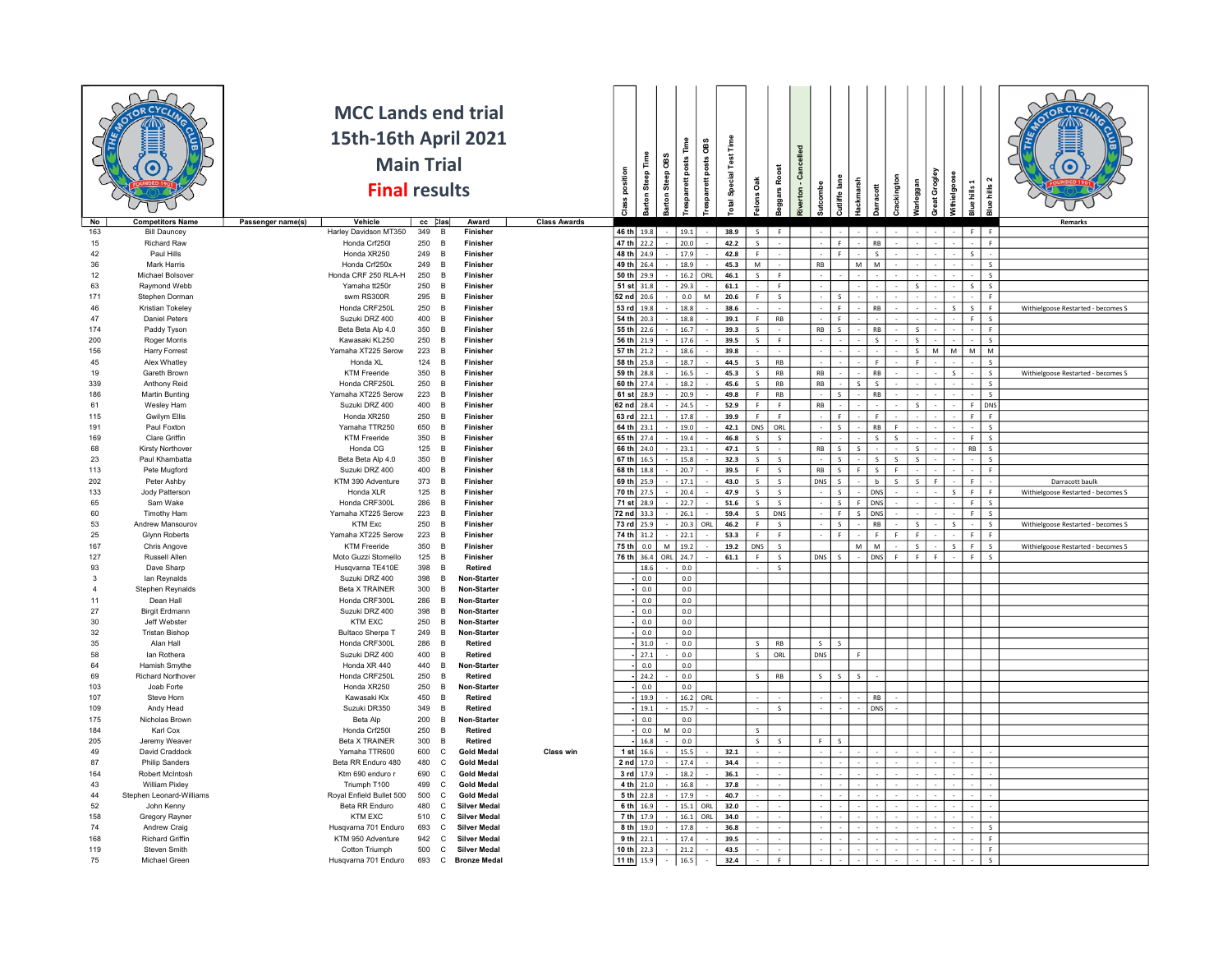| 46 th 19.8<br>19.1<br>38.9<br>S<br>163<br><b>Bill Dauncey</b><br>Harley Davidson MT350<br>349<br>B<br>Finisher<br>F<br>F.<br>F.<br>47 th 22.2<br>15<br>Richard Raw<br>Honda Crf250I<br>250<br>B<br>Finisher<br>20.0<br>42.2<br>$\mathsf{s}$<br>RB<br>F.<br>48 th 24.9<br>17.9<br>42<br>Paul Hills<br>Honda XR250<br>249<br>42.8<br>$\overline{B}$<br>Finisher<br>F.<br>$\overline{\mathbf{s}}$<br>- F<br>36<br>Honda Crf250x<br>249<br>49 th 26.4<br>18.9<br>45.3<br>M<br>M<br><b>Mark Harris</b><br>Finisher<br><b>RB</b><br>$\sf S$<br><b>B</b><br>M<br>50 th 29.9<br>16.2<br>46.1<br>12<br>Honda CRF 250 RLA-H<br>250<br>$\mathsf{S}$<br>$\mathsf{s}$<br>Michael Bolsover<br>$\overline{R}$<br>F.<br>Finisher<br>OR<br>$51$ st $31.8$<br>250<br>63<br>Yamaha tt250r<br>29.3<br>61.1<br>s<br>Raymond Webb<br>- B<br>Finisher<br>F.<br>-S.<br>52 nd 20.6<br>0.0<br>171<br>Stephen Dorman<br>swm RS300R<br>295 B<br>Finisher<br>20.6<br>F.<br>S<br>F.<br>53 rd 19.8<br>18.8<br>46<br>Kristian Tokeley<br>Honda CRF250L<br>250<br>B<br>Finisher<br>38.6<br>RB<br>F.<br>Withielgoose Restarted - becomes S<br>-F<br>S.<br>S.<br>47<br><b>Daniel Peters</b><br>Suzuki DRZ 400<br>400 B<br>54 th 20.3<br>18.8<br>39.1<br>$\mathsf F$<br><b>RB</b><br>Finisher<br><b>F</b><br>F.<br>S<br>55 th 22.6<br>174<br>Paddy Tyson<br>Beta Beta Alp 4.0<br>350 B<br>Finisher<br>16.7<br>39.3<br>$\sf S$<br><b>RB</b><br>RB<br>F.<br>$\sim$<br>56 th 21.9<br>200<br><b>Roger Morris</b><br>Kawasaki KL250<br>250 B<br>Finisher<br>17.6<br>39.5<br>S<br>F<br>S<br>$\mathsf{s}$<br>$\sf S$<br>Yamaha XT225 Serow<br>57 th 21.2<br>18.6<br>39.8<br>${\sf M}$<br>M M<br>${\sf M}$<br>156<br>223<br>S<br><b>Harry Forrest</b><br>Finisher<br>$\overline{B}$<br>58 th 25.8<br>18.7<br>44.5<br>$\overline{\mathsf{s}}$<br>RB<br>$\overline{\mathsf{s}}$<br>45<br>Alex Whatley<br>124 B<br>Honda XI.<br>Finisher<br>F.<br>$\overline{\mathsf{s}}$<br>59 th 28.8<br>16.5<br>RB<br>$\mathsf{RB}$<br>$\mathsf{RB}$<br>$\overline{\mathsf{s}}$<br>350<br>45.3<br>Withielgoose Restarted - becomes S<br>19<br>Gareth Brown<br><b>KTM Freeride</b><br>$\overline{B}$<br>Finisher<br>60 th 27.4<br>$\overline{\mathsf{s}}$<br>Honda CRF250L<br>250<br>18.2<br>45.6<br>RB<br>$\mathsf{RB}$<br>S<br>$\sf S$<br>339<br>Anthony Reid<br>B<br>Finisher<br>$\leq$<br>61 st 28.9<br>186<br><b>Martin Bunting</b><br>Yamaha XT225 Serow<br>223<br>20.9<br>49.8<br>F<br>RB<br>$\mathsf{RB}$<br>$\sf S$<br>B<br>Finishe<br>Suzuki DRZ 400<br>62 nd 28.4<br>24.5<br>52.9<br>F<br>F<br>61<br>Wesley Ham<br>400<br>B<br>Finisher<br>RB<br>$\mathbb{R}^+$<br>DNS<br>63 rd 22.1<br>17.8<br>115<br><b>Gwilym Ellis</b><br>Honda XR250<br>250<br>$\overline{B}$<br>Finisher<br>39.9<br>F<br>F<br>F<br>F.<br>F.<br>64 th 23.1<br>Paul Foxton<br>650<br>19.0<br>42.1<br>DNS<br>ORL<br>RB<br>191<br>Yamaha TTR250<br>Finisher<br><b>B</b><br>F.<br>s<br>65 th 27.4<br>350<br>19.4<br>46.8<br>$\overline{\mathsf{s}}$<br>169<br>Clare Griffin<br><b>KTM Freeride</b><br>$\mathsf{S}$<br>S<br>$\mathsf{s}$<br>s<br><b>B</b><br>Finisher<br>- F<br>66 th 24.0<br>68<br>125<br>23.1<br>47.1<br>Kirsty Northover<br>Honda CG<br>S<br>RB<br>$\sf S$<br>$\overline{B}$<br>Finisher<br>$\mathsf{S}$<br>s<br><b>RB</b><br>S.<br>67 th 16.5<br>15.8<br>23<br>Paul Khambatta<br>350<br>32.3<br>Beta Beta Alp 4.0<br>B<br>Finisher<br>S<br>S<br>-S<br>S<br>S<br>$\mathsf{s}$<br>s<br>68 th 18.8<br>113<br>Pete Mugford<br>Suzuki DRZ 400<br>400<br>B<br>Finisher<br>20.7<br>39.5<br>F.<br>$\mathsf{S}$<br>RB<br>S<br>F<br>F.<br>$\mathsf{S}$<br>F I<br>69 th 25.9<br>202<br>Peter Ashby<br>KTM 390 Adventure<br>373<br>Finisher<br>17.1<br>43.0<br>S<br>$\mathsf{S}$<br>DNS<br>$\mathsf{s}$<br>Darracott baulk<br>B<br>-S<br>b<br>F.<br>Jody Patterson<br>125<br>70 th 27.5<br>20.4<br>47.9<br>S<br>$\mathsf{s}$<br>133<br>Honda XLR<br><b>B</b><br>Finisher<br>DNS<br>$\mathsf{s}$<br>F<br>F.<br>Withielgoose Restarted - becomes S<br>71 st 28.9<br>65<br>Sam Wake<br>Honda CRF300L<br>286<br>Finisher<br>22.7<br>51.6<br>$\mathsf{s}$<br>$\mathsf{s}$<br>F DNS<br>F<br>$\mathsf{S}$<br>$\overline{B}$<br>$\mathsf{s}$<br>Timothy Ham<br>Yamaha XT225 Serow<br>223<br>Finisher<br>72 nd 33.3<br>26.1<br>59.4<br>S<br><b>DNS</b><br>$\mathbf{F}$<br>S DNS<br>F<br>$\mathsf{s}$<br>60<br>$\overline{B}$<br>73 rd 25.9<br>20.3<br>46.2<br>$\mathsf F$<br>S<br>53<br>KTM Exc<br>250<br>RB<br>$\mathsf{S}$<br>Andrew Mansourov<br>Finisher<br>$\leq$<br>$\mathcal{S}$<br>$\leq$<br>Withielgoose Restarted - becomes S<br><b>B</b><br>ORI<br>74 th 31.2<br>22.1<br>53.3<br>$\mathsf F$<br>F<br>25<br><b>Glynn Roberts</b><br>Yamaha XT225 Serow<br>223<br>Finisher<br>F<br>F.<br>$\mathbf{F}$<br>F.<br><b>B</b><br>75 th 0.0<br>19.2<br>DNS<br>S<br>M<br>M<br>$\mathsf S$<br>167<br>Chris Angove<br><b>KTM Freeride</b><br>350<br>$\overline{B}$<br>Finisher<br>M<br>19.2<br>$\mathsf{S}$<br>F<br>s<br>Withielgoose Restarted - becomes S<br>127<br>76 th 36.4<br>S<br>Russell Allen<br>Moto Guzzi Stornello<br>125<br>$\overline{B}$<br>Finisher<br>ORL<br>24.7<br>61.1<br>F<br>DNS<br>$\leq$<br>DNS<br>F<br>F.<br>-F<br>F<br>$\mathsf{S}$<br>93<br>Dave Sharp<br>Husqvarna TE410E<br>398<br>18.6<br>0.0<br>S<br>$\overline{B}$<br>Retired<br>Suzuki DRZ 400<br>398<br>0.0<br>0.0<br>$\mathbf{3}$<br>lan Reynalds<br>$\overline{B}$<br>Non-Starter<br>Stephen Reynalds<br>Beta X TRAINER<br>300<br>Non-Starter<br>0.0<br>0.0<br>$\overline{4}$<br>$\overline{B}$<br>0.0<br>Dean Hall<br>Honda CRF300L<br>286<br>0.0<br>11<br><b>Non-Starter</b><br><b>B</b><br>398<br>27<br><b>Birgit Erdmann</b><br>Suzuki DRZ 400<br>0.0<br>0.0<br><b>Non-Starter</b><br>- B<br>30<br>KTM EXC<br>250<br>0.0<br>$0.0\,$<br>Jeff Webster<br>B<br><b>Non-Starter</b><br>32<br>249<br>$0.0\,$<br><b>Tristan Bishop</b><br>Bultaco Sherpa T<br>B<br><b>Non-Starter</b><br>0.0<br>35<br>Alan Hall<br>Honda CRF300L<br>286<br>31.0<br>0.0<br>RB<br>S<br>B<br>Retired<br>S<br>$\mathsf{S}$<br>58<br>lan Rothera<br>Suzuki DRZ 400<br>400<br>Retired<br>27.1<br>0.0<br>S<br>ORL<br>DNS<br>B<br>F.,<br>0.0<br>0.0<br>64<br>Hamish Smythe<br>Honda XR 440<br>440<br>B<br>Non-Starter<br>0.0<br>69<br><b>Richard Northover</b><br>Honda CRF250L<br>250<br>24.2<br>$\mathsf{s}$<br>RB<br>S<br>$\overline{B}$<br>Retired<br>Joab Forte<br>0.0<br>$0.0\,$<br>103<br>Honda XR250<br>250<br>Non-Starter<br>B<br> 19.9<br>16.2<br>450<br>$\mathsf{RB}$<br>107<br>Steve Horn<br>ORI<br>Kawasaki Klx<br>B<br>Retired<br>$\sim$<br>15.7<br> 19.1<br>$\mathsf{s}$<br><b>DNS</b><br>Andy Head<br>Suzuki DR350<br>349<br>109<br>B<br>Retired<br>0.0<br>0.0<br>175<br>Nicholas Brown<br>Beta Alp<br>200<br>B<br>Non-Starter<br>0.0<br>0.0<br>184<br>Karl Cox<br>Honda Crf250I<br>250<br>Retired<br>M<br>$\mathsf{s}$<br>B<br>205<br>Jeremy Weaver<br>300<br>16.8<br>0.0<br>S<br>F.<br>Beta X TRAINER<br>$\overline{B}$<br>Retired<br>$\mathsf{s}$<br>49<br>David Craddock<br>600<br>Class win<br>1 st $16.6$<br>15.5<br>32.1<br>Yamaha TTR600<br>$\mathsf{C}$<br><b>Gold Medal</b><br>87<br><b>Philip Sanders</b><br>Beta RR Enduro 480<br>480<br>$2$ nd $17.0$<br>17.4<br>34.4<br>$\mathbf{C}$<br><b>Gold Medal</b><br>3 rd 17.9<br>18.2<br>164<br>Robert McIntosh<br>690<br>36.1<br>Ktm 690 enduro r<br><b>Gold Medal</b><br>$\mathsf{C}$<br>4 th 21.0<br>William Pixley<br>499<br>16.8<br>37.8<br>43<br>Triumph T100<br><b>Gold Medal</b><br>C.<br>$5 th$ 22.8<br>500<br>17.9<br>40.7<br>44<br>Stephen Leonard-Williams<br>Royal Enfield Bullet 500<br>$\mathbf{C}$<br><b>Gold Medal</b><br>52<br>480<br>6 th $16.9$<br>15.1<br>32.0<br>John Kenny<br>Beta RR Enduro<br>С<br><b>Silver Medal</b><br>ORL<br>158<br><b>KTM EXC</b><br>510<br><b>Silver Medal</b><br>7 th 17.9<br>16.1<br>ORL<br>34.0<br>Gregory Rayner<br>$\mathbf{C}$<br>74<br>Husqvarna 701 Enduro<br>693<br><b>Silver Medal</b><br>$8 th$ 19.0<br>17.8<br>36.8<br>$\sf S$<br>Andrew Craig<br>$\mathbf{C}$<br>$9th$ 22.1<br>17.4<br>168<br>Richard Griffin<br>KTM 950 Adventure<br>942<br>$\mathbf{C}$<br><b>Silver Medal</b><br>39.5<br>$\mathsf F$<br>119<br>Steven Smith<br>Cotton Triumph<br>500<br>$\mathbf{C}$<br><b>Silver Medal</b><br>10 th $22.3$<br>21.2<br>43.5<br>$\mathsf F$<br>75<br>11 th 15.9<br>$\overline{\mathsf{s}}$<br>Michael Green<br>Husqvarna 701 Enduro<br>693 C Bronze Medal<br>16.5<br>32.4<br>F | $\cap$<br><b>No</b><br><b>Competitors Name</b> | <b>MCC Lands end trial</b><br>15th-16th April 2021<br><b>Final results</b><br>Passenger name(s)<br>Vehicle | <b>Main Trial</b><br>cc Clas | Award | <b>Class Awards</b> | position<br>Class | arton Steep Time | OBS<br>arton Steep | resparrett posts Time | parrett posts OBS | Special Test Time<br><b>B</b> | ð<br>alons | ggars Roost | erton - Cancelled | iutcombe | utliffe lane<br>ackmarsh | <b>Jarracott</b> | <b>rackington</b> | Narleggan | <b>Great Grogley</b><br>Vithielgoose | Blue hills 1 | Blue hills | <b>Remarks</b> |
|------------------------------------------------------------------------------------------------------------------------------------------------------------------------------------------------------------------------------------------------------------------------------------------------------------------------------------------------------------------------------------------------------------------------------------------------------------------------------------------------------------------------------------------------------------------------------------------------------------------------------------------------------------------------------------------------------------------------------------------------------------------------------------------------------------------------------------------------------------------------------------------------------------------------------------------------------------------------------------------------------------------------------------------------------------------------------------------------------------------------------------------------------------------------------------------------------------------------------------------------------------------------------------------------------------------------------------------------------------------------------------------------------------------------------------------------------------------------------------------------------------------------------------------------------------------------------------------------------------------------------------------------------------------------------------------------------------------------------------------------------------------------------------------------------------------------------------------------------------------------------------------------------------------------------------------------------------------------------------------------------------------------------------------------------------------------------------------------------------------------------------------------------------------------------------------------------------------------------------------------------------------------------------------------------------------------------------------------------------------------------------------------------------------------------------------------------------------------------------------------------------------------------------------------------------------------------------------------------------------------------------------------------------------------------------------------------------------------------------------------------------------------------------------------------------------------------------------------------------------------------------------------------------------------------------------------------------------------------------------------------------------------------------------------------------------------------------------------------------------------------------------------------------------------------------------------------------------------------------------------------------------------------------------------------------------------------------------------------------------------------------------------------------------------------------------------------------------------------------------------------------------------------------------------------------------------------------------------------------------------------------------------------------------------------------------------------------------------------------------------------------------------------------------------------------------------------------------------------------------------------------------------------------------------------------------------------------------------------------------------------------------------------------------------------------------------------------------------------------------------------------------------------------------------------------------------------------------------------------------------------------------------------------------------------------------------------------------------------------------------------------------------------------------------------------------------------------------------------------------------------------------------------------------------------------------------------------------------------------------------------------------------------------------------------------------------------------------------------------------------------------------------------------------------------------------------------------------------------------------------------------------------------------------------------------------------------------------------------------------------------------------------------------------------------------------------------------------------------------------------------------------------------------------------------------------------------------------------------------------------------------------------------------------------------------------------------------------------------------------------------------------------------------------------------------------------------------------------------------------------------------------------------------------------------------------------------------------------------------------------------------------------------------------------------------------------------------------------------------------------------------------------------------------------------------------------------------------------------------------------------------------------------------------------------------------------------------------------------------------------------------------------------------------------------------------------------------------------------------------------------------------------------------------------------------------------------------------------------------------------------------------------------------------------------------------------------------------------------------------------------------------------------------------------------------------------------------------------------------------------------------------------------------------------------------------------------------------------------------------------------------------------------------------------------------------------------------------------------------------------------------------------------------------------------------------------------------------------------------------------------------------------------------------------------------------------------------------------------------------------------------------------------------------------------------------------------------------------------------------------------------------------------------------------------------------------------------------------------------------------------------------------------------------------------------------------------------------------------------------------------------------------------------------------------------------------------------------------------------------------------------------------------------------------------------------------------------------------------------------------------------------------------------------------------------------------------------------------------------------------------------------------------------------------------------------------------------------------------------------------------------------------------------------------------------------------------------------------------------------------------------------------------------------------------------------------------------------------------------------------------------------------------------------------------------------------------------------------------------------------------------------------------------------------------------------------------------------------------------------------------------------|------------------------------------------------|------------------------------------------------------------------------------------------------------------|------------------------------|-------|---------------------|-------------------|------------------|--------------------|-----------------------|-------------------|-------------------------------|------------|-------------|-------------------|----------|--------------------------|------------------|-------------------|-----------|--------------------------------------|--------------|------------|----------------|
|                                                                                                                                                                                                                                                                                                                                                                                                                                                                                                                                                                                                                                                                                                                                                                                                                                                                                                                                                                                                                                                                                                                                                                                                                                                                                                                                                                                                                                                                                                                                                                                                                                                                                                                                                                                                                                                                                                                                                                                                                                                                                                                                                                                                                                                                                                                                                                                                                                                                                                                                                                                                                                                                                                                                                                                                                                                                                                                                                                                                                                                                                                                                                                                                                                                                                                                                                                                                                                                                                                                                                                                                                                                                                                                                                                                                                                                                                                                                                                                                                                                                                                                                                                                                                                                                                                                                                                                                                                                                                                                                                                                                                                                                                                                                                                                                                                                                                                                                                                                                                                                                                                                                                                                                                                                                                                                                                                                                                                                                                                                                                                                                                                                                                                                                                                                                                                                                                                                                                                                                                                                                                                                                                                                                                                                                                                                                                                                                                                                                                                                                                                                                                                                                                                                                                                                                                                                                                                                                                                                                                                                                                                                                                                                                                                                                                                                                                                                                                                                                                                                                                                                                                                                                                                                                                                                                                                                                                                                                                                                                                                                                                                                                                                                                                                                                                                                                                                                          |                                                |                                                                                                            |                              |       |                     |                   |                  |                    |                       |                   |                               |            |             |                   |          |                          |                  |                   |           |                                      |              |            |                |
|                                                                                                                                                                                                                                                                                                                                                                                                                                                                                                                                                                                                                                                                                                                                                                                                                                                                                                                                                                                                                                                                                                                                                                                                                                                                                                                                                                                                                                                                                                                                                                                                                                                                                                                                                                                                                                                                                                                                                                                                                                                                                                                                                                                                                                                                                                                                                                                                                                                                                                                                                                                                                                                                                                                                                                                                                                                                                                                                                                                                                                                                                                                                                                                                                                                                                                                                                                                                                                                                                                                                                                                                                                                                                                                                                                                                                                                                                                                                                                                                                                                                                                                                                                                                                                                                                                                                                                                                                                                                                                                                                                                                                                                                                                                                                                                                                                                                                                                                                                                                                                                                                                                                                                                                                                                                                                                                                                                                                                                                                                                                                                                                                                                                                                                                                                                                                                                                                                                                                                                                                                                                                                                                                                                                                                                                                                                                                                                                                                                                                                                                                                                                                                                                                                                                                                                                                                                                                                                                                                                                                                                                                                                                                                                                                                                                                                                                                                                                                                                                                                                                                                                                                                                                                                                                                                                                                                                                                                                                                                                                                                                                                                                                                                                                                                                                                                                                                                                          |                                                |                                                                                                            |                              |       |                     |                   |                  |                    |                       |                   |                               |            |             |                   |          |                          |                  |                   |           |                                      |              |            |                |
|                                                                                                                                                                                                                                                                                                                                                                                                                                                                                                                                                                                                                                                                                                                                                                                                                                                                                                                                                                                                                                                                                                                                                                                                                                                                                                                                                                                                                                                                                                                                                                                                                                                                                                                                                                                                                                                                                                                                                                                                                                                                                                                                                                                                                                                                                                                                                                                                                                                                                                                                                                                                                                                                                                                                                                                                                                                                                                                                                                                                                                                                                                                                                                                                                                                                                                                                                                                                                                                                                                                                                                                                                                                                                                                                                                                                                                                                                                                                                                                                                                                                                                                                                                                                                                                                                                                                                                                                                                                                                                                                                                                                                                                                                                                                                                                                                                                                                                                                                                                                                                                                                                                                                                                                                                                                                                                                                                                                                                                                                                                                                                                                                                                                                                                                                                                                                                                                                                                                                                                                                                                                                                                                                                                                                                                                                                                                                                                                                                                                                                                                                                                                                                                                                                                                                                                                                                                                                                                                                                                                                                                                                                                                                                                                                                                                                                                                                                                                                                                                                                                                                                                                                                                                                                                                                                                                                                                                                                                                                                                                                                                                                                                                                                                                                                                                                                                                                                                          |                                                |                                                                                                            |                              |       |                     |                   |                  |                    |                       |                   |                               |            |             |                   |          |                          |                  |                   |           |                                      |              |            |                |
|                                                                                                                                                                                                                                                                                                                                                                                                                                                                                                                                                                                                                                                                                                                                                                                                                                                                                                                                                                                                                                                                                                                                                                                                                                                                                                                                                                                                                                                                                                                                                                                                                                                                                                                                                                                                                                                                                                                                                                                                                                                                                                                                                                                                                                                                                                                                                                                                                                                                                                                                                                                                                                                                                                                                                                                                                                                                                                                                                                                                                                                                                                                                                                                                                                                                                                                                                                                                                                                                                                                                                                                                                                                                                                                                                                                                                                                                                                                                                                                                                                                                                                                                                                                                                                                                                                                                                                                                                                                                                                                                                                                                                                                                                                                                                                                                                                                                                                                                                                                                                                                                                                                                                                                                                                                                                                                                                                                                                                                                                                                                                                                                                                                                                                                                                                                                                                                                                                                                                                                                                                                                                                                                                                                                                                                                                                                                                                                                                                                                                                                                                                                                                                                                                                                                                                                                                                                                                                                                                                                                                                                                                                                                                                                                                                                                                                                                                                                                                                                                                                                                                                                                                                                                                                                                                                                                                                                                                                                                                                                                                                                                                                                                                                                                                                                                                                                                                                                          |                                                |                                                                                                            |                              |       |                     |                   |                  |                    |                       |                   |                               |            |             |                   |          |                          |                  |                   |           |                                      |              |            |                |
|                                                                                                                                                                                                                                                                                                                                                                                                                                                                                                                                                                                                                                                                                                                                                                                                                                                                                                                                                                                                                                                                                                                                                                                                                                                                                                                                                                                                                                                                                                                                                                                                                                                                                                                                                                                                                                                                                                                                                                                                                                                                                                                                                                                                                                                                                                                                                                                                                                                                                                                                                                                                                                                                                                                                                                                                                                                                                                                                                                                                                                                                                                                                                                                                                                                                                                                                                                                                                                                                                                                                                                                                                                                                                                                                                                                                                                                                                                                                                                                                                                                                                                                                                                                                                                                                                                                                                                                                                                                                                                                                                                                                                                                                                                                                                                                                                                                                                                                                                                                                                                                                                                                                                                                                                                                                                                                                                                                                                                                                                                                                                                                                                                                                                                                                                                                                                                                                                                                                                                                                                                                                                                                                                                                                                                                                                                                                                                                                                                                                                                                                                                                                                                                                                                                                                                                                                                                                                                                                                                                                                                                                                                                                                                                                                                                                                                                                                                                                                                                                                                                                                                                                                                                                                                                                                                                                                                                                                                                                                                                                                                                                                                                                                                                                                                                                                                                                                                                          |                                                |                                                                                                            |                              |       |                     |                   |                  |                    |                       |                   |                               |            |             |                   |          |                          |                  |                   |           |                                      |              |            |                |
|                                                                                                                                                                                                                                                                                                                                                                                                                                                                                                                                                                                                                                                                                                                                                                                                                                                                                                                                                                                                                                                                                                                                                                                                                                                                                                                                                                                                                                                                                                                                                                                                                                                                                                                                                                                                                                                                                                                                                                                                                                                                                                                                                                                                                                                                                                                                                                                                                                                                                                                                                                                                                                                                                                                                                                                                                                                                                                                                                                                                                                                                                                                                                                                                                                                                                                                                                                                                                                                                                                                                                                                                                                                                                                                                                                                                                                                                                                                                                                                                                                                                                                                                                                                                                                                                                                                                                                                                                                                                                                                                                                                                                                                                                                                                                                                                                                                                                                                                                                                                                                                                                                                                                                                                                                                                                                                                                                                                                                                                                                                                                                                                                                                                                                                                                                                                                                                                                                                                                                                                                                                                                                                                                                                                                                                                                                                                                                                                                                                                                                                                                                                                                                                                                                                                                                                                                                                                                                                                                                                                                                                                                                                                                                                                                                                                                                                                                                                                                                                                                                                                                                                                                                                                                                                                                                                                                                                                                                                                                                                                                                                                                                                                                                                                                                                                                                                                                                                          |                                                |                                                                                                            |                              |       |                     |                   |                  |                    |                       |                   |                               |            |             |                   |          |                          |                  |                   |           |                                      |              |            |                |
|                                                                                                                                                                                                                                                                                                                                                                                                                                                                                                                                                                                                                                                                                                                                                                                                                                                                                                                                                                                                                                                                                                                                                                                                                                                                                                                                                                                                                                                                                                                                                                                                                                                                                                                                                                                                                                                                                                                                                                                                                                                                                                                                                                                                                                                                                                                                                                                                                                                                                                                                                                                                                                                                                                                                                                                                                                                                                                                                                                                                                                                                                                                                                                                                                                                                                                                                                                                                                                                                                                                                                                                                                                                                                                                                                                                                                                                                                                                                                                                                                                                                                                                                                                                                                                                                                                                                                                                                                                                                                                                                                                                                                                                                                                                                                                                                                                                                                                                                                                                                                                                                                                                                                                                                                                                                                                                                                                                                                                                                                                                                                                                                                                                                                                                                                                                                                                                                                                                                                                                                                                                                                                                                                                                                                                                                                                                                                                                                                                                                                                                                                                                                                                                                                                                                                                                                                                                                                                                                                                                                                                                                                                                                                                                                                                                                                                                                                                                                                                                                                                                                                                                                                                                                                                                                                                                                                                                                                                                                                                                                                                                                                                                                                                                                                                                                                                                                                                                          |                                                |                                                                                                            |                              |       |                     |                   |                  |                    |                       |                   |                               |            |             |                   |          |                          |                  |                   |           |                                      |              |            |                |
|                                                                                                                                                                                                                                                                                                                                                                                                                                                                                                                                                                                                                                                                                                                                                                                                                                                                                                                                                                                                                                                                                                                                                                                                                                                                                                                                                                                                                                                                                                                                                                                                                                                                                                                                                                                                                                                                                                                                                                                                                                                                                                                                                                                                                                                                                                                                                                                                                                                                                                                                                                                                                                                                                                                                                                                                                                                                                                                                                                                                                                                                                                                                                                                                                                                                                                                                                                                                                                                                                                                                                                                                                                                                                                                                                                                                                                                                                                                                                                                                                                                                                                                                                                                                                                                                                                                                                                                                                                                                                                                                                                                                                                                                                                                                                                                                                                                                                                                                                                                                                                                                                                                                                                                                                                                                                                                                                                                                                                                                                                                                                                                                                                                                                                                                                                                                                                                                                                                                                                                                                                                                                                                                                                                                                                                                                                                                                                                                                                                                                                                                                                                                                                                                                                                                                                                                                                                                                                                                                                                                                                                                                                                                                                                                                                                                                                                                                                                                                                                                                                                                                                                                                                                                                                                                                                                                                                                                                                                                                                                                                                                                                                                                                                                                                                                                                                                                                                                          |                                                |                                                                                                            |                              |       |                     |                   |                  |                    |                       |                   |                               |            |             |                   |          |                          |                  |                   |           |                                      |              |            |                |
|                                                                                                                                                                                                                                                                                                                                                                                                                                                                                                                                                                                                                                                                                                                                                                                                                                                                                                                                                                                                                                                                                                                                                                                                                                                                                                                                                                                                                                                                                                                                                                                                                                                                                                                                                                                                                                                                                                                                                                                                                                                                                                                                                                                                                                                                                                                                                                                                                                                                                                                                                                                                                                                                                                                                                                                                                                                                                                                                                                                                                                                                                                                                                                                                                                                                                                                                                                                                                                                                                                                                                                                                                                                                                                                                                                                                                                                                                                                                                                                                                                                                                                                                                                                                                                                                                                                                                                                                                                                                                                                                                                                                                                                                                                                                                                                                                                                                                                                                                                                                                                                                                                                                                                                                                                                                                                                                                                                                                                                                                                                                                                                                                                                                                                                                                                                                                                                                                                                                                                                                                                                                                                                                                                                                                                                                                                                                                                                                                                                                                                                                                                                                                                                                                                                                                                                                                                                                                                                                                                                                                                                                                                                                                                                                                                                                                                                                                                                                                                                                                                                                                                                                                                                                                                                                                                                                                                                                                                                                                                                                                                                                                                                                                                                                                                                                                                                                                                                          |                                                |                                                                                                            |                              |       |                     |                   |                  |                    |                       |                   |                               |            |             |                   |          |                          |                  |                   |           |                                      |              |            |                |
|                                                                                                                                                                                                                                                                                                                                                                                                                                                                                                                                                                                                                                                                                                                                                                                                                                                                                                                                                                                                                                                                                                                                                                                                                                                                                                                                                                                                                                                                                                                                                                                                                                                                                                                                                                                                                                                                                                                                                                                                                                                                                                                                                                                                                                                                                                                                                                                                                                                                                                                                                                                                                                                                                                                                                                                                                                                                                                                                                                                                                                                                                                                                                                                                                                                                                                                                                                                                                                                                                                                                                                                                                                                                                                                                                                                                                                                                                                                                                                                                                                                                                                                                                                                                                                                                                                                                                                                                                                                                                                                                                                                                                                                                                                                                                                                                                                                                                                                                                                                                                                                                                                                                                                                                                                                                                                                                                                                                                                                                                                                                                                                                                                                                                                                                                                                                                                                                                                                                                                                                                                                                                                                                                                                                                                                                                                                                                                                                                                                                                                                                                                                                                                                                                                                                                                                                                                                                                                                                                                                                                                                                                                                                                                                                                                                                                                                                                                                                                                                                                                                                                                                                                                                                                                                                                                                                                                                                                                                                                                                                                                                                                                                                                                                                                                                                                                                                                                                          |                                                |                                                                                                            |                              |       |                     |                   |                  |                    |                       |                   |                               |            |             |                   |          |                          |                  |                   |           |                                      |              |            |                |
|                                                                                                                                                                                                                                                                                                                                                                                                                                                                                                                                                                                                                                                                                                                                                                                                                                                                                                                                                                                                                                                                                                                                                                                                                                                                                                                                                                                                                                                                                                                                                                                                                                                                                                                                                                                                                                                                                                                                                                                                                                                                                                                                                                                                                                                                                                                                                                                                                                                                                                                                                                                                                                                                                                                                                                                                                                                                                                                                                                                                                                                                                                                                                                                                                                                                                                                                                                                                                                                                                                                                                                                                                                                                                                                                                                                                                                                                                                                                                                                                                                                                                                                                                                                                                                                                                                                                                                                                                                                                                                                                                                                                                                                                                                                                                                                                                                                                                                                                                                                                                                                                                                                                                                                                                                                                                                                                                                                                                                                                                                                                                                                                                                                                                                                                                                                                                                                                                                                                                                                                                                                                                                                                                                                                                                                                                                                                                                                                                                                                                                                                                                                                                                                                                                                                                                                                                                                                                                                                                                                                                                                                                                                                                                                                                                                                                                                                                                                                                                                                                                                                                                                                                                                                                                                                                                                                                                                                                                                                                                                                                                                                                                                                                                                                                                                                                                                                                                                          |                                                |                                                                                                            |                              |       |                     |                   |                  |                    |                       |                   |                               |            |             |                   |          |                          |                  |                   |           |                                      |              |            |                |
|                                                                                                                                                                                                                                                                                                                                                                                                                                                                                                                                                                                                                                                                                                                                                                                                                                                                                                                                                                                                                                                                                                                                                                                                                                                                                                                                                                                                                                                                                                                                                                                                                                                                                                                                                                                                                                                                                                                                                                                                                                                                                                                                                                                                                                                                                                                                                                                                                                                                                                                                                                                                                                                                                                                                                                                                                                                                                                                                                                                                                                                                                                                                                                                                                                                                                                                                                                                                                                                                                                                                                                                                                                                                                                                                                                                                                                                                                                                                                                                                                                                                                                                                                                                                                                                                                                                                                                                                                                                                                                                                                                                                                                                                                                                                                                                                                                                                                                                                                                                                                                                                                                                                                                                                                                                                                                                                                                                                                                                                                                                                                                                                                                                                                                                                                                                                                                                                                                                                                                                                                                                                                                                                                                                                                                                                                                                                                                                                                                                                                                                                                                                                                                                                                                                                                                                                                                                                                                                                                                                                                                                                                                                                                                                                                                                                                                                                                                                                                                                                                                                                                                                                                                                                                                                                                                                                                                                                                                                                                                                                                                                                                                                                                                                                                                                                                                                                                                                          |                                                |                                                                                                            |                              |       |                     |                   |                  |                    |                       |                   |                               |            |             |                   |          |                          |                  |                   |           |                                      |              |            |                |
|                                                                                                                                                                                                                                                                                                                                                                                                                                                                                                                                                                                                                                                                                                                                                                                                                                                                                                                                                                                                                                                                                                                                                                                                                                                                                                                                                                                                                                                                                                                                                                                                                                                                                                                                                                                                                                                                                                                                                                                                                                                                                                                                                                                                                                                                                                                                                                                                                                                                                                                                                                                                                                                                                                                                                                                                                                                                                                                                                                                                                                                                                                                                                                                                                                                                                                                                                                                                                                                                                                                                                                                                                                                                                                                                                                                                                                                                                                                                                                                                                                                                                                                                                                                                                                                                                                                                                                                                                                                                                                                                                                                                                                                                                                                                                                                                                                                                                                                                                                                                                                                                                                                                                                                                                                                                                                                                                                                                                                                                                                                                                                                                                                                                                                                                                                                                                                                                                                                                                                                                                                                                                                                                                                                                                                                                                                                                                                                                                                                                                                                                                                                                                                                                                                                                                                                                                                                                                                                                                                                                                                                                                                                                                                                                                                                                                                                                                                                                                                                                                                                                                                                                                                                                                                                                                                                                                                                                                                                                                                                                                                                                                                                                                                                                                                                                                                                                                                                          |                                                |                                                                                                            |                              |       |                     |                   |                  |                    |                       |                   |                               |            |             |                   |          |                          |                  |                   |           |                                      |              |            |                |
|                                                                                                                                                                                                                                                                                                                                                                                                                                                                                                                                                                                                                                                                                                                                                                                                                                                                                                                                                                                                                                                                                                                                                                                                                                                                                                                                                                                                                                                                                                                                                                                                                                                                                                                                                                                                                                                                                                                                                                                                                                                                                                                                                                                                                                                                                                                                                                                                                                                                                                                                                                                                                                                                                                                                                                                                                                                                                                                                                                                                                                                                                                                                                                                                                                                                                                                                                                                                                                                                                                                                                                                                                                                                                                                                                                                                                                                                                                                                                                                                                                                                                                                                                                                                                                                                                                                                                                                                                                                                                                                                                                                                                                                                                                                                                                                                                                                                                                                                                                                                                                                                                                                                                                                                                                                                                                                                                                                                                                                                                                                                                                                                                                                                                                                                                                                                                                                                                                                                                                                                                                                                                                                                                                                                                                                                                                                                                                                                                                                                                                                                                                                                                                                                                                                                                                                                                                                                                                                                                                                                                                                                                                                                                                                                                                                                                                                                                                                                                                                                                                                                                                                                                                                                                                                                                                                                                                                                                                                                                                                                                                                                                                                                                                                                                                                                                                                                                                                          |                                                |                                                                                                            |                              |       |                     |                   |                  |                    |                       |                   |                               |            |             |                   |          |                          |                  |                   |           |                                      |              |            |                |
|                                                                                                                                                                                                                                                                                                                                                                                                                                                                                                                                                                                                                                                                                                                                                                                                                                                                                                                                                                                                                                                                                                                                                                                                                                                                                                                                                                                                                                                                                                                                                                                                                                                                                                                                                                                                                                                                                                                                                                                                                                                                                                                                                                                                                                                                                                                                                                                                                                                                                                                                                                                                                                                                                                                                                                                                                                                                                                                                                                                                                                                                                                                                                                                                                                                                                                                                                                                                                                                                                                                                                                                                                                                                                                                                                                                                                                                                                                                                                                                                                                                                                                                                                                                                                                                                                                                                                                                                                                                                                                                                                                                                                                                                                                                                                                                                                                                                                                                                                                                                                                                                                                                                                                                                                                                                                                                                                                                                                                                                                                                                                                                                                                                                                                                                                                                                                                                                                                                                                                                                                                                                                                                                                                                                                                                                                                                                                                                                                                                                                                                                                                                                                                                                                                                                                                                                                                                                                                                                                                                                                                                                                                                                                                                                                                                                                                                                                                                                                                                                                                                                                                                                                                                                                                                                                                                                                                                                                                                                                                                                                                                                                                                                                                                                                                                                                                                                                                                          |                                                |                                                                                                            |                              |       |                     |                   |                  |                    |                       |                   |                               |            |             |                   |          |                          |                  |                   |           |                                      |              |            |                |
|                                                                                                                                                                                                                                                                                                                                                                                                                                                                                                                                                                                                                                                                                                                                                                                                                                                                                                                                                                                                                                                                                                                                                                                                                                                                                                                                                                                                                                                                                                                                                                                                                                                                                                                                                                                                                                                                                                                                                                                                                                                                                                                                                                                                                                                                                                                                                                                                                                                                                                                                                                                                                                                                                                                                                                                                                                                                                                                                                                                                                                                                                                                                                                                                                                                                                                                                                                                                                                                                                                                                                                                                                                                                                                                                                                                                                                                                                                                                                                                                                                                                                                                                                                                                                                                                                                                                                                                                                                                                                                                                                                                                                                                                                                                                                                                                                                                                                                                                                                                                                                                                                                                                                                                                                                                                                                                                                                                                                                                                                                                                                                                                                                                                                                                                                                                                                                                                                                                                                                                                                                                                                                                                                                                                                                                                                                                                                                                                                                                                                                                                                                                                                                                                                                                                                                                                                                                                                                                                                                                                                                                                                                                                                                                                                                                                                                                                                                                                                                                                                                                                                                                                                                                                                                                                                                                                                                                                                                                                                                                                                                                                                                                                                                                                                                                                                                                                                                                          |                                                |                                                                                                            |                              |       |                     |                   |                  |                    |                       |                   |                               |            |             |                   |          |                          |                  |                   |           |                                      |              |            |                |
|                                                                                                                                                                                                                                                                                                                                                                                                                                                                                                                                                                                                                                                                                                                                                                                                                                                                                                                                                                                                                                                                                                                                                                                                                                                                                                                                                                                                                                                                                                                                                                                                                                                                                                                                                                                                                                                                                                                                                                                                                                                                                                                                                                                                                                                                                                                                                                                                                                                                                                                                                                                                                                                                                                                                                                                                                                                                                                                                                                                                                                                                                                                                                                                                                                                                                                                                                                                                                                                                                                                                                                                                                                                                                                                                                                                                                                                                                                                                                                                                                                                                                                                                                                                                                                                                                                                                                                                                                                                                                                                                                                                                                                                                                                                                                                                                                                                                                                                                                                                                                                                                                                                                                                                                                                                                                                                                                                                                                                                                                                                                                                                                                                                                                                                                                                                                                                                                                                                                                                                                                                                                                                                                                                                                                                                                                                                                                                                                                                                                                                                                                                                                                                                                                                                                                                                                                                                                                                                                                                                                                                                                                                                                                                                                                                                                                                                                                                                                                                                                                                                                                                                                                                                                                                                                                                                                                                                                                                                                                                                                                                                                                                                                                                                                                                                                                                                                                                                          |                                                |                                                                                                            |                              |       |                     |                   |                  |                    |                       |                   |                               |            |             |                   |          |                          |                  |                   |           |                                      |              |            |                |
|                                                                                                                                                                                                                                                                                                                                                                                                                                                                                                                                                                                                                                                                                                                                                                                                                                                                                                                                                                                                                                                                                                                                                                                                                                                                                                                                                                                                                                                                                                                                                                                                                                                                                                                                                                                                                                                                                                                                                                                                                                                                                                                                                                                                                                                                                                                                                                                                                                                                                                                                                                                                                                                                                                                                                                                                                                                                                                                                                                                                                                                                                                                                                                                                                                                                                                                                                                                                                                                                                                                                                                                                                                                                                                                                                                                                                                                                                                                                                                                                                                                                                                                                                                                                                                                                                                                                                                                                                                                                                                                                                                                                                                                                                                                                                                                                                                                                                                                                                                                                                                                                                                                                                                                                                                                                                                                                                                                                                                                                                                                                                                                                                                                                                                                                                                                                                                                                                                                                                                                                                                                                                                                                                                                                                                                                                                                                                                                                                                                                                                                                                                                                                                                                                                                                                                                                                                                                                                                                                                                                                                                                                                                                                                                                                                                                                                                                                                                                                                                                                                                                                                                                                                                                                                                                                                                                                                                                                                                                                                                                                                                                                                                                                                                                                                                                                                                                                                                          |                                                |                                                                                                            |                              |       |                     |                   |                  |                    |                       |                   |                               |            |             |                   |          |                          |                  |                   |           |                                      |              |            |                |
|                                                                                                                                                                                                                                                                                                                                                                                                                                                                                                                                                                                                                                                                                                                                                                                                                                                                                                                                                                                                                                                                                                                                                                                                                                                                                                                                                                                                                                                                                                                                                                                                                                                                                                                                                                                                                                                                                                                                                                                                                                                                                                                                                                                                                                                                                                                                                                                                                                                                                                                                                                                                                                                                                                                                                                                                                                                                                                                                                                                                                                                                                                                                                                                                                                                                                                                                                                                                                                                                                                                                                                                                                                                                                                                                                                                                                                                                                                                                                                                                                                                                                                                                                                                                                                                                                                                                                                                                                                                                                                                                                                                                                                                                                                                                                                                                                                                                                                                                                                                                                                                                                                                                                                                                                                                                                                                                                                                                                                                                                                                                                                                                                                                                                                                                                                                                                                                                                                                                                                                                                                                                                                                                                                                                                                                                                                                                                                                                                                                                                                                                                                                                                                                                                                                                                                                                                                                                                                                                                                                                                                                                                                                                                                                                                                                                                                                                                                                                                                                                                                                                                                                                                                                                                                                                                                                                                                                                                                                                                                                                                                                                                                                                                                                                                                                                                                                                                                                          |                                                |                                                                                                            |                              |       |                     |                   |                  |                    |                       |                   |                               |            |             |                   |          |                          |                  |                   |           |                                      |              |            |                |
|                                                                                                                                                                                                                                                                                                                                                                                                                                                                                                                                                                                                                                                                                                                                                                                                                                                                                                                                                                                                                                                                                                                                                                                                                                                                                                                                                                                                                                                                                                                                                                                                                                                                                                                                                                                                                                                                                                                                                                                                                                                                                                                                                                                                                                                                                                                                                                                                                                                                                                                                                                                                                                                                                                                                                                                                                                                                                                                                                                                                                                                                                                                                                                                                                                                                                                                                                                                                                                                                                                                                                                                                                                                                                                                                                                                                                                                                                                                                                                                                                                                                                                                                                                                                                                                                                                                                                                                                                                                                                                                                                                                                                                                                                                                                                                                                                                                                                                                                                                                                                                                                                                                                                                                                                                                                                                                                                                                                                                                                                                                                                                                                                                                                                                                                                                                                                                                                                                                                                                                                                                                                                                                                                                                                                                                                                                                                                                                                                                                                                                                                                                                                                                                                                                                                                                                                                                                                                                                                                                                                                                                                                                                                                                                                                                                                                                                                                                                                                                                                                                                                                                                                                                                                                                                                                                                                                                                                                                                                                                                                                                                                                                                                                                                                                                                                                                                                                                                          |                                                |                                                                                                            |                              |       |                     |                   |                  |                    |                       |                   |                               |            |             |                   |          |                          |                  |                   |           |                                      |              |            |                |
|                                                                                                                                                                                                                                                                                                                                                                                                                                                                                                                                                                                                                                                                                                                                                                                                                                                                                                                                                                                                                                                                                                                                                                                                                                                                                                                                                                                                                                                                                                                                                                                                                                                                                                                                                                                                                                                                                                                                                                                                                                                                                                                                                                                                                                                                                                                                                                                                                                                                                                                                                                                                                                                                                                                                                                                                                                                                                                                                                                                                                                                                                                                                                                                                                                                                                                                                                                                                                                                                                                                                                                                                                                                                                                                                                                                                                                                                                                                                                                                                                                                                                                                                                                                                                                                                                                                                                                                                                                                                                                                                                                                                                                                                                                                                                                                                                                                                                                                                                                                                                                                                                                                                                                                                                                                                                                                                                                                                                                                                                                                                                                                                                                                                                                                                                                                                                                                                                                                                                                                                                                                                                                                                                                                                                                                                                                                                                                                                                                                                                                                                                                                                                                                                                                                                                                                                                                                                                                                                                                                                                                                                                                                                                                                                                                                                                                                                                                                                                                                                                                                                                                                                                                                                                                                                                                                                                                                                                                                                                                                                                                                                                                                                                                                                                                                                                                                                                                                          |                                                |                                                                                                            |                              |       |                     |                   |                  |                    |                       |                   |                               |            |             |                   |          |                          |                  |                   |           |                                      |              |            |                |
|                                                                                                                                                                                                                                                                                                                                                                                                                                                                                                                                                                                                                                                                                                                                                                                                                                                                                                                                                                                                                                                                                                                                                                                                                                                                                                                                                                                                                                                                                                                                                                                                                                                                                                                                                                                                                                                                                                                                                                                                                                                                                                                                                                                                                                                                                                                                                                                                                                                                                                                                                                                                                                                                                                                                                                                                                                                                                                                                                                                                                                                                                                                                                                                                                                                                                                                                                                                                                                                                                                                                                                                                                                                                                                                                                                                                                                                                                                                                                                                                                                                                                                                                                                                                                                                                                                                                                                                                                                                                                                                                                                                                                                                                                                                                                                                                                                                                                                                                                                                                                                                                                                                                                                                                                                                                                                                                                                                                                                                                                                                                                                                                                                                                                                                                                                                                                                                                                                                                                                                                                                                                                                                                                                                                                                                                                                                                                                                                                                                                                                                                                                                                                                                                                                                                                                                                                                                                                                                                                                                                                                                                                                                                                                                                                                                                                                                                                                                                                                                                                                                                                                                                                                                                                                                                                                                                                                                                                                                                                                                                                                                                                                                                                                                                                                                                                                                                                                                          |                                                |                                                                                                            |                              |       |                     |                   |                  |                    |                       |                   |                               |            |             |                   |          |                          |                  |                   |           |                                      |              |            |                |
|                                                                                                                                                                                                                                                                                                                                                                                                                                                                                                                                                                                                                                                                                                                                                                                                                                                                                                                                                                                                                                                                                                                                                                                                                                                                                                                                                                                                                                                                                                                                                                                                                                                                                                                                                                                                                                                                                                                                                                                                                                                                                                                                                                                                                                                                                                                                                                                                                                                                                                                                                                                                                                                                                                                                                                                                                                                                                                                                                                                                                                                                                                                                                                                                                                                                                                                                                                                                                                                                                                                                                                                                                                                                                                                                                                                                                                                                                                                                                                                                                                                                                                                                                                                                                                                                                                                                                                                                                                                                                                                                                                                                                                                                                                                                                                                                                                                                                                                                                                                                                                                                                                                                                                                                                                                                                                                                                                                                                                                                                                                                                                                                                                                                                                                                                                                                                                                                                                                                                                                                                                                                                                                                                                                                                                                                                                                                                                                                                                                                                                                                                                                                                                                                                                                                                                                                                                                                                                                                                                                                                                                                                                                                                                                                                                                                                                                                                                                                                                                                                                                                                                                                                                                                                                                                                                                                                                                                                                                                                                                                                                                                                                                                                                                                                                                                                                                                                                                          |                                                |                                                                                                            |                              |       |                     |                   |                  |                    |                       |                   |                               |            |             |                   |          |                          |                  |                   |           |                                      |              |            |                |
|                                                                                                                                                                                                                                                                                                                                                                                                                                                                                                                                                                                                                                                                                                                                                                                                                                                                                                                                                                                                                                                                                                                                                                                                                                                                                                                                                                                                                                                                                                                                                                                                                                                                                                                                                                                                                                                                                                                                                                                                                                                                                                                                                                                                                                                                                                                                                                                                                                                                                                                                                                                                                                                                                                                                                                                                                                                                                                                                                                                                                                                                                                                                                                                                                                                                                                                                                                                                                                                                                                                                                                                                                                                                                                                                                                                                                                                                                                                                                                                                                                                                                                                                                                                                                                                                                                                                                                                                                                                                                                                                                                                                                                                                                                                                                                                                                                                                                                                                                                                                                                                                                                                                                                                                                                                                                                                                                                                                                                                                                                                                                                                                                                                                                                                                                                                                                                                                                                                                                                                                                                                                                                                                                                                                                                                                                                                                                                                                                                                                                                                                                                                                                                                                                                                                                                                                                                                                                                                                                                                                                                                                                                                                                                                                                                                                                                                                                                                                                                                                                                                                                                                                                                                                                                                                                                                                                                                                                                                                                                                                                                                                                                                                                                                                                                                                                                                                                                                          |                                                |                                                                                                            |                              |       |                     |                   |                  |                    |                       |                   |                               |            |             |                   |          |                          |                  |                   |           |                                      |              |            |                |
|                                                                                                                                                                                                                                                                                                                                                                                                                                                                                                                                                                                                                                                                                                                                                                                                                                                                                                                                                                                                                                                                                                                                                                                                                                                                                                                                                                                                                                                                                                                                                                                                                                                                                                                                                                                                                                                                                                                                                                                                                                                                                                                                                                                                                                                                                                                                                                                                                                                                                                                                                                                                                                                                                                                                                                                                                                                                                                                                                                                                                                                                                                                                                                                                                                                                                                                                                                                                                                                                                                                                                                                                                                                                                                                                                                                                                                                                                                                                                                                                                                                                                                                                                                                                                                                                                                                                                                                                                                                                                                                                                                                                                                                                                                                                                                                                                                                                                                                                                                                                                                                                                                                                                                                                                                                                                                                                                                                                                                                                                                                                                                                                                                                                                                                                                                                                                                                                                                                                                                                                                                                                                                                                                                                                                                                                                                                                                                                                                                                                                                                                                                                                                                                                                                                                                                                                                                                                                                                                                                                                                                                                                                                                                                                                                                                                                                                                                                                                                                                                                                                                                                                                                                                                                                                                                                                                                                                                                                                                                                                                                                                                                                                                                                                                                                                                                                                                                                                          |                                                |                                                                                                            |                              |       |                     |                   |                  |                    |                       |                   |                               |            |             |                   |          |                          |                  |                   |           |                                      |              |            |                |
|                                                                                                                                                                                                                                                                                                                                                                                                                                                                                                                                                                                                                                                                                                                                                                                                                                                                                                                                                                                                                                                                                                                                                                                                                                                                                                                                                                                                                                                                                                                                                                                                                                                                                                                                                                                                                                                                                                                                                                                                                                                                                                                                                                                                                                                                                                                                                                                                                                                                                                                                                                                                                                                                                                                                                                                                                                                                                                                                                                                                                                                                                                                                                                                                                                                                                                                                                                                                                                                                                                                                                                                                                                                                                                                                                                                                                                                                                                                                                                                                                                                                                                                                                                                                                                                                                                                                                                                                                                                                                                                                                                                                                                                                                                                                                                                                                                                                                                                                                                                                                                                                                                                                                                                                                                                                                                                                                                                                                                                                                                                                                                                                                                                                                                                                                                                                                                                                                                                                                                                                                                                                                                                                                                                                                                                                                                                                                                                                                                                                                                                                                                                                                                                                                                                                                                                                                                                                                                                                                                                                                                                                                                                                                                                                                                                                                                                                                                                                                                                                                                                                                                                                                                                                                                                                                                                                                                                                                                                                                                                                                                                                                                                                                                                                                                                                                                                                                                                          |                                                |                                                                                                            |                              |       |                     |                   |                  |                    |                       |                   |                               |            |             |                   |          |                          |                  |                   |           |                                      |              |            |                |
|                                                                                                                                                                                                                                                                                                                                                                                                                                                                                                                                                                                                                                                                                                                                                                                                                                                                                                                                                                                                                                                                                                                                                                                                                                                                                                                                                                                                                                                                                                                                                                                                                                                                                                                                                                                                                                                                                                                                                                                                                                                                                                                                                                                                                                                                                                                                                                                                                                                                                                                                                                                                                                                                                                                                                                                                                                                                                                                                                                                                                                                                                                                                                                                                                                                                                                                                                                                                                                                                                                                                                                                                                                                                                                                                                                                                                                                                                                                                                                                                                                                                                                                                                                                                                                                                                                                                                                                                                                                                                                                                                                                                                                                                                                                                                                                                                                                                                                                                                                                                                                                                                                                                                                                                                                                                                                                                                                                                                                                                                                                                                                                                                                                                                                                                                                                                                                                                                                                                                                                                                                                                                                                                                                                                                                                                                                                                                                                                                                                                                                                                                                                                                                                                                                                                                                                                                                                                                                                                                                                                                                                                                                                                                                                                                                                                                                                                                                                                                                                                                                                                                                                                                                                                                                                                                                                                                                                                                                                                                                                                                                                                                                                                                                                                                                                                                                                                                                                          |                                                |                                                                                                            |                              |       |                     |                   |                  |                    |                       |                   |                               |            |             |                   |          |                          |                  |                   |           |                                      |              |            |                |
|                                                                                                                                                                                                                                                                                                                                                                                                                                                                                                                                                                                                                                                                                                                                                                                                                                                                                                                                                                                                                                                                                                                                                                                                                                                                                                                                                                                                                                                                                                                                                                                                                                                                                                                                                                                                                                                                                                                                                                                                                                                                                                                                                                                                                                                                                                                                                                                                                                                                                                                                                                                                                                                                                                                                                                                                                                                                                                                                                                                                                                                                                                                                                                                                                                                                                                                                                                                                                                                                                                                                                                                                                                                                                                                                                                                                                                                                                                                                                                                                                                                                                                                                                                                                                                                                                                                                                                                                                                                                                                                                                                                                                                                                                                                                                                                                                                                                                                                                                                                                                                                                                                                                                                                                                                                                                                                                                                                                                                                                                                                                                                                                                                                                                                                                                                                                                                                                                                                                                                                                                                                                                                                                                                                                                                                                                                                                                                                                                                                                                                                                                                                                                                                                                                                                                                                                                                                                                                                                                                                                                                                                                                                                                                                                                                                                                                                                                                                                                                                                                                                                                                                                                                                                                                                                                                                                                                                                                                                                                                                                                                                                                                                                                                                                                                                                                                                                                                                          |                                                |                                                                                                            |                              |       |                     |                   |                  |                    |                       |                   |                               |            |             |                   |          |                          |                  |                   |           |                                      |              |            |                |
|                                                                                                                                                                                                                                                                                                                                                                                                                                                                                                                                                                                                                                                                                                                                                                                                                                                                                                                                                                                                                                                                                                                                                                                                                                                                                                                                                                                                                                                                                                                                                                                                                                                                                                                                                                                                                                                                                                                                                                                                                                                                                                                                                                                                                                                                                                                                                                                                                                                                                                                                                                                                                                                                                                                                                                                                                                                                                                                                                                                                                                                                                                                                                                                                                                                                                                                                                                                                                                                                                                                                                                                                                                                                                                                                                                                                                                                                                                                                                                                                                                                                                                                                                                                                                                                                                                                                                                                                                                                                                                                                                                                                                                                                                                                                                                                                                                                                                                                                                                                                                                                                                                                                                                                                                                                                                                                                                                                                                                                                                                                                                                                                                                                                                                                                                                                                                                                                                                                                                                                                                                                                                                                                                                                                                                                                                                                                                                                                                                                                                                                                                                                                                                                                                                                                                                                                                                                                                                                                                                                                                                                                                                                                                                                                                                                                                                                                                                                                                                                                                                                                                                                                                                                                                                                                                                                                                                                                                                                                                                                                                                                                                                                                                                                                                                                                                                                                                                                          |                                                |                                                                                                            |                              |       |                     |                   |                  |                    |                       |                   |                               |            |             |                   |          |                          |                  |                   |           |                                      |              |            |                |
|                                                                                                                                                                                                                                                                                                                                                                                                                                                                                                                                                                                                                                                                                                                                                                                                                                                                                                                                                                                                                                                                                                                                                                                                                                                                                                                                                                                                                                                                                                                                                                                                                                                                                                                                                                                                                                                                                                                                                                                                                                                                                                                                                                                                                                                                                                                                                                                                                                                                                                                                                                                                                                                                                                                                                                                                                                                                                                                                                                                                                                                                                                                                                                                                                                                                                                                                                                                                                                                                                                                                                                                                                                                                                                                                                                                                                                                                                                                                                                                                                                                                                                                                                                                                                                                                                                                                                                                                                                                                                                                                                                                                                                                                                                                                                                                                                                                                                                                                                                                                                                                                                                                                                                                                                                                                                                                                                                                                                                                                                                                                                                                                                                                                                                                                                                                                                                                                                                                                                                                                                                                                                                                                                                                                                                                                                                                                                                                                                                                                                                                                                                                                                                                                                                                                                                                                                                                                                                                                                                                                                                                                                                                                                                                                                                                                                                                                                                                                                                                                                                                                                                                                                                                                                                                                                                                                                                                                                                                                                                                                                                                                                                                                                                                                                                                                                                                                                                                          |                                                |                                                                                                            |                              |       |                     |                   |                  |                    |                       |                   |                               |            |             |                   |          |                          |                  |                   |           |                                      |              |            |                |
|                                                                                                                                                                                                                                                                                                                                                                                                                                                                                                                                                                                                                                                                                                                                                                                                                                                                                                                                                                                                                                                                                                                                                                                                                                                                                                                                                                                                                                                                                                                                                                                                                                                                                                                                                                                                                                                                                                                                                                                                                                                                                                                                                                                                                                                                                                                                                                                                                                                                                                                                                                                                                                                                                                                                                                                                                                                                                                                                                                                                                                                                                                                                                                                                                                                                                                                                                                                                                                                                                                                                                                                                                                                                                                                                                                                                                                                                                                                                                                                                                                                                                                                                                                                                                                                                                                                                                                                                                                                                                                                                                                                                                                                                                                                                                                                                                                                                                                                                                                                                                                                                                                                                                                                                                                                                                                                                                                                                                                                                                                                                                                                                                                                                                                                                                                                                                                                                                                                                                                                                                                                                                                                                                                                                                                                                                                                                                                                                                                                                                                                                                                                                                                                                                                                                                                                                                                                                                                                                                                                                                                                                                                                                                                                                                                                                                                                                                                                                                                                                                                                                                                                                                                                                                                                                                                                                                                                                                                                                                                                                                                                                                                                                                                                                                                                                                                                                                                                          |                                                |                                                                                                            |                              |       |                     |                   |                  |                    |                       |                   |                               |            |             |                   |          |                          |                  |                   |           |                                      |              |            |                |
|                                                                                                                                                                                                                                                                                                                                                                                                                                                                                                                                                                                                                                                                                                                                                                                                                                                                                                                                                                                                                                                                                                                                                                                                                                                                                                                                                                                                                                                                                                                                                                                                                                                                                                                                                                                                                                                                                                                                                                                                                                                                                                                                                                                                                                                                                                                                                                                                                                                                                                                                                                                                                                                                                                                                                                                                                                                                                                                                                                                                                                                                                                                                                                                                                                                                                                                                                                                                                                                                                                                                                                                                                                                                                                                                                                                                                                                                                                                                                                                                                                                                                                                                                                                                                                                                                                                                                                                                                                                                                                                                                                                                                                                                                                                                                                                                                                                                                                                                                                                                                                                                                                                                                                                                                                                                                                                                                                                                                                                                                                                                                                                                                                                                                                                                                                                                                                                                                                                                                                                                                                                                                                                                                                                                                                                                                                                                                                                                                                                                                                                                                                                                                                                                                                                                                                                                                                                                                                                                                                                                                                                                                                                                                                                                                                                                                                                                                                                                                                                                                                                                                                                                                                                                                                                                                                                                                                                                                                                                                                                                                                                                                                                                                                                                                                                                                                                                                                                          |                                                |                                                                                                            |                              |       |                     |                   |                  |                    |                       |                   |                               |            |             |                   |          |                          |                  |                   |           |                                      |              |            |                |
|                                                                                                                                                                                                                                                                                                                                                                                                                                                                                                                                                                                                                                                                                                                                                                                                                                                                                                                                                                                                                                                                                                                                                                                                                                                                                                                                                                                                                                                                                                                                                                                                                                                                                                                                                                                                                                                                                                                                                                                                                                                                                                                                                                                                                                                                                                                                                                                                                                                                                                                                                                                                                                                                                                                                                                                                                                                                                                                                                                                                                                                                                                                                                                                                                                                                                                                                                                                                                                                                                                                                                                                                                                                                                                                                                                                                                                                                                                                                                                                                                                                                                                                                                                                                                                                                                                                                                                                                                                                                                                                                                                                                                                                                                                                                                                                                                                                                                                                                                                                                                                                                                                                                                                                                                                                                                                                                                                                                                                                                                                                                                                                                                                                                                                                                                                                                                                                                                                                                                                                                                                                                                                                                                                                                                                                                                                                                                                                                                                                                                                                                                                                                                                                                                                                                                                                                                                                                                                                                                                                                                                                                                                                                                                                                                                                                                                                                                                                                                                                                                                                                                                                                                                                                                                                                                                                                                                                                                                                                                                                                                                                                                                                                                                                                                                                                                                                                                                                          |                                                |                                                                                                            |                              |       |                     |                   |                  |                    |                       |                   |                               |            |             |                   |          |                          |                  |                   |           |                                      |              |            |                |
|                                                                                                                                                                                                                                                                                                                                                                                                                                                                                                                                                                                                                                                                                                                                                                                                                                                                                                                                                                                                                                                                                                                                                                                                                                                                                                                                                                                                                                                                                                                                                                                                                                                                                                                                                                                                                                                                                                                                                                                                                                                                                                                                                                                                                                                                                                                                                                                                                                                                                                                                                                                                                                                                                                                                                                                                                                                                                                                                                                                                                                                                                                                                                                                                                                                                                                                                                                                                                                                                                                                                                                                                                                                                                                                                                                                                                                                                                                                                                                                                                                                                                                                                                                                                                                                                                                                                                                                                                                                                                                                                                                                                                                                                                                                                                                                                                                                                                                                                                                                                                                                                                                                                                                                                                                                                                                                                                                                                                                                                                                                                                                                                                                                                                                                                                                                                                                                                                                                                                                                                                                                                                                                                                                                                                                                                                                                                                                                                                                                                                                                                                                                                                                                                                                                                                                                                                                                                                                                                                                                                                                                                                                                                                                                                                                                                                                                                                                                                                                                                                                                                                                                                                                                                                                                                                                                                                                                                                                                                                                                                                                                                                                                                                                                                                                                                                                                                                                                          |                                                |                                                                                                            |                              |       |                     |                   |                  |                    |                       |                   |                               |            |             |                   |          |                          |                  |                   |           |                                      |              |            |                |
|                                                                                                                                                                                                                                                                                                                                                                                                                                                                                                                                                                                                                                                                                                                                                                                                                                                                                                                                                                                                                                                                                                                                                                                                                                                                                                                                                                                                                                                                                                                                                                                                                                                                                                                                                                                                                                                                                                                                                                                                                                                                                                                                                                                                                                                                                                                                                                                                                                                                                                                                                                                                                                                                                                                                                                                                                                                                                                                                                                                                                                                                                                                                                                                                                                                                                                                                                                                                                                                                                                                                                                                                                                                                                                                                                                                                                                                                                                                                                                                                                                                                                                                                                                                                                                                                                                                                                                                                                                                                                                                                                                                                                                                                                                                                                                                                                                                                                                                                                                                                                                                                                                                                                                                                                                                                                                                                                                                                                                                                                                                                                                                                                                                                                                                                                                                                                                                                                                                                                                                                                                                                                                                                                                                                                                                                                                                                                                                                                                                                                                                                                                                                                                                                                                                                                                                                                                                                                                                                                                                                                                                                                                                                                                                                                                                                                                                                                                                                                                                                                                                                                                                                                                                                                                                                                                                                                                                                                                                                                                                                                                                                                                                                                                                                                                                                                                                                                                                          |                                                |                                                                                                            |                              |       |                     |                   |                  |                    |                       |                   |                               |            |             |                   |          |                          |                  |                   |           |                                      |              |            |                |
|                                                                                                                                                                                                                                                                                                                                                                                                                                                                                                                                                                                                                                                                                                                                                                                                                                                                                                                                                                                                                                                                                                                                                                                                                                                                                                                                                                                                                                                                                                                                                                                                                                                                                                                                                                                                                                                                                                                                                                                                                                                                                                                                                                                                                                                                                                                                                                                                                                                                                                                                                                                                                                                                                                                                                                                                                                                                                                                                                                                                                                                                                                                                                                                                                                                                                                                                                                                                                                                                                                                                                                                                                                                                                                                                                                                                                                                                                                                                                                                                                                                                                                                                                                                                                                                                                                                                                                                                                                                                                                                                                                                                                                                                                                                                                                                                                                                                                                                                                                                                                                                                                                                                                                                                                                                                                                                                                                                                                                                                                                                                                                                                                                                                                                                                                                                                                                                                                                                                                                                                                                                                                                                                                                                                                                                                                                                                                                                                                                                                                                                                                                                                                                                                                                                                                                                                                                                                                                                                                                                                                                                                                                                                                                                                                                                                                                                                                                                                                                                                                                                                                                                                                                                                                                                                                                                                                                                                                                                                                                                                                                                                                                                                                                                                                                                                                                                                                                                          |                                                |                                                                                                            |                              |       |                     |                   |                  |                    |                       |                   |                               |            |             |                   |          |                          |                  |                   |           |                                      |              |            |                |
|                                                                                                                                                                                                                                                                                                                                                                                                                                                                                                                                                                                                                                                                                                                                                                                                                                                                                                                                                                                                                                                                                                                                                                                                                                                                                                                                                                                                                                                                                                                                                                                                                                                                                                                                                                                                                                                                                                                                                                                                                                                                                                                                                                                                                                                                                                                                                                                                                                                                                                                                                                                                                                                                                                                                                                                                                                                                                                                                                                                                                                                                                                                                                                                                                                                                                                                                                                                                                                                                                                                                                                                                                                                                                                                                                                                                                                                                                                                                                                                                                                                                                                                                                                                                                                                                                                                                                                                                                                                                                                                                                                                                                                                                                                                                                                                                                                                                                                                                                                                                                                                                                                                                                                                                                                                                                                                                                                                                                                                                                                                                                                                                                                                                                                                                                                                                                                                                                                                                                                                                                                                                                                                                                                                                                                                                                                                                                                                                                                                                                                                                                                                                                                                                                                                                                                                                                                                                                                                                                                                                                                                                                                                                                                                                                                                                                                                                                                                                                                                                                                                                                                                                                                                                                                                                                                                                                                                                                                                                                                                                                                                                                                                                                                                                                                                                                                                                                                                          |                                                |                                                                                                            |                              |       |                     |                   |                  |                    |                       |                   |                               |            |             |                   |          |                          |                  |                   |           |                                      |              |            |                |
|                                                                                                                                                                                                                                                                                                                                                                                                                                                                                                                                                                                                                                                                                                                                                                                                                                                                                                                                                                                                                                                                                                                                                                                                                                                                                                                                                                                                                                                                                                                                                                                                                                                                                                                                                                                                                                                                                                                                                                                                                                                                                                                                                                                                                                                                                                                                                                                                                                                                                                                                                                                                                                                                                                                                                                                                                                                                                                                                                                                                                                                                                                                                                                                                                                                                                                                                                                                                                                                                                                                                                                                                                                                                                                                                                                                                                                                                                                                                                                                                                                                                                                                                                                                                                                                                                                                                                                                                                                                                                                                                                                                                                                                                                                                                                                                                                                                                                                                                                                                                                                                                                                                                                                                                                                                                                                                                                                                                                                                                                                                                                                                                                                                                                                                                                                                                                                                                                                                                                                                                                                                                                                                                                                                                                                                                                                                                                                                                                                                                                                                                                                                                                                                                                                                                                                                                                                                                                                                                                                                                                                                                                                                                                                                                                                                                                                                                                                                                                                                                                                                                                                                                                                                                                                                                                                                                                                                                                                                                                                                                                                                                                                                                                                                                                                                                                                                                                                                          |                                                |                                                                                                            |                              |       |                     |                   |                  |                    |                       |                   |                               |            |             |                   |          |                          |                  |                   |           |                                      |              |            |                |
|                                                                                                                                                                                                                                                                                                                                                                                                                                                                                                                                                                                                                                                                                                                                                                                                                                                                                                                                                                                                                                                                                                                                                                                                                                                                                                                                                                                                                                                                                                                                                                                                                                                                                                                                                                                                                                                                                                                                                                                                                                                                                                                                                                                                                                                                                                                                                                                                                                                                                                                                                                                                                                                                                                                                                                                                                                                                                                                                                                                                                                                                                                                                                                                                                                                                                                                                                                                                                                                                                                                                                                                                                                                                                                                                                                                                                                                                                                                                                                                                                                                                                                                                                                                                                                                                                                                                                                                                                                                                                                                                                                                                                                                                                                                                                                                                                                                                                                                                                                                                                                                                                                                                                                                                                                                                                                                                                                                                                                                                                                                                                                                                                                                                                                                                                                                                                                                                                                                                                                                                                                                                                                                                                                                                                                                                                                                                                                                                                                                                                                                                                                                                                                                                                                                                                                                                                                                                                                                                                                                                                                                                                                                                                                                                                                                                                                                                                                                                                                                                                                                                                                                                                                                                                                                                                                                                                                                                                                                                                                                                                                                                                                                                                                                                                                                                                                                                                                                          |                                                |                                                                                                            |                              |       |                     |                   |                  |                    |                       |                   |                               |            |             |                   |          |                          |                  |                   |           |                                      |              |            |                |
|                                                                                                                                                                                                                                                                                                                                                                                                                                                                                                                                                                                                                                                                                                                                                                                                                                                                                                                                                                                                                                                                                                                                                                                                                                                                                                                                                                                                                                                                                                                                                                                                                                                                                                                                                                                                                                                                                                                                                                                                                                                                                                                                                                                                                                                                                                                                                                                                                                                                                                                                                                                                                                                                                                                                                                                                                                                                                                                                                                                                                                                                                                                                                                                                                                                                                                                                                                                                                                                                                                                                                                                                                                                                                                                                                                                                                                                                                                                                                                                                                                                                                                                                                                                                                                                                                                                                                                                                                                                                                                                                                                                                                                                                                                                                                                                                                                                                                                                                                                                                                                                                                                                                                                                                                                                                                                                                                                                                                                                                                                                                                                                                                                                                                                                                                                                                                                                                                                                                                                                                                                                                                                                                                                                                                                                                                                                                                                                                                                                                                                                                                                                                                                                                                                                                                                                                                                                                                                                                                                                                                                                                                                                                                                                                                                                                                                                                                                                                                                                                                                                                                                                                                                                                                                                                                                                                                                                                                                                                                                                                                                                                                                                                                                                                                                                                                                                                                                                          |                                                |                                                                                                            |                              |       |                     |                   |                  |                    |                       |                   |                               |            |             |                   |          |                          |                  |                   |           |                                      |              |            |                |
|                                                                                                                                                                                                                                                                                                                                                                                                                                                                                                                                                                                                                                                                                                                                                                                                                                                                                                                                                                                                                                                                                                                                                                                                                                                                                                                                                                                                                                                                                                                                                                                                                                                                                                                                                                                                                                                                                                                                                                                                                                                                                                                                                                                                                                                                                                                                                                                                                                                                                                                                                                                                                                                                                                                                                                                                                                                                                                                                                                                                                                                                                                                                                                                                                                                                                                                                                                                                                                                                                                                                                                                                                                                                                                                                                                                                                                                                                                                                                                                                                                                                                                                                                                                                                                                                                                                                                                                                                                                                                                                                                                                                                                                                                                                                                                                                                                                                                                                                                                                                                                                                                                                                                                                                                                                                                                                                                                                                                                                                                                                                                                                                                                                                                                                                                                                                                                                                                                                                                                                                                                                                                                                                                                                                                                                                                                                                                                                                                                                                                                                                                                                                                                                                                                                                                                                                                                                                                                                                                                                                                                                                                                                                                                                                                                                                                                                                                                                                                                                                                                                                                                                                                                                                                                                                                                                                                                                                                                                                                                                                                                                                                                                                                                                                                                                                                                                                                                                          |                                                |                                                                                                            |                              |       |                     |                   |                  |                    |                       |                   |                               |            |             |                   |          |                          |                  |                   |           |                                      |              |            |                |
|                                                                                                                                                                                                                                                                                                                                                                                                                                                                                                                                                                                                                                                                                                                                                                                                                                                                                                                                                                                                                                                                                                                                                                                                                                                                                                                                                                                                                                                                                                                                                                                                                                                                                                                                                                                                                                                                                                                                                                                                                                                                                                                                                                                                                                                                                                                                                                                                                                                                                                                                                                                                                                                                                                                                                                                                                                                                                                                                                                                                                                                                                                                                                                                                                                                                                                                                                                                                                                                                                                                                                                                                                                                                                                                                                                                                                                                                                                                                                                                                                                                                                                                                                                                                                                                                                                                                                                                                                                                                                                                                                                                                                                                                                                                                                                                                                                                                                                                                                                                                                                                                                                                                                                                                                                                                                                                                                                                                                                                                                                                                                                                                                                                                                                                                                                                                                                                                                                                                                                                                                                                                                                                                                                                                                                                                                                                                                                                                                                                                                                                                                                                                                                                                                                                                                                                                                                                                                                                                                                                                                                                                                                                                                                                                                                                                                                                                                                                                                                                                                                                                                                                                                                                                                                                                                                                                                                                                                                                                                                                                                                                                                                                                                                                                                                                                                                                                                                                          |                                                |                                                                                                            |                              |       |                     |                   |                  |                    |                       |                   |                               |            |             |                   |          |                          |                  |                   |           |                                      |              |            |                |
|                                                                                                                                                                                                                                                                                                                                                                                                                                                                                                                                                                                                                                                                                                                                                                                                                                                                                                                                                                                                                                                                                                                                                                                                                                                                                                                                                                                                                                                                                                                                                                                                                                                                                                                                                                                                                                                                                                                                                                                                                                                                                                                                                                                                                                                                                                                                                                                                                                                                                                                                                                                                                                                                                                                                                                                                                                                                                                                                                                                                                                                                                                                                                                                                                                                                                                                                                                                                                                                                                                                                                                                                                                                                                                                                                                                                                                                                                                                                                                                                                                                                                                                                                                                                                                                                                                                                                                                                                                                                                                                                                                                                                                                                                                                                                                                                                                                                                                                                                                                                                                                                                                                                                                                                                                                                                                                                                                                                                                                                                                                                                                                                                                                                                                                                                                                                                                                                                                                                                                                                                                                                                                                                                                                                                                                                                                                                                                                                                                                                                                                                                                                                                                                                                                                                                                                                                                                                                                                                                                                                                                                                                                                                                                                                                                                                                                                                                                                                                                                                                                                                                                                                                                                                                                                                                                                                                                                                                                                                                                                                                                                                                                                                                                                                                                                                                                                                                                                          |                                                |                                                                                                            |                              |       |                     |                   |                  |                    |                       |                   |                               |            |             |                   |          |                          |                  |                   |           |                                      |              |            |                |
|                                                                                                                                                                                                                                                                                                                                                                                                                                                                                                                                                                                                                                                                                                                                                                                                                                                                                                                                                                                                                                                                                                                                                                                                                                                                                                                                                                                                                                                                                                                                                                                                                                                                                                                                                                                                                                                                                                                                                                                                                                                                                                                                                                                                                                                                                                                                                                                                                                                                                                                                                                                                                                                                                                                                                                                                                                                                                                                                                                                                                                                                                                                                                                                                                                                                                                                                                                                                                                                                                                                                                                                                                                                                                                                                                                                                                                                                                                                                                                                                                                                                                                                                                                                                                                                                                                                                                                                                                                                                                                                                                                                                                                                                                                                                                                                                                                                                                                                                                                                                                                                                                                                                                                                                                                                                                                                                                                                                                                                                                                                                                                                                                                                                                                                                                                                                                                                                                                                                                                                                                                                                                                                                                                                                                                                                                                                                                                                                                                                                                                                                                                                                                                                                                                                                                                                                                                                                                                                                                                                                                                                                                                                                                                                                                                                                                                                                                                                                                                                                                                                                                                                                                                                                                                                                                                                                                                                                                                                                                                                                                                                                                                                                                                                                                                                                                                                                                                                          |                                                |                                                                                                            |                              |       |                     |                   |                  |                    |                       |                   |                               |            |             |                   |          |                          |                  |                   |           |                                      |              |            |                |
|                                                                                                                                                                                                                                                                                                                                                                                                                                                                                                                                                                                                                                                                                                                                                                                                                                                                                                                                                                                                                                                                                                                                                                                                                                                                                                                                                                                                                                                                                                                                                                                                                                                                                                                                                                                                                                                                                                                                                                                                                                                                                                                                                                                                                                                                                                                                                                                                                                                                                                                                                                                                                                                                                                                                                                                                                                                                                                                                                                                                                                                                                                                                                                                                                                                                                                                                                                                                                                                                                                                                                                                                                                                                                                                                                                                                                                                                                                                                                                                                                                                                                                                                                                                                                                                                                                                                                                                                                                                                                                                                                                                                                                                                                                                                                                                                                                                                                                                                                                                                                                                                                                                                                                                                                                                                                                                                                                                                                                                                                                                                                                                                                                                                                                                                                                                                                                                                                                                                                                                                                                                                                                                                                                                                                                                                                                                                                                                                                                                                                                                                                                                                                                                                                                                                                                                                                                                                                                                                                                                                                                                                                                                                                                                                                                                                                                                                                                                                                                                                                                                                                                                                                                                                                                                                                                                                                                                                                                                                                                                                                                                                                                                                                                                                                                                                                                                                                                                          |                                                |                                                                                                            |                              |       |                     |                   |                  |                    |                       |                   |                               |            |             |                   |          |                          |                  |                   |           |                                      |              |            |                |
|                                                                                                                                                                                                                                                                                                                                                                                                                                                                                                                                                                                                                                                                                                                                                                                                                                                                                                                                                                                                                                                                                                                                                                                                                                                                                                                                                                                                                                                                                                                                                                                                                                                                                                                                                                                                                                                                                                                                                                                                                                                                                                                                                                                                                                                                                                                                                                                                                                                                                                                                                                                                                                                                                                                                                                                                                                                                                                                                                                                                                                                                                                                                                                                                                                                                                                                                                                                                                                                                                                                                                                                                                                                                                                                                                                                                                                                                                                                                                                                                                                                                                                                                                                                                                                                                                                                                                                                                                                                                                                                                                                                                                                                                                                                                                                                                                                                                                                                                                                                                                                                                                                                                                                                                                                                                                                                                                                                                                                                                                                                                                                                                                                                                                                                                                                                                                                                                                                                                                                                                                                                                                                                                                                                                                                                                                                                                                                                                                                                                                                                                                                                                                                                                                                                                                                                                                                                                                                                                                                                                                                                                                                                                                                                                                                                                                                                                                                                                                                                                                                                                                                                                                                                                                                                                                                                                                                                                                                                                                                                                                                                                                                                                                                                                                                                                                                                                                                                          |                                                |                                                                                                            |                              |       |                     |                   |                  |                    |                       |                   |                               |            |             |                   |          |                          |                  |                   |           |                                      |              |            |                |
|                                                                                                                                                                                                                                                                                                                                                                                                                                                                                                                                                                                                                                                                                                                                                                                                                                                                                                                                                                                                                                                                                                                                                                                                                                                                                                                                                                                                                                                                                                                                                                                                                                                                                                                                                                                                                                                                                                                                                                                                                                                                                                                                                                                                                                                                                                                                                                                                                                                                                                                                                                                                                                                                                                                                                                                                                                                                                                                                                                                                                                                                                                                                                                                                                                                                                                                                                                                                                                                                                                                                                                                                                                                                                                                                                                                                                                                                                                                                                                                                                                                                                                                                                                                                                                                                                                                                                                                                                                                                                                                                                                                                                                                                                                                                                                                                                                                                                                                                                                                                                                                                                                                                                                                                                                                                                                                                                                                                                                                                                                                                                                                                                                                                                                                                                                                                                                                                                                                                                                                                                                                                                                                                                                                                                                                                                                                                                                                                                                                                                                                                                                                                                                                                                                                                                                                                                                                                                                                                                                                                                                                                                                                                                                                                                                                                                                                                                                                                                                                                                                                                                                                                                                                                                                                                                                                                                                                                                                                                                                                                                                                                                                                                                                                                                                                                                                                                                                                          |                                                |                                                                                                            |                              |       |                     |                   |                  |                    |                       |                   |                               |            |             |                   |          |                          |                  |                   |           |                                      |              |            |                |
|                                                                                                                                                                                                                                                                                                                                                                                                                                                                                                                                                                                                                                                                                                                                                                                                                                                                                                                                                                                                                                                                                                                                                                                                                                                                                                                                                                                                                                                                                                                                                                                                                                                                                                                                                                                                                                                                                                                                                                                                                                                                                                                                                                                                                                                                                                                                                                                                                                                                                                                                                                                                                                                                                                                                                                                                                                                                                                                                                                                                                                                                                                                                                                                                                                                                                                                                                                                                                                                                                                                                                                                                                                                                                                                                                                                                                                                                                                                                                                                                                                                                                                                                                                                                                                                                                                                                                                                                                                                                                                                                                                                                                                                                                                                                                                                                                                                                                                                                                                                                                                                                                                                                                                                                                                                                                                                                                                                                                                                                                                                                                                                                                                                                                                                                                                                                                                                                                                                                                                                                                                                                                                                                                                                                                                                                                                                                                                                                                                                                                                                                                                                                                                                                                                                                                                                                                                                                                                                                                                                                                                                                                                                                                                                                                                                                                                                                                                                                                                                                                                                                                                                                                                                                                                                                                                                                                                                                                                                                                                                                                                                                                                                                                                                                                                                                                                                                                                                          |                                                |                                                                                                            |                              |       |                     |                   |                  |                    |                       |                   |                               |            |             |                   |          |                          |                  |                   |           |                                      |              |            |                |
|                                                                                                                                                                                                                                                                                                                                                                                                                                                                                                                                                                                                                                                                                                                                                                                                                                                                                                                                                                                                                                                                                                                                                                                                                                                                                                                                                                                                                                                                                                                                                                                                                                                                                                                                                                                                                                                                                                                                                                                                                                                                                                                                                                                                                                                                                                                                                                                                                                                                                                                                                                                                                                                                                                                                                                                                                                                                                                                                                                                                                                                                                                                                                                                                                                                                                                                                                                                                                                                                                                                                                                                                                                                                                                                                                                                                                                                                                                                                                                                                                                                                                                                                                                                                                                                                                                                                                                                                                                                                                                                                                                                                                                                                                                                                                                                                                                                                                                                                                                                                                                                                                                                                                                                                                                                                                                                                                                                                                                                                                                                                                                                                                                                                                                                                                                                                                                                                                                                                                                                                                                                                                                                                                                                                                                                                                                                                                                                                                                                                                                                                                                                                                                                                                                                                                                                                                                                                                                                                                                                                                                                                                                                                                                                                                                                                                                                                                                                                                                                                                                                                                                                                                                                                                                                                                                                                                                                                                                                                                                                                                                                                                                                                                                                                                                                                                                                                                                                          |                                                |                                                                                                            |                              |       |                     |                   |                  |                    |                       |                   |                               |            |             |                   |          |                          |                  |                   |           |                                      |              |            |                |
|                                                                                                                                                                                                                                                                                                                                                                                                                                                                                                                                                                                                                                                                                                                                                                                                                                                                                                                                                                                                                                                                                                                                                                                                                                                                                                                                                                                                                                                                                                                                                                                                                                                                                                                                                                                                                                                                                                                                                                                                                                                                                                                                                                                                                                                                                                                                                                                                                                                                                                                                                                                                                                                                                                                                                                                                                                                                                                                                                                                                                                                                                                                                                                                                                                                                                                                                                                                                                                                                                                                                                                                                                                                                                                                                                                                                                                                                                                                                                                                                                                                                                                                                                                                                                                                                                                                                                                                                                                                                                                                                                                                                                                                                                                                                                                                                                                                                                                                                                                                                                                                                                                                                                                                                                                                                                                                                                                                                                                                                                                                                                                                                                                                                                                                                                                                                                                                                                                                                                                                                                                                                                                                                                                                                                                                                                                                                                                                                                                                                                                                                                                                                                                                                                                                                                                                                                                                                                                                                                                                                                                                                                                                                                                                                                                                                                                                                                                                                                                                                                                                                                                                                                                                                                                                                                                                                                                                                                                                                                                                                                                                                                                                                                                                                                                                                                                                                                                                          |                                                |                                                                                                            |                              |       |                     |                   |                  |                    |                       |                   |                               |            |             |                   |          |                          |                  |                   |           |                                      |              |            |                |
|                                                                                                                                                                                                                                                                                                                                                                                                                                                                                                                                                                                                                                                                                                                                                                                                                                                                                                                                                                                                                                                                                                                                                                                                                                                                                                                                                                                                                                                                                                                                                                                                                                                                                                                                                                                                                                                                                                                                                                                                                                                                                                                                                                                                                                                                                                                                                                                                                                                                                                                                                                                                                                                                                                                                                                                                                                                                                                                                                                                                                                                                                                                                                                                                                                                                                                                                                                                                                                                                                                                                                                                                                                                                                                                                                                                                                                                                                                                                                                                                                                                                                                                                                                                                                                                                                                                                                                                                                                                                                                                                                                                                                                                                                                                                                                                                                                                                                                                                                                                                                                                                                                                                                                                                                                                                                                                                                                                                                                                                                                                                                                                                                                                                                                                                                                                                                                                                                                                                                                                                                                                                                                                                                                                                                                                                                                                                                                                                                                                                                                                                                                                                                                                                                                                                                                                                                                                                                                                                                                                                                                                                                                                                                                                                                                                                                                                                                                                                                                                                                                                                                                                                                                                                                                                                                                                                                                                                                                                                                                                                                                                                                                                                                                                                                                                                                                                                                                                          |                                                |                                                                                                            |                              |       |                     |                   |                  |                    |                       |                   |                               |            |             |                   |          |                          |                  |                   |           |                                      |              |            |                |
|                                                                                                                                                                                                                                                                                                                                                                                                                                                                                                                                                                                                                                                                                                                                                                                                                                                                                                                                                                                                                                                                                                                                                                                                                                                                                                                                                                                                                                                                                                                                                                                                                                                                                                                                                                                                                                                                                                                                                                                                                                                                                                                                                                                                                                                                                                                                                                                                                                                                                                                                                                                                                                                                                                                                                                                                                                                                                                                                                                                                                                                                                                                                                                                                                                                                                                                                                                                                                                                                                                                                                                                                                                                                                                                                                                                                                                                                                                                                                                                                                                                                                                                                                                                                                                                                                                                                                                                                                                                                                                                                                                                                                                                                                                                                                                                                                                                                                                                                                                                                                                                                                                                                                                                                                                                                                                                                                                                                                                                                                                                                                                                                                                                                                                                                                                                                                                                                                                                                                                                                                                                                                                                                                                                                                                                                                                                                                                                                                                                                                                                                                                                                                                                                                                                                                                                                                                                                                                                                                                                                                                                                                                                                                                                                                                                                                                                                                                                                                                                                                                                                                                                                                                                                                                                                                                                                                                                                                                                                                                                                                                                                                                                                                                                                                                                                                                                                                                                          |                                                |                                                                                                            |                              |       |                     |                   |                  |                    |                       |                   |                               |            |             |                   |          |                          |                  |                   |           |                                      |              |            |                |
|                                                                                                                                                                                                                                                                                                                                                                                                                                                                                                                                                                                                                                                                                                                                                                                                                                                                                                                                                                                                                                                                                                                                                                                                                                                                                                                                                                                                                                                                                                                                                                                                                                                                                                                                                                                                                                                                                                                                                                                                                                                                                                                                                                                                                                                                                                                                                                                                                                                                                                                                                                                                                                                                                                                                                                                                                                                                                                                                                                                                                                                                                                                                                                                                                                                                                                                                                                                                                                                                                                                                                                                                                                                                                                                                                                                                                                                                                                                                                                                                                                                                                                                                                                                                                                                                                                                                                                                                                                                                                                                                                                                                                                                                                                                                                                                                                                                                                                                                                                                                                                                                                                                                                                                                                                                                                                                                                                                                                                                                                                                                                                                                                                                                                                                                                                                                                                                                                                                                                                                                                                                                                                                                                                                                                                                                                                                                                                                                                                                                                                                                                                                                                                                                                                                                                                                                                                                                                                                                                                                                                                                                                                                                                                                                                                                                                                                                                                                                                                                                                                                                                                                                                                                                                                                                                                                                                                                                                                                                                                                                                                                                                                                                                                                                                                                                                                                                                                                          |                                                |                                                                                                            |                              |       |                     |                   |                  |                    |                       |                   |                               |            |             |                   |          |                          |                  |                   |           |                                      |              |            |                |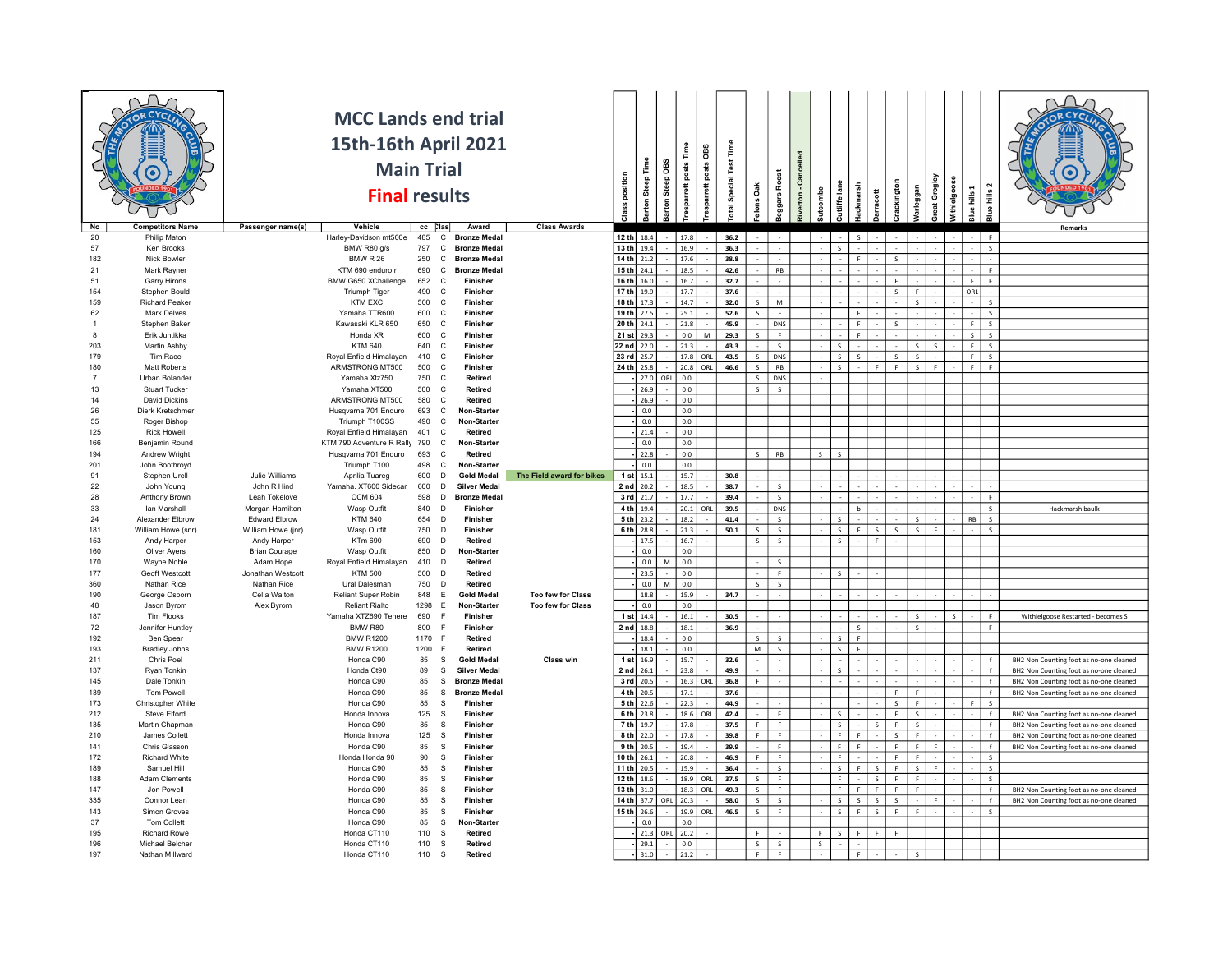|                       |                                |                              | <b>MCC Lands end trial</b><br>15th-16th April 2021<br><b>Main Trial</b> |             |                                                                 |                           |                            |                  | õв           | Time<br>OBS                       | Special Test Time |                         |                         |                    |                         |                       |              |              |              |                               |              |              |                                         |
|-----------------------|--------------------------------|------------------------------|-------------------------------------------------------------------------|-------------|-----------------------------------------------------------------|---------------------------|----------------------------|------------------|--------------|-----------------------------------|-------------------|-------------------------|-------------------------|--------------------|-------------------------|-----------------------|--------------|--------------|--------------|-------------------------------|--------------|--------------|-----------------------------------------|
|                       |                                |                              | <b>Final results</b>                                                    |             |                                                                 |                           | Class position             | arton Steep Time | <b>Steep</b> | esparrett posts<br>posts<br>rrett |                   |                         | Roost                   | verton - Cancelled |                         | ish                   |              |              |              |                               |              |              |                                         |
|                       |                                |                              |                                                                         |             |                                                                 |                           |                            |                  | larton       |                                   | <b>z</b>          | <b>Jons Oak</b>         | ggars                   |                    | tcombe                  | utliffe lane          | arracott     | rackington   | arleggan     | Great Grogley<br>Withielgoose | Blue hills 1 | lue hills 2  |                                         |
| N <sub>o</sub>        | <b>Competitors Name</b>        | Passenger name(s)            | Vehicle                                                                 | cc Clas     | Award                                                           | <b>Class Awards</b>       |                            |                  |              |                                   |                   |                         |                         |                    |                         |                       |              |              |              |                               |              |              | Remarks                                 |
| 20                    | Philip Maton                   |                              | Harley-Davidson mt500e                                                  | 485         | $\mathbf{C}$<br><b>Bronze Medal</b>                             |                           | 12 th $18.4$               |                  |              | 17.8                              | 36.2              |                         |                         |                    |                         |                       |              |              |              |                               |              | F            |                                         |
| 57                    | Ken Brooks                     |                              | BMW R80 g/s                                                             | 797         | $\mathbf{C}$<br><b>Bronze Medal</b>                             |                           | $13 th$ 19.4<br>14 th 21.2 |                  |              | 16.9<br>17.6                      | 36.3<br>38.8      |                         |                         |                    |                         | F.                    |              |              |              |                               |              | $\mathsf{s}$ |                                         |
| 182<br>21             | Nick Bowler<br>Mark Rayner     |                              | <b>BMW R 26</b><br>KTM 690 enduro r                                     | 250<br>690  | C<br><b>Bronze Medal</b><br><b>Bronze Medal</b><br>$\mathsf{C}$ |                           | 15 th 24.1                 |                  |              | 18.5                              | 42.6              |                         | RB                      |                    |                         |                       |              | S            |              |                               |              | F.           |                                         |
| 51                    | Garry Hirons                   |                              | BMW G650 XChallenge                                                     | 652         | $\mathsf{C}$<br><b>Finisher</b>                                 |                           | 16 th 16.0                 |                  |              | 16.7                              | 32.7              |                         |                         |                    |                         |                       |              | F.           |              |                               | F.           | F.           |                                         |
| 154                   | Stephen Bould                  |                              | <b>Triumph Tiger</b>                                                    | 490         | C<br>Finisher                                                   |                           | 17 th 19.9                 |                  |              | 17.7                              | 37.6              |                         |                         |                    |                         |                       |              | S            | F.           |                               | ORL          |              |                                         |
| 159                   | <b>Richard Peaker</b>          |                              | <b>KTM EXC</b>                                                          | 500         | C<br>Finisher                                                   |                           | 18 th 17.3                 |                  |              | 14.7                              | 32.0              | $\mathsf S$             | M                       |                    |                         |                       |              |              | s            |                               |              | S            |                                         |
| 62                    | <b>Mark Delves</b>             |                              | Yamaha TTR600                                                           | 600         | C<br>Finisher                                                   |                           | 19 th 27.5                 |                  |              | 25.1                              | 52.6              | $\mathsf{s}$            | F                       |                    |                         | F.                    |              |              |              |                               |              | $\mathsf{s}$ |                                         |
| -1                    | Stephen Baker                  |                              | Kawasaki KLR 650                                                        | 650         | $\mathbf{C}$<br>Finisher                                        |                           | 20 th 24.1                 |                  |              | 21.8                              | 45.9              |                         | <b>DNS</b>              |                    |                         | $\mathbb{F}$          |              | $\mathbf{S}$ |              |                               | F            | $\mathsf{s}$ |                                         |
| $\mathbf{R}$          | Erik Juntikka                  |                              | Honda XR                                                                | 600         | $\mathsf{C}$<br>Finisher                                        |                           | 21 st 29.3                 |                  |              | $_{0.0}$<br>M                     | 29.3              | $\mathsf{s}$            | F                       |                    |                         | $\mathbb{R}^n$        |              |              |              |                               | $\mathsf{s}$ | $\mathsf{s}$ |                                         |
| 203                   | <b>Martin Ashby</b>            |                              | <b>KTM 640</b>                                                          | 640         | $\mathbf{C}$<br>Finisher                                        |                           | 22 nd 22.0                 |                  |              | 21.3                              | 43.3              |                         | $\overline{\mathsf{s}}$ |                    |                         | s.                    |              |              | s            | <sub>S</sub>                  | F            | $\mathsf S$  |                                         |
| 179                   | Tim Race                       |                              | Royal Enfield Himalayan                                                 | 410         | $\mathbf C$<br>Finisher                                         |                           | 23 rd 25.7                 |                  |              | 17.8<br>ORL                       | 43.5              | S                       | DNS                     |                    |                         | $\mathsf{S}$<br>S     |              | S            | s.           |                               | F            | S            |                                         |
| 180<br>$\overline{7}$ | Matt Roberts<br>Urban Bolander |                              | ARMSTRONG MT500<br>Yamaha Xtz750                                        | 500<br>750  | $\mathbf C$<br>Finisher<br>$\mathsf{C}$<br>Retired              |                           | 24 th 25.8                 | 27.0             | ORL          | 20.8<br>ORL<br>0.0                | 46.6              | $\mathsf{s}$<br>$\sf S$ | RB<br>DNS               |                    |                         |                       | F.           | F            | $\mathsf{S}$ | - F                           | F.           | F.           |                                         |
| 13                    | <b>Stuart Tucker</b>           |                              | Yamaha XT500                                                            | 500         | $\mathbf C$<br><b>Retired</b>                                   |                           |                            | 26.9             |              | $_{0.0}$                          |                   | $\sf S$                 | $\mathsf S$             |                    |                         |                       |              |              |              |                               |              |              |                                         |
| 14                    | David Dickins                  |                              | ARMSTRONG MT500                                                         | 580         | $\mathbf{C}$<br>Retired                                         |                           |                            | 26.9             |              | $_{0.0}$                          |                   |                         |                         |                    |                         |                       |              |              |              |                               |              |              |                                         |
| 26                    | Dierk Kretschmer               |                              | Husqvarna 701 Enduro                                                    | 693         | $\mathbf{C}$<br>Non-Starter                                     |                           |                            | 0.0              |              | $0.0\,$                           |                   |                         |                         |                    |                         |                       |              |              |              |                               |              |              |                                         |
| 55                    | Roger Bishop                   |                              | Triumph T100SS                                                          | 490         | $\mathbf{C}$<br>Non-Starter                                     |                           |                            | 0.0              |              | $0.0\,$                           |                   |                         |                         |                    |                         |                       |              |              |              |                               |              |              |                                         |
| 125                   | <b>Rick Howell</b>             |                              | Royal Enfield Himalayan                                                 | 401         | C<br>Retired                                                    |                           |                            | 21.4             |              | 0.0                               |                   |                         |                         |                    |                         |                       |              |              |              |                               |              |              |                                         |
| 166                   | Benjamin Round                 |                              | KTM 790 Adventure R Rally 790                                           |             | $\mathbf{C}$<br>Non-Starter                                     |                           |                            | 0.0              |              | 0.0                               |                   |                         |                         |                    |                         |                       |              |              |              |                               |              |              |                                         |
| 194                   | Andrew Wright                  |                              | Husqvarna 701 Enduro                                                    | 693         | $\mathsf{C}$<br>Retired                                         |                           |                            | 22.8             |              | $_{0.0}$                          |                   | $\overline{\mathbf{s}}$ | RB                      |                    | $\overline{\mathsf{s}}$ | $\epsilon$            |              |              |              |                               |              |              |                                         |
| 201                   | John Boothroyd                 |                              | Triumph T100                                                            | 498         | $\mathsf{C}$<br>Non-Starter                                     |                           |                            | $0.0\,$          |              | $0.0\,$                           |                   |                         |                         |                    |                         |                       |              |              |              |                               |              |              |                                         |
| 91                    | Stephen Urell                  | Julie Williams               | Aprilia Tuareg                                                          | 600         | D<br><b>Gold Medal</b>                                          | The Field award for bikes | 1 st $15.1$                |                  |              | 15.7                              | 30.8              |                         |                         |                    |                         |                       |              |              |              |                               |              |              |                                         |
| 22<br>28              | John Young<br>Anthony Brown    | John R Hind<br>Leah Tokelove | Yamaha. XT600 Sidecar<br><b>CCM 604</b>                                 | 600<br>598  | D<br><b>Silver Medal</b><br>D<br><b>Bronze Medal</b>            |                           | $2$ nd $20.2$<br>3 rd 21.7 |                  |              | 18.5<br>17.7                      | 38.7<br>39.4      |                         | S<br>S                  |                    |                         |                       |              |              |              |                               |              | F.           |                                         |
| 33                    | Ian Marshall                   | Morgan Hamilton              | Wasp Outfit                                                             | 840         | $\Gamma$<br>Finisher                                            |                           | 4 th 19.4                  |                  |              | 20.1<br>ORL                       | 39.5              |                         | DNS                     |                    |                         | b                     |              |              |              |                               |              | $\mathsf{s}$ | Hackmarsh baulk                         |
| 24                    | Alexander Elbrow               | <b>Edward Elbrow</b>         | <b>KTM 640</b>                                                          | 654         | $\overline{D}$<br>Finisher                                      |                           | $5th$ 23.2                 |                  |              | 18.2                              | 41.4              |                         | S                       |                    |                         | $\mathsf{s}$          |              |              | S.           |                               | <b>RB</b>    | S            |                                         |
| 181                   | William Howe (snr)             | William Howe (jnr)           | Wasp Outfit                                                             | 750         | D<br>Finisher                                                   |                           | 6 th 28.8                  |                  |              | 21.3                              | 50.1              | $\mathsf{s}$            | S                       |                    |                         | $\mathsf{s}$<br>F.    | s.           | S            | S            | - F                           |              | S            |                                         |
| 153                   | Andy Harper                    | Andy Harper                  | KTm 690                                                                 | 690         | D<br>Retired                                                    |                           |                            | 17.5             |              | 16.7                              |                   | S                       | S                       |                    |                         | $\mathsf{S}$          | F            |              |              |                               |              |              |                                         |
| 160                   | <b>Oliver Avers</b>            | <b>Brian Courage</b>         | Wasp Outfit                                                             | 850         | D<br>Non-Starter                                                |                           |                            | 0.0              |              | 0.0                               |                   |                         |                         |                    |                         |                       |              |              |              |                               |              |              |                                         |
| 170                   | Wayne Noble                    | Adam Hope                    | Royal Enfield Himalayan                                                 | 410         | D<br>Retired                                                    |                           |                            | $0.0\,$          | M            | $0.0\,$                           |                   |                         | $\mathsf{s}$            |                    |                         |                       |              |              |              |                               |              |              |                                         |
| 177                   | Geoff Westcott                 | Jonathan Westcott            | <b>KTM 500</b>                                                          | 500         | <b>Retired</b><br>D                                             |                           |                            | 23.5             |              | $_{0.0}$                          |                   | in 1                    | F                       |                    |                         | $\sim$                |              |              |              |                               |              |              |                                         |
| 360                   | Nathan Rice                    | Nathan Rice                  | Ural Dalesman                                                           | 750         | D<br>Retired                                                    |                           |                            | $0.0\,$          | M            | $0.0\,$                           |                   | $\mathsf{s}$            | S                       |                    |                         |                       |              |              |              |                               |              |              |                                         |
| 190                   | George Osborn                  | Celia Walton                 | Reliant Super Robin                                                     | 848         | E<br><b>Gold Medal</b>                                          | <b>Too few for Class</b>  |                            | 18.8             |              | 15.9                              | 34.7              |                         |                         |                    |                         |                       |              |              |              |                               |              |              |                                         |
| 48                    | Jason Byrom                    | Alex Byrom                   | Reliant Rialto                                                          | 1298        | E<br>Non-Starter                                                | <b>Too few for Class</b>  |                            | 0.0              |              | 0.0                               |                   |                         |                         |                    |                         |                       |              |              |              |                               |              |              |                                         |
| 187                   | Tim Flooks                     |                              | Yamaha XTZ690 Tenere                                                    | 690         | Finisher<br>E                                                   |                           | 1 st 14.4                  |                  |              | 16.1                              | 30.5              |                         |                         |                    |                         |                       |              |              | $\mathsf{S}$ | $\overline{\mathbf{s}}$       |              | F.           | Withielgoose Restarted - becomes S      |
| $72\,$<br>192         | Jennifer Huntley<br>Ben Spear  |                              | BMW R80<br><b>BMW R1200</b>                                             | 800<br>1170 | <b>Finisher</b><br>Retired<br>-F                                |                           | 2 nd 18.8                  |                  |              | 18.1<br>0.0                       | 36.9              | S                       | S                       |                    |                         | S<br>S<br>- F         |              |              | S            |                               |              | $\mathsf F$  |                                         |
| 193                   | <b>Bradley Johns</b>           |                              | <b>BMW R1200</b>                                                        | 1200        | Retired<br>-F                                                   |                           |                            | 18.4<br>18.1     |              | $_{0.0}$                          |                   | M                       | S                       |                    |                         | $\mathsf{s}$<br>F.    |              |              |              |                               |              |              |                                         |
| 211                   | Chris Poel                     |                              | Honda C90                                                               | 85          | - S<br><b>Gold Medal</b>                                        | Class win                 | 1 st $16.9$                |                  |              | 15.7                              | 32.6              |                         |                         |                    |                         |                       |              |              |              |                               |              | f            | BH2 Non Counting foot as no-one cleaned |
| 137                   | Ryan Tonkin                    |                              | Honda Ct90                                                              | 89          | <b>Silver Medal</b><br>-S                                       |                           | $2$ nd $26.1$              |                  |              | 23.8                              | 49.9              |                         |                         |                    |                         | $\leq$                |              |              |              |                               |              | $\ddot{f}$   | BH2 Non Counting foot as no-one cleaned |
| 145                   | Dale Tonkin                    |                              | Honda C90                                                               | 85          | -S<br><b>Bronze Medal</b>                                       |                           | 3 rd 20.5                  |                  |              | 16.3<br>ORI                       | 36.8              | $\mathsf{F}$            |                         |                    |                         |                       |              |              |              |                               |              |              | BH2 Non Counting foot as no-one cleaned |
| 139                   | Tom Powell                     |                              | Honda C90                                                               | 85          | -S<br><b>Bronze Medal</b>                                       |                           | 4 th 20.5                  |                  |              | 17.1                              | 37.6              |                         |                         |                    |                         |                       |              | F            | F.           |                               |              | $\ddot{f}$   | BH2 Non Counting foot as no-one cleaned |
| 173                   | Christopher White              |                              | Honda C90                                                               | 85          | s<br>Finisher                                                   |                           | 5 th 22.6                  |                  |              | 22.3                              | 44.9              |                         |                         |                    |                         |                       |              | $\mathsf{S}$ | F.           |                               |              | s            |                                         |
| 212                   | Steve Elford                   |                              | Honda Innova                                                            | 125         | Finisher<br>-S                                                  |                           | 6 th 23.8                  |                  |              | 18.6<br>ORL                       | 42.4              |                         | F                       |                    |                         |                       |              | F            | s.           |                               |              | f            | BH2 Non Counting foot as no-one cleaned |
| 135                   | Martin Chapman                 |                              | Honda C90                                                               | 85          | s<br>Finisher                                                   |                           | 7 th 19.7                  |                  |              | 17.8                              | 37.5              | F.                      | F<br>$\mathbb{R}^+$     |                    |                         | -S<br>$\mathbf{F}$    | s            | F            | s.           |                               |              | f            | BH2 Non Counting foot as no-one cleaned |
| 210<br>141            | James Collett<br>Chris Glasson |                              | Honda Innova<br>Honda C90                                               | 125<br>85   | $\mathbf{s}$<br>Finisher<br>- S<br>Finisher                     |                           | $8 th$ 22.0<br>$9 th$ 20.5 |                  |              | 17.8                              | 39.8<br>39.9      | $\mathsf F$             | F                       |                    |                         | <b>C</b><br>-F.<br>F. |              | S<br>F       | F.<br>F.     | -F                            |              | f<br>f       | BH2 Non Counting foot as no-one cleaned |
| 172                   | <b>Richard White</b>           |                              | Honda Honda 90                                                          | 90          | s<br>Finisher                                                   |                           | $10 th$ 26.1               |                  |              | 19.4<br>20.8                      | 46.9              | F.                      | F.                      |                    |                         | F.                    |              | F            | F.           |                               |              | $\mathsf S$  | BH2 Non Counting foot as no-one cleaned |
| 189                   | Samuel Hill                    |                              | Honda C90                                                               | 85          | s<br>Finisher                                                   |                           | 11 th 20.5                 |                  |              | 15.9                              | 36.4              |                         | S                       |                    |                         | s.                    | S            | F            | s.           | -F                            |              | S            |                                         |
| 188                   | <b>Adam Clements</b>           |                              | Honda C90                                                               | 85          | s.<br>Finisher                                                  |                           | 12 th                      | 18.6             |              | 18.9<br>ORL                       | 37.5              | $\mathsf{s}$            | F                       |                    |                         | F.                    | $\mathbf{s}$ | F            | F.           |                               |              | S            |                                         |
| 147                   | Jon Powell                     |                              | Honda C90                                                               | 85          | s<br>Finisher                                                   |                           | $13 th$ 31.0               |                  |              | 18.3<br>ORL                       | 49.3              | $\sf S$                 | F                       |                    |                         | F<br>F.               | F.           | F            | F.           |                               |              | $\mathsf{f}$ | BH2 Non Counting foot as no-one cleaned |
| 335                   | Connor Lean                    |                              | Honda C90                                                               | 85          | -S<br>Finisher                                                  |                           | 14 th 37.7 ORL             |                  |              | 20.3                              | 58.0              | $\mathsf{s}$            | $\overline{\mathsf{s}}$ |                    |                         | $\sim$<br>$\sim$      | $\mathsf S$  | $\mathsf{s}$ |              |                               |              | $\epsilon$   | BH2 Non Counting foot as no-one cleaned |
| 143                   | Simon Groves                   |                              | Honda C90                                                               | 85          | s<br>Finisher                                                   |                           | 15 th                      | 26.6             |              | 19.9<br>ORL                       | 46.5              | $\mathsf{s}$            | F                       |                    |                         | $\leq$<br>F.          | $\mathbf{s}$ | F            |              |                               |              | s            |                                         |
| 37                    | Tom Collett                    |                              | Honda C90                                                               | 85          | s<br>Non-Starter                                                |                           |                            | $0.0\,$          |              | $0.0\,$                           |                   |                         |                         |                    |                         |                       |              |              |              |                               |              |              |                                         |
| 195                   | <b>Richard Rowe</b>            |                              | Honda CT110                                                             | 110         | <sub>S</sub><br>Retired                                         |                           |                            | 21.3             | ORL          | 20.2                              |                   | F.                      | F.                      |                    | F.                      | l e l<br>$\mathsf{S}$ | F.           | F            |              |                               |              |              |                                         |
| 196                   | Michael Belcher                |                              | Honda CT110                                                             | 110         | $\mathbb S$<br>Retired                                          |                           |                            | 29.1             |              | 0.0                               |                   | S.                      | S                       |                    | S.                      |                       |              |              |              |                               |              |              |                                         |
| 197                   | Nathan Millward                |                              | Honda CT110                                                             | 110         | $\mathbb S$<br>Retired                                          |                           |                            | 31.0             |              | 21.2                              |                   | F                       | F                       |                    |                         | F                     |              |              |              |                               |              |              |                                         |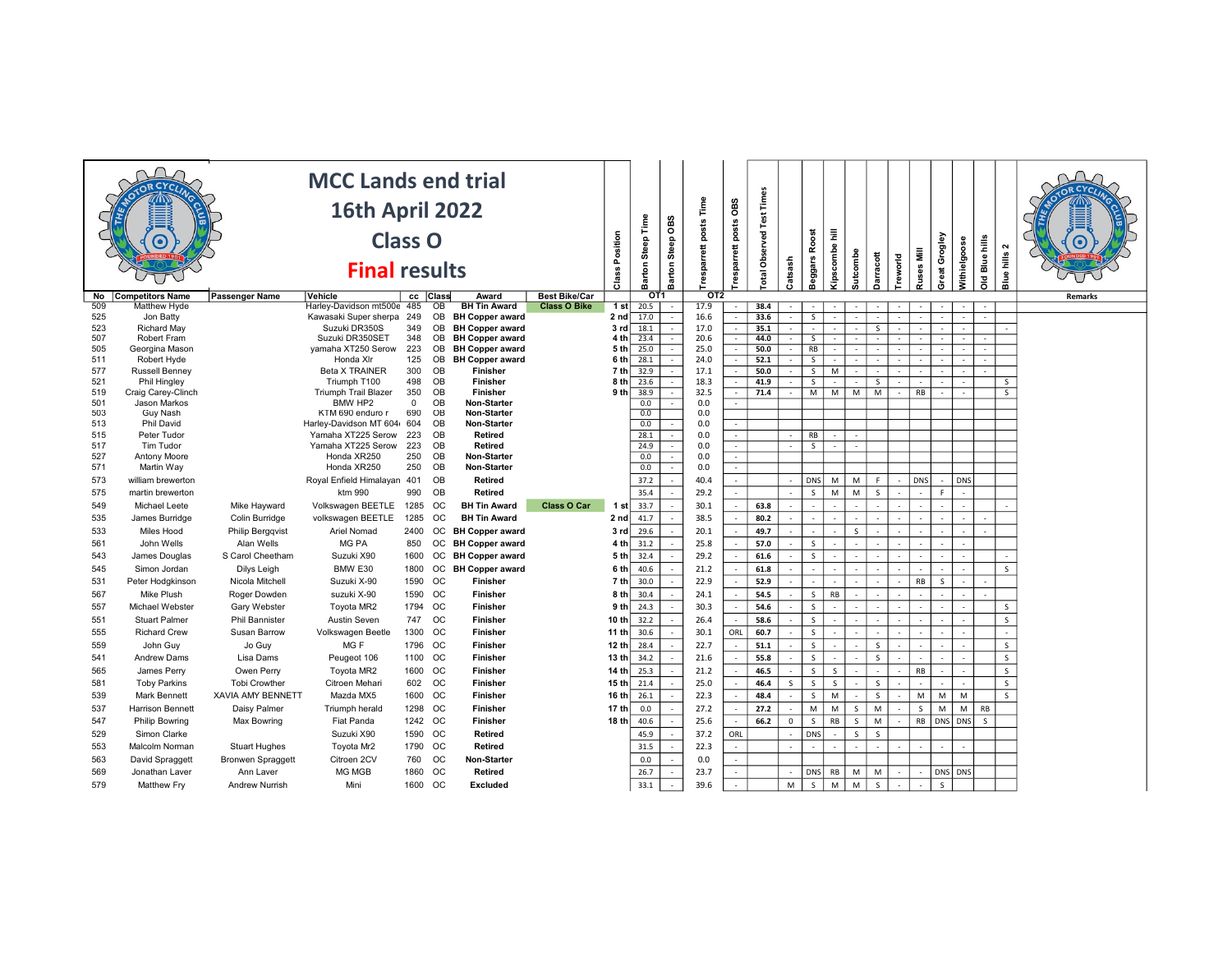| OT <sub>1</sub><br>OT2<br>cc Class<br><b>Competitors Name</b><br>Passenger Name<br>Vehicle<br>Award<br><b>Best Bike/Car</b><br>No<br><b>Remarks</b><br>Harley-Davidson mt500e 485<br><b>BH Tin Award</b><br>Class O Bike<br>1 st<br>38.4<br>509<br>Matthew Hyde<br>OB<br>20.5<br>17.9<br>$\sim$<br>÷<br>16.6<br>525<br>Kawasaki Super sherpa<br>249<br>2 nd<br>17.0<br>33.6<br>Jon Batty<br>OB<br><b>BH Copper award</b><br>S.<br>$\sim$<br>÷<br>18.1<br>17.0<br>523<br>Richard May<br>Suzuki DR350S<br>349<br><b>OB</b><br><b>BH Copper award</b><br>35.1<br>3rd<br>$\sim$<br>S.<br>$\sim$<br>20.6<br>507<br>Suzuki DR350SET<br>23.4<br>348<br>OB<br><b>BH Copper award</b><br>4 th<br>44.0<br>Robert Fram<br>Ξ<br>÷<br>$\overline{\mathsf{s}}$<br>٠<br>25.0<br>OB<br>505<br>Georgina Mason<br>yamaha XT250 Serow<br>223<br><b>BH Copper award</b><br>5 th<br>25.0<br>50.0<br>RB<br>$\sim$<br>$\overline{a}$<br>28.1<br>24.0<br>Robert Hyde<br>Honda XIr<br>125<br>OB<br><b>BH Copper award</b><br>6 <sub>th</sub><br>52.1<br>$\overline{\mathsf{s}}$<br>$\sim$<br>÷<br>17.1<br><b>Beta X TRAINER</b><br>300<br>OB<br>Finisher<br>7 th<br>32.9<br>50.0<br>S<br>M<br><b>Russell Benney</b><br>$\sim$<br>$\sim$<br>$\sim$<br>18.3<br>Phil Hingley<br>Triumph T100<br>498<br>OB<br>Finisher<br>8 <sub>th</sub><br>23.6<br>41.9<br>S.<br>S<br>S<br>$\sim$<br>$\overline{\phantom{a}}$<br>$\sim$<br>OB<br>32.5<br>Craig Carey-Clinch<br><b>Triumph Trail Blazer</b><br>350<br><b>Finisher</b><br>9 <sub>th</sub><br>38.9<br>71.4<br>M<br>M<br>M<br>M<br>RB<br>S<br>÷<br>$\sim$<br>$\overline{\phantom{a}}$<br>0.0<br>Jason Markos<br>BMW HP2<br>$^{\circ}$<br>OB<br>Non-Starter<br>0.0<br>$\sim$<br>0.0<br>690<br>OB<br>0.0<br>503<br><b>Guy Nash</b><br>KTM 690 enduro r<br><b>Non-Starter</b><br><b>Phil David</b><br>Harley-Davidson MT 604<br>OB<br>0.0<br>513<br>604<br><b>Non-Starter</b><br>0.0<br>0.0<br>Peter Tudor<br>Yamaha XT225 Serow<br>223<br>OB<br>Retired<br>28.1<br>RB<br>515<br>$\sim$<br>OB<br>0.0<br>517<br>Tim Tudor<br>Yamaha XT225 Serow<br>223<br><b>Retired</b><br>24.9<br>$\overline{\mathsf{s}}$<br>$\sim$<br>$\sim$<br>0.0<br>527<br>Honda XR250<br>250<br>OB<br>0.0<br><b>Antony Moore</b><br>Non-Starter<br>$\sim$<br>$\sim$<br>571<br>Honda XR250<br>250<br>OB<br>0.0<br>0.0<br>Martin Way<br>Non-Starter<br>$\sim$<br>$\sim$<br>40.4<br>OB<br>37.2<br>DNS<br>M<br>M<br>F<br><b>DNS</b><br>DNS<br>573<br>Royal Enfield Himalayan 401<br>Retired<br>william brewerton<br>$\sim$<br>$\sim$<br>35.4<br>$\mathsf{s}$<br>M<br>990<br>OB<br>29.2<br>M<br>$\mathsf{S}$<br>$\mathsf{F}$<br>575<br>ktm 990<br>Retired<br>martin brewerton<br>$\overline{\phantom{a}}$<br>$\sim$<br>$\overline{\phantom{a}}$<br>1285<br><b>Class O Car</b><br>33.7<br>30.1<br>63.8<br>549<br>Volkswagen BEETLE<br>ОC<br><b>BH Tin Award</b><br>Michael Leete<br>Mike Hayward<br>1 st<br>$\sim$<br>$\sim$<br>$\overline{\phantom{a}}$<br>41.7<br>38.5<br>James Burridge<br>Colin Burridge<br>volkswagen BEETLE<br>1285<br><b>OC</b><br><b>BH Tin Award</b><br>2 nd<br>80.2<br>535<br>$\sim$<br>$\sim$<br>÷<br>29.6<br>20.1<br>Miles Hood<br><b>Philip Bergqvist</b><br>Ariel Nomad<br><b>OC</b><br><b>BH Copper award</b><br>49.7<br>2400<br>3 rd<br>-S<br>$\overline{\phantom{a}}$<br>÷<br>$\overline{\phantom{a}}$<br>John Wells<br>Alan Wells<br>MG PA<br><b>OC</b><br><b>BH Copper award</b><br>31.2<br>25.8<br>57.0<br><sub>S</sub><br>850<br>4 th<br>$\overline{a}$<br>29.2<br>Suzuki X90<br><b>BH Copper award</b><br>32.4<br>61.6<br>$\mathsf{s}$<br>James Douglas<br>S Carol Cheetham<br>1600<br>ОC<br>5 th<br>$\sim$<br>$\overline{a}$<br>BMW E30<br>40.6<br>21.2<br>61.8<br>$\mathsf{s}$<br>Simon Jordan<br>1800<br>OC<br><b>BH Copper award</b><br>6 th<br>Dilys Leigh<br>$\sim$<br>22.9<br>Suzuki X-90<br><b>OC</b><br>30.0<br>RB<br>Peter Hodgkinson<br>Nicola Mitchell<br>1590<br>Finisher<br>7 th<br>52.9<br>$\mathsf{S}$<br>$\sim$<br>$\overline{\phantom{a}}$<br>$\overline{\phantom{a}}$<br>٠<br>30.4<br>24.1<br>54.5<br>$\mathsf{s}$<br>RB<br>Mike Plush<br>Roger Dowden<br>suzuki X-90<br>1590 OC<br>Finisher<br>8 th<br>30.3<br>$\mathsf{s}$<br>$\mathsf{s}$<br>Michael Webster<br>Gary Webster<br>Toyota MR2<br>1794 OC<br>Finisher<br>9 th<br>24.3<br>54.6<br>$\overline{\phantom{a}}$<br>32.2<br>26.4<br>$\mathsf{s}$<br>$\mathsf{s}$<br><b>Stuart Palmer</b><br><b>Phil Bannister</b><br>Austin Seven<br>747 OC<br><b>Finisher</b><br>10 th<br>58.6<br>$\sim$<br>ORL<br><b>Richard Crew</b><br>Susan Barrow<br>Volkswagen Beetle<br>1300 OC<br><b>Finisher</b><br>30.6<br>30.1<br>60.7<br>$\mathsf{s}$<br>11 th<br>$\sim$<br>$\overline{a}$<br>22.7<br>MG F<br>1796 OC<br>Finisher<br>12 th<br>28.4<br>$\mathsf{s}$<br>$\mathsf S$<br>559<br>John Guy<br>Jo Guy<br>51.1<br>$\mathsf{S}$<br>$\sim$<br>$\mathsf S$<br>1100 OC<br>34.2<br>21.6<br>55.8<br>$\mathsf{s}$<br>$\mathsf{s}$<br><b>Andrew Dams</b><br>Lisa Dams<br>Peugeot 106<br>Finisher<br>13 th<br>541<br>$\overline{\phantom{a}}$<br>1600 OC<br>25.3<br>21.2<br>46.5<br>$\mathsf{s}$<br>S<br>RB<br>$\mathsf{s}$<br>565<br>James Perry<br>Owen Perry<br>Toyota MR2<br>Finisher<br>14 th<br>25.0<br>$\mathsf{s}$<br><b>Toby Parkins</b><br><b>Tobi Crowther</b><br>Citroen Mehari<br>602 OC<br>Finisher<br>15 th<br>21.4<br>46.4<br>S<br>$\mathsf{S}$<br>$\mathsf{S}$<br>581<br>S<br>$\mathsf{s}$<br>22.3<br>48.4<br>$\mathsf{s}$<br>M<br>$\mathsf{s}$<br><b>Mark Bennett</b><br><b>XAVIA AMY BENNETT</b><br>Mazda MX5<br>1600 OC<br>Finisher<br>16 th<br>26.1<br>M<br>M<br>M<br>539<br>$\sim$<br>27.2<br>Harrison Bennett<br>Triumph herald<br>1298 OC<br><b>Finisher</b><br>17 th<br>M<br>M<br>M<br>M<br>M<br>RB<br>Daisy Palmer<br>0.0<br>27.2<br>$\mathsf{S}$<br>$\mathsf{S}$<br>$\sim$<br>25.6<br>$\mathsf{s}$<br>$\mathsf{RB}$<br>RB<br>DNS DNS<br>Fiat Panda<br>1242 OC<br><b>Finisher</b><br>18 th<br>40.6<br>66.2<br>$\mathbf{0}$<br>M<br>$\mathsf{s}$<br><b>Philip Bowring</b><br>Max Bowring<br><sub>S</sub><br>37.2<br>1590 OC<br>ORL<br>DNS<br>Simon Clarke<br>Suzuki X90<br><b>Retired</b><br>45.9<br>$\mathsf{S}$<br>$\overline{\phantom{a}}$<br><sub>S</sub><br>$\sim$<br>22.3<br>31.5<br>Malcolm Norman<br><b>Stuart Hughes</b><br>Toyota Mr2<br>1790 OC<br><b>Retired</b><br>$\sim$<br>$_{\rm OC}$<br>0.0<br><b>Bronwen Spraggett</b><br>Citroen 2CV<br>760<br>Non-Starter<br>0.0<br>David Spraggett<br>23.7<br>Ann Laver<br>MG MGB<br>1860 OC<br>Retired<br>26.7<br>DNS<br>RB<br>DNS DNS<br>Jonathan Laver<br>M<br>M<br>33.1<br>39.6<br>$\mathsf{s}$<br>Mini<br>1600<br><b>OC</b><br>M<br>S<br>M<br>$\mathsf{S}$<br>Matthew Fry<br><b>Andrew Nurrish</b><br><b>Excluded</b><br>M |     |  | <b>MCC Lands end trial</b><br><b>16th April 2022</b><br><b>Class O</b><br><b>Final results</b> |  |  | Position<br>Class | Steep Time<br>Barton: | Steep OBS<br>Barton | Time<br>posts<br>resparrett | <b>OBS</b><br>posts<br>resparrett | Times<br>Test<br>otal Observed | Catsash | Roost<br><b>Beggars</b> | F.<br>Kipscombe | Sutcombe | Darracott<br>Treworld | $\overline{\overline{\mathbf{s}}}$<br>Ruses | Great Grogley | <b>Withielgoose</b> | Old Blue hills | $\sim$<br>Blue hills |  |
|------------------------------------------------------------------------------------------------------------------------------------------------------------------------------------------------------------------------------------------------------------------------------------------------------------------------------------------------------------------------------------------------------------------------------------------------------------------------------------------------------------------------------------------------------------------------------------------------------------------------------------------------------------------------------------------------------------------------------------------------------------------------------------------------------------------------------------------------------------------------------------------------------------------------------------------------------------------------------------------------------------------------------------------------------------------------------------------------------------------------------------------------------------------------------------------------------------------------------------------------------------------------------------------------------------------------------------------------------------------------------------------------------------------------------------------------------------------------------------------------------------------------------------------------------------------------------------------------------------------------------------------------------------------------------------------------------------------------------------------------------------------------------------------------------------------------------------------------------------------------------------------------------------------------------------------------------------------------------------------------------------------------------------------------------------------------------------------------------------------------------------------------------------------------------------------------------------------------------------------------------------------------------------------------------------------------------------------------------------------------------------------------------------------------------------------------------------------------------------------------------------------------------------------------------------------------------------------------------------------------------------------------------------------------------------------------------------------------------------------------------------------------------------------------------------------------------------------------------------------------------------------------------------------------------------------------------------------------------------------------------------------------------------------------------------------------------------------------------------------------------------------------------------------------------------------------------------------------------------------------------------------------------------------------------------------------------------------------------------------------------------------------------------------------------------------------------------------------------------------------------------------------------------------------------------------------------------------------------------------------------------------------------------------------------------------------------------------------------------------------------------------------------------------------------------------------------------------------------------------------------------------------------------------------------------------------------------------------------------------------------------------------------------------------------------------------------------------------------------------------------------------------------------------------------------------------------------------------------------------------------------------------------------------------------------------------------------------------------------------------------------------------------------------------------------------------------------------------------------------------------------------------------------------------------------------------------------------------------------------------------------------------------------------------------------------------------------------------------------------------------------------------------------------------------------------------------------------------------------------------------------------------------------------------------------------------------------------------------------------------------------------------------------------------------------------------------------------------------------------------------------------------------------------------------------------------------------------------------------------------------------------------------------------------------------------------------------------------------------------------------------------------------------------------------------------------------------------------------------------------------------------------------------------------------------------------------------------------------------------------------------------------------------------------------------------------------------------------------------------------------------------------------------------------------------------------------------------------------------------------------------------------------------------------------------------------------------------------------------------------------------------------------------------------------------------------------------------------------------------------------------------------------------------------------------------------------------------------------------------------------------------------------------------------------------------------------------------------------------------------------------------------------------------------------------------------------------------------------------------------------------------------------------------------------------------------------------------------------------------------------------------------------------------------------------------|-----|--|------------------------------------------------------------------------------------------------|--|--|-------------------|-----------------------|---------------------|-----------------------------|-----------------------------------|--------------------------------|---------|-------------------------|-----------------|----------|-----------------------|---------------------------------------------|---------------|---------------------|----------------|----------------------|--|
|                                                                                                                                                                                                                                                                                                                                                                                                                                                                                                                                                                                                                                                                                                                                                                                                                                                                                                                                                                                                                                                                                                                                                                                                                                                                                                                                                                                                                                                                                                                                                                                                                                                                                                                                                                                                                                                                                                                                                                                                                                                                                                                                                                                                                                                                                                                                                                                                                                                                                                                                                                                                                                                                                                                                                                                                                                                                                                                                                                                                                                                                                                                                                                                                                                                                                                                                                                                                                                                                                                                                                                                                                                                                                                                                                                                                                                                                                                                                                                                                                                                                                                                                                                                                                                                                                                                                                                                                                                                                                                                                                                                                                                                                                                                                                                                                                                                                                                                                                                                                                                                                                                                                                                                                                                                                                                                                                                                                                                                                                                                                                                                                                                                                                                                                                                                                                                                                                                                                                                                                                                                                                                                                                                                                                                                                                                                                                                                                                                                                                                                                                                                                                                                                                          |     |  |                                                                                                |  |  |                   |                       |                     |                             |                                   |                                |         |                         |                 |          |                       |                                             |               |                     |                |                      |  |
|                                                                                                                                                                                                                                                                                                                                                                                                                                                                                                                                                                                                                                                                                                                                                                                                                                                                                                                                                                                                                                                                                                                                                                                                                                                                                                                                                                                                                                                                                                                                                                                                                                                                                                                                                                                                                                                                                                                                                                                                                                                                                                                                                                                                                                                                                                                                                                                                                                                                                                                                                                                                                                                                                                                                                                                                                                                                                                                                                                                                                                                                                                                                                                                                                                                                                                                                                                                                                                                                                                                                                                                                                                                                                                                                                                                                                                                                                                                                                                                                                                                                                                                                                                                                                                                                                                                                                                                                                                                                                                                                                                                                                                                                                                                                                                                                                                                                                                                                                                                                                                                                                                                                                                                                                                                                                                                                                                                                                                                                                                                                                                                                                                                                                                                                                                                                                                                                                                                                                                                                                                                                                                                                                                                                                                                                                                                                                                                                                                                                                                                                                                                                                                                                                          |     |  |                                                                                                |  |  |                   |                       |                     |                             |                                   |                                |         |                         |                 |          |                       |                                             |               |                     |                |                      |  |
|                                                                                                                                                                                                                                                                                                                                                                                                                                                                                                                                                                                                                                                                                                                                                                                                                                                                                                                                                                                                                                                                                                                                                                                                                                                                                                                                                                                                                                                                                                                                                                                                                                                                                                                                                                                                                                                                                                                                                                                                                                                                                                                                                                                                                                                                                                                                                                                                                                                                                                                                                                                                                                                                                                                                                                                                                                                                                                                                                                                                                                                                                                                                                                                                                                                                                                                                                                                                                                                                                                                                                                                                                                                                                                                                                                                                                                                                                                                                                                                                                                                                                                                                                                                                                                                                                                                                                                                                                                                                                                                                                                                                                                                                                                                                                                                                                                                                                                                                                                                                                                                                                                                                                                                                                                                                                                                                                                                                                                                                                                                                                                                                                                                                                                                                                                                                                                                                                                                                                                                                                                                                                                                                                                                                                                                                                                                                                                                                                                                                                                                                                                                                                                                                                          |     |  |                                                                                                |  |  |                   |                       |                     |                             |                                   |                                |         |                         |                 |          |                       |                                             |               |                     |                |                      |  |
|                                                                                                                                                                                                                                                                                                                                                                                                                                                                                                                                                                                                                                                                                                                                                                                                                                                                                                                                                                                                                                                                                                                                                                                                                                                                                                                                                                                                                                                                                                                                                                                                                                                                                                                                                                                                                                                                                                                                                                                                                                                                                                                                                                                                                                                                                                                                                                                                                                                                                                                                                                                                                                                                                                                                                                                                                                                                                                                                                                                                                                                                                                                                                                                                                                                                                                                                                                                                                                                                                                                                                                                                                                                                                                                                                                                                                                                                                                                                                                                                                                                                                                                                                                                                                                                                                                                                                                                                                                                                                                                                                                                                                                                                                                                                                                                                                                                                                                                                                                                                                                                                                                                                                                                                                                                                                                                                                                                                                                                                                                                                                                                                                                                                                                                                                                                                                                                                                                                                                                                                                                                                                                                                                                                                                                                                                                                                                                                                                                                                                                                                                                                                                                                                                          |     |  |                                                                                                |  |  |                   |                       |                     |                             |                                   |                                |         |                         |                 |          |                       |                                             |               |                     |                |                      |  |
|                                                                                                                                                                                                                                                                                                                                                                                                                                                                                                                                                                                                                                                                                                                                                                                                                                                                                                                                                                                                                                                                                                                                                                                                                                                                                                                                                                                                                                                                                                                                                                                                                                                                                                                                                                                                                                                                                                                                                                                                                                                                                                                                                                                                                                                                                                                                                                                                                                                                                                                                                                                                                                                                                                                                                                                                                                                                                                                                                                                                                                                                                                                                                                                                                                                                                                                                                                                                                                                                                                                                                                                                                                                                                                                                                                                                                                                                                                                                                                                                                                                                                                                                                                                                                                                                                                                                                                                                                                                                                                                                                                                                                                                                                                                                                                                                                                                                                                                                                                                                                                                                                                                                                                                                                                                                                                                                                                                                                                                                                                                                                                                                                                                                                                                                                                                                                                                                                                                                                                                                                                                                                                                                                                                                                                                                                                                                                                                                                                                                                                                                                                                                                                                                                          |     |  |                                                                                                |  |  |                   |                       |                     |                             |                                   |                                |         |                         |                 |          |                       |                                             |               |                     |                |                      |  |
|                                                                                                                                                                                                                                                                                                                                                                                                                                                                                                                                                                                                                                                                                                                                                                                                                                                                                                                                                                                                                                                                                                                                                                                                                                                                                                                                                                                                                                                                                                                                                                                                                                                                                                                                                                                                                                                                                                                                                                                                                                                                                                                                                                                                                                                                                                                                                                                                                                                                                                                                                                                                                                                                                                                                                                                                                                                                                                                                                                                                                                                                                                                                                                                                                                                                                                                                                                                                                                                                                                                                                                                                                                                                                                                                                                                                                                                                                                                                                                                                                                                                                                                                                                                                                                                                                                                                                                                                                                                                                                                                                                                                                                                                                                                                                                                                                                                                                                                                                                                                                                                                                                                                                                                                                                                                                                                                                                                                                                                                                                                                                                                                                                                                                                                                                                                                                                                                                                                                                                                                                                                                                                                                                                                                                                                                                                                                                                                                                                                                                                                                                                                                                                                                                          | 511 |  |                                                                                                |  |  |                   |                       |                     |                             |                                   |                                |         |                         |                 |          |                       |                                             |               |                     |                |                      |  |
|                                                                                                                                                                                                                                                                                                                                                                                                                                                                                                                                                                                                                                                                                                                                                                                                                                                                                                                                                                                                                                                                                                                                                                                                                                                                                                                                                                                                                                                                                                                                                                                                                                                                                                                                                                                                                                                                                                                                                                                                                                                                                                                                                                                                                                                                                                                                                                                                                                                                                                                                                                                                                                                                                                                                                                                                                                                                                                                                                                                                                                                                                                                                                                                                                                                                                                                                                                                                                                                                                                                                                                                                                                                                                                                                                                                                                                                                                                                                                                                                                                                                                                                                                                                                                                                                                                                                                                                                                                                                                                                                                                                                                                                                                                                                                                                                                                                                                                                                                                                                                                                                                                                                                                                                                                                                                                                                                                                                                                                                                                                                                                                                                                                                                                                                                                                                                                                                                                                                                                                                                                                                                                                                                                                                                                                                                                                                                                                                                                                                                                                                                                                                                                                                                          | 577 |  |                                                                                                |  |  |                   |                       |                     |                             |                                   |                                |         |                         |                 |          |                       |                                             |               |                     |                |                      |  |
|                                                                                                                                                                                                                                                                                                                                                                                                                                                                                                                                                                                                                                                                                                                                                                                                                                                                                                                                                                                                                                                                                                                                                                                                                                                                                                                                                                                                                                                                                                                                                                                                                                                                                                                                                                                                                                                                                                                                                                                                                                                                                                                                                                                                                                                                                                                                                                                                                                                                                                                                                                                                                                                                                                                                                                                                                                                                                                                                                                                                                                                                                                                                                                                                                                                                                                                                                                                                                                                                                                                                                                                                                                                                                                                                                                                                                                                                                                                                                                                                                                                                                                                                                                                                                                                                                                                                                                                                                                                                                                                                                                                                                                                                                                                                                                                                                                                                                                                                                                                                                                                                                                                                                                                                                                                                                                                                                                                                                                                                                                                                                                                                                                                                                                                                                                                                                                                                                                                                                                                                                                                                                                                                                                                                                                                                                                                                                                                                                                                                                                                                                                                                                                                                                          | 521 |  |                                                                                                |  |  |                   |                       |                     |                             |                                   |                                |         |                         |                 |          |                       |                                             |               |                     |                |                      |  |
|                                                                                                                                                                                                                                                                                                                                                                                                                                                                                                                                                                                                                                                                                                                                                                                                                                                                                                                                                                                                                                                                                                                                                                                                                                                                                                                                                                                                                                                                                                                                                                                                                                                                                                                                                                                                                                                                                                                                                                                                                                                                                                                                                                                                                                                                                                                                                                                                                                                                                                                                                                                                                                                                                                                                                                                                                                                                                                                                                                                                                                                                                                                                                                                                                                                                                                                                                                                                                                                                                                                                                                                                                                                                                                                                                                                                                                                                                                                                                                                                                                                                                                                                                                                                                                                                                                                                                                                                                                                                                                                                                                                                                                                                                                                                                                                                                                                                                                                                                                                                                                                                                                                                                                                                                                                                                                                                                                                                                                                                                                                                                                                                                                                                                                                                                                                                                                                                                                                                                                                                                                                                                                                                                                                                                                                                                                                                                                                                                                                                                                                                                                                                                                                                                          | 519 |  |                                                                                                |  |  |                   |                       |                     |                             |                                   |                                |         |                         |                 |          |                       |                                             |               |                     |                |                      |  |
|                                                                                                                                                                                                                                                                                                                                                                                                                                                                                                                                                                                                                                                                                                                                                                                                                                                                                                                                                                                                                                                                                                                                                                                                                                                                                                                                                                                                                                                                                                                                                                                                                                                                                                                                                                                                                                                                                                                                                                                                                                                                                                                                                                                                                                                                                                                                                                                                                                                                                                                                                                                                                                                                                                                                                                                                                                                                                                                                                                                                                                                                                                                                                                                                                                                                                                                                                                                                                                                                                                                                                                                                                                                                                                                                                                                                                                                                                                                                                                                                                                                                                                                                                                                                                                                                                                                                                                                                                                                                                                                                                                                                                                                                                                                                                                                                                                                                                                                                                                                                                                                                                                                                                                                                                                                                                                                                                                                                                                                                                                                                                                                                                                                                                                                                                                                                                                                                                                                                                                                                                                                                                                                                                                                                                                                                                                                                                                                                                                                                                                                                                                                                                                                                                          | 501 |  |                                                                                                |  |  |                   |                       |                     |                             |                                   |                                |         |                         |                 |          |                       |                                             |               |                     |                |                      |  |
|                                                                                                                                                                                                                                                                                                                                                                                                                                                                                                                                                                                                                                                                                                                                                                                                                                                                                                                                                                                                                                                                                                                                                                                                                                                                                                                                                                                                                                                                                                                                                                                                                                                                                                                                                                                                                                                                                                                                                                                                                                                                                                                                                                                                                                                                                                                                                                                                                                                                                                                                                                                                                                                                                                                                                                                                                                                                                                                                                                                                                                                                                                                                                                                                                                                                                                                                                                                                                                                                                                                                                                                                                                                                                                                                                                                                                                                                                                                                                                                                                                                                                                                                                                                                                                                                                                                                                                                                                                                                                                                                                                                                                                                                                                                                                                                                                                                                                                                                                                                                                                                                                                                                                                                                                                                                                                                                                                                                                                                                                                                                                                                                                                                                                                                                                                                                                                                                                                                                                                                                                                                                                                                                                                                                                                                                                                                                                                                                                                                                                                                                                                                                                                                                                          |     |  |                                                                                                |  |  |                   |                       |                     |                             |                                   |                                |         |                         |                 |          |                       |                                             |               |                     |                |                      |  |
|                                                                                                                                                                                                                                                                                                                                                                                                                                                                                                                                                                                                                                                                                                                                                                                                                                                                                                                                                                                                                                                                                                                                                                                                                                                                                                                                                                                                                                                                                                                                                                                                                                                                                                                                                                                                                                                                                                                                                                                                                                                                                                                                                                                                                                                                                                                                                                                                                                                                                                                                                                                                                                                                                                                                                                                                                                                                                                                                                                                                                                                                                                                                                                                                                                                                                                                                                                                                                                                                                                                                                                                                                                                                                                                                                                                                                                                                                                                                                                                                                                                                                                                                                                                                                                                                                                                                                                                                                                                                                                                                                                                                                                                                                                                                                                                                                                                                                                                                                                                                                                                                                                                                                                                                                                                                                                                                                                                                                                                                                                                                                                                                                                                                                                                                                                                                                                                                                                                                                                                                                                                                                                                                                                                                                                                                                                                                                                                                                                                                                                                                                                                                                                                                                          |     |  |                                                                                                |  |  |                   |                       |                     |                             |                                   |                                |         |                         |                 |          |                       |                                             |               |                     |                |                      |  |
|                                                                                                                                                                                                                                                                                                                                                                                                                                                                                                                                                                                                                                                                                                                                                                                                                                                                                                                                                                                                                                                                                                                                                                                                                                                                                                                                                                                                                                                                                                                                                                                                                                                                                                                                                                                                                                                                                                                                                                                                                                                                                                                                                                                                                                                                                                                                                                                                                                                                                                                                                                                                                                                                                                                                                                                                                                                                                                                                                                                                                                                                                                                                                                                                                                                                                                                                                                                                                                                                                                                                                                                                                                                                                                                                                                                                                                                                                                                                                                                                                                                                                                                                                                                                                                                                                                                                                                                                                                                                                                                                                                                                                                                                                                                                                                                                                                                                                                                                                                                                                                                                                                                                                                                                                                                                                                                                                                                                                                                                                                                                                                                                                                                                                                                                                                                                                                                                                                                                                                                                                                                                                                                                                                                                                                                                                                                                                                                                                                                                                                                                                                                                                                                                                          |     |  |                                                                                                |  |  |                   |                       |                     |                             |                                   |                                |         |                         |                 |          |                       |                                             |               |                     |                |                      |  |
|                                                                                                                                                                                                                                                                                                                                                                                                                                                                                                                                                                                                                                                                                                                                                                                                                                                                                                                                                                                                                                                                                                                                                                                                                                                                                                                                                                                                                                                                                                                                                                                                                                                                                                                                                                                                                                                                                                                                                                                                                                                                                                                                                                                                                                                                                                                                                                                                                                                                                                                                                                                                                                                                                                                                                                                                                                                                                                                                                                                                                                                                                                                                                                                                                                                                                                                                                                                                                                                                                                                                                                                                                                                                                                                                                                                                                                                                                                                                                                                                                                                                                                                                                                                                                                                                                                                                                                                                                                                                                                                                                                                                                                                                                                                                                                                                                                                                                                                                                                                                                                                                                                                                                                                                                                                                                                                                                                                                                                                                                                                                                                                                                                                                                                                                                                                                                                                                                                                                                                                                                                                                                                                                                                                                                                                                                                                                                                                                                                                                                                                                                                                                                                                                                          |     |  |                                                                                                |  |  |                   |                       |                     |                             |                                   |                                |         |                         |                 |          |                       |                                             |               |                     |                |                      |  |
|                                                                                                                                                                                                                                                                                                                                                                                                                                                                                                                                                                                                                                                                                                                                                                                                                                                                                                                                                                                                                                                                                                                                                                                                                                                                                                                                                                                                                                                                                                                                                                                                                                                                                                                                                                                                                                                                                                                                                                                                                                                                                                                                                                                                                                                                                                                                                                                                                                                                                                                                                                                                                                                                                                                                                                                                                                                                                                                                                                                                                                                                                                                                                                                                                                                                                                                                                                                                                                                                                                                                                                                                                                                                                                                                                                                                                                                                                                                                                                                                                                                                                                                                                                                                                                                                                                                                                                                                                                                                                                                                                                                                                                                                                                                                                                                                                                                                                                                                                                                                                                                                                                                                                                                                                                                                                                                                                                                                                                                                                                                                                                                                                                                                                                                                                                                                                                                                                                                                                                                                                                                                                                                                                                                                                                                                                                                                                                                                                                                                                                                                                                                                                                                                                          |     |  |                                                                                                |  |  |                   |                       |                     |                             |                                   |                                |         |                         |                 |          |                       |                                             |               |                     |                |                      |  |
|                                                                                                                                                                                                                                                                                                                                                                                                                                                                                                                                                                                                                                                                                                                                                                                                                                                                                                                                                                                                                                                                                                                                                                                                                                                                                                                                                                                                                                                                                                                                                                                                                                                                                                                                                                                                                                                                                                                                                                                                                                                                                                                                                                                                                                                                                                                                                                                                                                                                                                                                                                                                                                                                                                                                                                                                                                                                                                                                                                                                                                                                                                                                                                                                                                                                                                                                                                                                                                                                                                                                                                                                                                                                                                                                                                                                                                                                                                                                                                                                                                                                                                                                                                                                                                                                                                                                                                                                                                                                                                                                                                                                                                                                                                                                                                                                                                                                                                                                                                                                                                                                                                                                                                                                                                                                                                                                                                                                                                                                                                                                                                                                                                                                                                                                                                                                                                                                                                                                                                                                                                                                                                                                                                                                                                                                                                                                                                                                                                                                                                                                                                                                                                                                                          |     |  |                                                                                                |  |  |                   |                       |                     |                             |                                   |                                |         |                         |                 |          |                       |                                             |               |                     |                |                      |  |
|                                                                                                                                                                                                                                                                                                                                                                                                                                                                                                                                                                                                                                                                                                                                                                                                                                                                                                                                                                                                                                                                                                                                                                                                                                                                                                                                                                                                                                                                                                                                                                                                                                                                                                                                                                                                                                                                                                                                                                                                                                                                                                                                                                                                                                                                                                                                                                                                                                                                                                                                                                                                                                                                                                                                                                                                                                                                                                                                                                                                                                                                                                                                                                                                                                                                                                                                                                                                                                                                                                                                                                                                                                                                                                                                                                                                                                                                                                                                                                                                                                                                                                                                                                                                                                                                                                                                                                                                                                                                                                                                                                                                                                                                                                                                                                                                                                                                                                                                                                                                                                                                                                                                                                                                                                                                                                                                                                                                                                                                                                                                                                                                                                                                                                                                                                                                                                                                                                                                                                                                                                                                                                                                                                                                                                                                                                                                                                                                                                                                                                                                                                                                                                                                                          |     |  |                                                                                                |  |  |                   |                       |                     |                             |                                   |                                |         |                         |                 |          |                       |                                             |               |                     |                |                      |  |
|                                                                                                                                                                                                                                                                                                                                                                                                                                                                                                                                                                                                                                                                                                                                                                                                                                                                                                                                                                                                                                                                                                                                                                                                                                                                                                                                                                                                                                                                                                                                                                                                                                                                                                                                                                                                                                                                                                                                                                                                                                                                                                                                                                                                                                                                                                                                                                                                                                                                                                                                                                                                                                                                                                                                                                                                                                                                                                                                                                                                                                                                                                                                                                                                                                                                                                                                                                                                                                                                                                                                                                                                                                                                                                                                                                                                                                                                                                                                                                                                                                                                                                                                                                                                                                                                                                                                                                                                                                                                                                                                                                                                                                                                                                                                                                                                                                                                                                                                                                                                                                                                                                                                                                                                                                                                                                                                                                                                                                                                                                                                                                                                                                                                                                                                                                                                                                                                                                                                                                                                                                                                                                                                                                                                                                                                                                                                                                                                                                                                                                                                                                                                                                                                                          |     |  |                                                                                                |  |  |                   |                       |                     |                             |                                   |                                |         |                         |                 |          |                       |                                             |               |                     |                |                      |  |
|                                                                                                                                                                                                                                                                                                                                                                                                                                                                                                                                                                                                                                                                                                                                                                                                                                                                                                                                                                                                                                                                                                                                                                                                                                                                                                                                                                                                                                                                                                                                                                                                                                                                                                                                                                                                                                                                                                                                                                                                                                                                                                                                                                                                                                                                                                                                                                                                                                                                                                                                                                                                                                                                                                                                                                                                                                                                                                                                                                                                                                                                                                                                                                                                                                                                                                                                                                                                                                                                                                                                                                                                                                                                                                                                                                                                                                                                                                                                                                                                                                                                                                                                                                                                                                                                                                                                                                                                                                                                                                                                                                                                                                                                                                                                                                                                                                                                                                                                                                                                                                                                                                                                                                                                                                                                                                                                                                                                                                                                                                                                                                                                                                                                                                                                                                                                                                                                                                                                                                                                                                                                                                                                                                                                                                                                                                                                                                                                                                                                                                                                                                                                                                                                                          |     |  |                                                                                                |  |  |                   |                       |                     |                             |                                   |                                |         |                         |                 |          |                       |                                             |               |                     |                |                      |  |
|                                                                                                                                                                                                                                                                                                                                                                                                                                                                                                                                                                                                                                                                                                                                                                                                                                                                                                                                                                                                                                                                                                                                                                                                                                                                                                                                                                                                                                                                                                                                                                                                                                                                                                                                                                                                                                                                                                                                                                                                                                                                                                                                                                                                                                                                                                                                                                                                                                                                                                                                                                                                                                                                                                                                                                                                                                                                                                                                                                                                                                                                                                                                                                                                                                                                                                                                                                                                                                                                                                                                                                                                                                                                                                                                                                                                                                                                                                                                                                                                                                                                                                                                                                                                                                                                                                                                                                                                                                                                                                                                                                                                                                                                                                                                                                                                                                                                                                                                                                                                                                                                                                                                                                                                                                                                                                                                                                                                                                                                                                                                                                                                                                                                                                                                                                                                                                                                                                                                                                                                                                                                                                                                                                                                                                                                                                                                                                                                                                                                                                                                                                                                                                                                                          |     |  |                                                                                                |  |  |                   |                       |                     |                             |                                   |                                |         |                         |                 |          |                       |                                             |               |                     |                |                      |  |
|                                                                                                                                                                                                                                                                                                                                                                                                                                                                                                                                                                                                                                                                                                                                                                                                                                                                                                                                                                                                                                                                                                                                                                                                                                                                                                                                                                                                                                                                                                                                                                                                                                                                                                                                                                                                                                                                                                                                                                                                                                                                                                                                                                                                                                                                                                                                                                                                                                                                                                                                                                                                                                                                                                                                                                                                                                                                                                                                                                                                                                                                                                                                                                                                                                                                                                                                                                                                                                                                                                                                                                                                                                                                                                                                                                                                                                                                                                                                                                                                                                                                                                                                                                                                                                                                                                                                                                                                                                                                                                                                                                                                                                                                                                                                                                                                                                                                                                                                                                                                                                                                                                                                                                                                                                                                                                                                                                                                                                                                                                                                                                                                                                                                                                                                                                                                                                                                                                                                                                                                                                                                                                                                                                                                                                                                                                                                                                                                                                                                                                                                                                                                                                                                                          | 533 |  |                                                                                                |  |  |                   |                       |                     |                             |                                   |                                |         |                         |                 |          |                       |                                             |               |                     |                |                      |  |
|                                                                                                                                                                                                                                                                                                                                                                                                                                                                                                                                                                                                                                                                                                                                                                                                                                                                                                                                                                                                                                                                                                                                                                                                                                                                                                                                                                                                                                                                                                                                                                                                                                                                                                                                                                                                                                                                                                                                                                                                                                                                                                                                                                                                                                                                                                                                                                                                                                                                                                                                                                                                                                                                                                                                                                                                                                                                                                                                                                                                                                                                                                                                                                                                                                                                                                                                                                                                                                                                                                                                                                                                                                                                                                                                                                                                                                                                                                                                                                                                                                                                                                                                                                                                                                                                                                                                                                                                                                                                                                                                                                                                                                                                                                                                                                                                                                                                                                                                                                                                                                                                                                                                                                                                                                                                                                                                                                                                                                                                                                                                                                                                                                                                                                                                                                                                                                                                                                                                                                                                                                                                                                                                                                                                                                                                                                                                                                                                                                                                                                                                                                                                                                                                                          | 561 |  |                                                                                                |  |  |                   |                       |                     |                             |                                   |                                |         |                         |                 |          |                       |                                             |               |                     |                |                      |  |
|                                                                                                                                                                                                                                                                                                                                                                                                                                                                                                                                                                                                                                                                                                                                                                                                                                                                                                                                                                                                                                                                                                                                                                                                                                                                                                                                                                                                                                                                                                                                                                                                                                                                                                                                                                                                                                                                                                                                                                                                                                                                                                                                                                                                                                                                                                                                                                                                                                                                                                                                                                                                                                                                                                                                                                                                                                                                                                                                                                                                                                                                                                                                                                                                                                                                                                                                                                                                                                                                                                                                                                                                                                                                                                                                                                                                                                                                                                                                                                                                                                                                                                                                                                                                                                                                                                                                                                                                                                                                                                                                                                                                                                                                                                                                                                                                                                                                                                                                                                                                                                                                                                                                                                                                                                                                                                                                                                                                                                                                                                                                                                                                                                                                                                                                                                                                                                                                                                                                                                                                                                                                                                                                                                                                                                                                                                                                                                                                                                                                                                                                                                                                                                                                                          | 543 |  |                                                                                                |  |  |                   |                       |                     |                             |                                   |                                |         |                         |                 |          |                       |                                             |               |                     |                |                      |  |
|                                                                                                                                                                                                                                                                                                                                                                                                                                                                                                                                                                                                                                                                                                                                                                                                                                                                                                                                                                                                                                                                                                                                                                                                                                                                                                                                                                                                                                                                                                                                                                                                                                                                                                                                                                                                                                                                                                                                                                                                                                                                                                                                                                                                                                                                                                                                                                                                                                                                                                                                                                                                                                                                                                                                                                                                                                                                                                                                                                                                                                                                                                                                                                                                                                                                                                                                                                                                                                                                                                                                                                                                                                                                                                                                                                                                                                                                                                                                                                                                                                                                                                                                                                                                                                                                                                                                                                                                                                                                                                                                                                                                                                                                                                                                                                                                                                                                                                                                                                                                                                                                                                                                                                                                                                                                                                                                                                                                                                                                                                                                                                                                                                                                                                                                                                                                                                                                                                                                                                                                                                                                                                                                                                                                                                                                                                                                                                                                                                                                                                                                                                                                                                                                                          | 545 |  |                                                                                                |  |  |                   |                       |                     |                             |                                   |                                |         |                         |                 |          |                       |                                             |               |                     |                |                      |  |
|                                                                                                                                                                                                                                                                                                                                                                                                                                                                                                                                                                                                                                                                                                                                                                                                                                                                                                                                                                                                                                                                                                                                                                                                                                                                                                                                                                                                                                                                                                                                                                                                                                                                                                                                                                                                                                                                                                                                                                                                                                                                                                                                                                                                                                                                                                                                                                                                                                                                                                                                                                                                                                                                                                                                                                                                                                                                                                                                                                                                                                                                                                                                                                                                                                                                                                                                                                                                                                                                                                                                                                                                                                                                                                                                                                                                                                                                                                                                                                                                                                                                                                                                                                                                                                                                                                                                                                                                                                                                                                                                                                                                                                                                                                                                                                                                                                                                                                                                                                                                                                                                                                                                                                                                                                                                                                                                                                                                                                                                                                                                                                                                                                                                                                                                                                                                                                                                                                                                                                                                                                                                                                                                                                                                                                                                                                                                                                                                                                                                                                                                                                                                                                                                                          | 531 |  |                                                                                                |  |  |                   |                       |                     |                             |                                   |                                |         |                         |                 |          |                       |                                             |               |                     |                |                      |  |
|                                                                                                                                                                                                                                                                                                                                                                                                                                                                                                                                                                                                                                                                                                                                                                                                                                                                                                                                                                                                                                                                                                                                                                                                                                                                                                                                                                                                                                                                                                                                                                                                                                                                                                                                                                                                                                                                                                                                                                                                                                                                                                                                                                                                                                                                                                                                                                                                                                                                                                                                                                                                                                                                                                                                                                                                                                                                                                                                                                                                                                                                                                                                                                                                                                                                                                                                                                                                                                                                                                                                                                                                                                                                                                                                                                                                                                                                                                                                                                                                                                                                                                                                                                                                                                                                                                                                                                                                                                                                                                                                                                                                                                                                                                                                                                                                                                                                                                                                                                                                                                                                                                                                                                                                                                                                                                                                                                                                                                                                                                                                                                                                                                                                                                                                                                                                                                                                                                                                                                                                                                                                                                                                                                                                                                                                                                                                                                                                                                                                                                                                                                                                                                                                                          | 567 |  |                                                                                                |  |  |                   |                       |                     |                             |                                   |                                |         |                         |                 |          |                       |                                             |               |                     |                |                      |  |
|                                                                                                                                                                                                                                                                                                                                                                                                                                                                                                                                                                                                                                                                                                                                                                                                                                                                                                                                                                                                                                                                                                                                                                                                                                                                                                                                                                                                                                                                                                                                                                                                                                                                                                                                                                                                                                                                                                                                                                                                                                                                                                                                                                                                                                                                                                                                                                                                                                                                                                                                                                                                                                                                                                                                                                                                                                                                                                                                                                                                                                                                                                                                                                                                                                                                                                                                                                                                                                                                                                                                                                                                                                                                                                                                                                                                                                                                                                                                                                                                                                                                                                                                                                                                                                                                                                                                                                                                                                                                                                                                                                                                                                                                                                                                                                                                                                                                                                                                                                                                                                                                                                                                                                                                                                                                                                                                                                                                                                                                                                                                                                                                                                                                                                                                                                                                                                                                                                                                                                                                                                                                                                                                                                                                                                                                                                                                                                                                                                                                                                                                                                                                                                                                                          | 557 |  |                                                                                                |  |  |                   |                       |                     |                             |                                   |                                |         |                         |                 |          |                       |                                             |               |                     |                |                      |  |
|                                                                                                                                                                                                                                                                                                                                                                                                                                                                                                                                                                                                                                                                                                                                                                                                                                                                                                                                                                                                                                                                                                                                                                                                                                                                                                                                                                                                                                                                                                                                                                                                                                                                                                                                                                                                                                                                                                                                                                                                                                                                                                                                                                                                                                                                                                                                                                                                                                                                                                                                                                                                                                                                                                                                                                                                                                                                                                                                                                                                                                                                                                                                                                                                                                                                                                                                                                                                                                                                                                                                                                                                                                                                                                                                                                                                                                                                                                                                                                                                                                                                                                                                                                                                                                                                                                                                                                                                                                                                                                                                                                                                                                                                                                                                                                                                                                                                                                                                                                                                                                                                                                                                                                                                                                                                                                                                                                                                                                                                                                                                                                                                                                                                                                                                                                                                                                                                                                                                                                                                                                                                                                                                                                                                                                                                                                                                                                                                                                                                                                                                                                                                                                                                                          | 551 |  |                                                                                                |  |  |                   |                       |                     |                             |                                   |                                |         |                         |                 |          |                       |                                             |               |                     |                |                      |  |
|                                                                                                                                                                                                                                                                                                                                                                                                                                                                                                                                                                                                                                                                                                                                                                                                                                                                                                                                                                                                                                                                                                                                                                                                                                                                                                                                                                                                                                                                                                                                                                                                                                                                                                                                                                                                                                                                                                                                                                                                                                                                                                                                                                                                                                                                                                                                                                                                                                                                                                                                                                                                                                                                                                                                                                                                                                                                                                                                                                                                                                                                                                                                                                                                                                                                                                                                                                                                                                                                                                                                                                                                                                                                                                                                                                                                                                                                                                                                                                                                                                                                                                                                                                                                                                                                                                                                                                                                                                                                                                                                                                                                                                                                                                                                                                                                                                                                                                                                                                                                                                                                                                                                                                                                                                                                                                                                                                                                                                                                                                                                                                                                                                                                                                                                                                                                                                                                                                                                                                                                                                                                                                                                                                                                                                                                                                                                                                                                                                                                                                                                                                                                                                                                                          | 555 |  |                                                                                                |  |  |                   |                       |                     |                             |                                   |                                |         |                         |                 |          |                       |                                             |               |                     |                |                      |  |
|                                                                                                                                                                                                                                                                                                                                                                                                                                                                                                                                                                                                                                                                                                                                                                                                                                                                                                                                                                                                                                                                                                                                                                                                                                                                                                                                                                                                                                                                                                                                                                                                                                                                                                                                                                                                                                                                                                                                                                                                                                                                                                                                                                                                                                                                                                                                                                                                                                                                                                                                                                                                                                                                                                                                                                                                                                                                                                                                                                                                                                                                                                                                                                                                                                                                                                                                                                                                                                                                                                                                                                                                                                                                                                                                                                                                                                                                                                                                                                                                                                                                                                                                                                                                                                                                                                                                                                                                                                                                                                                                                                                                                                                                                                                                                                                                                                                                                                                                                                                                                                                                                                                                                                                                                                                                                                                                                                                                                                                                                                                                                                                                                                                                                                                                                                                                                                                                                                                                                                                                                                                                                                                                                                                                                                                                                                                                                                                                                                                                                                                                                                                                                                                                                          |     |  |                                                                                                |  |  |                   |                       |                     |                             |                                   |                                |         |                         |                 |          |                       |                                             |               |                     |                |                      |  |
|                                                                                                                                                                                                                                                                                                                                                                                                                                                                                                                                                                                                                                                                                                                                                                                                                                                                                                                                                                                                                                                                                                                                                                                                                                                                                                                                                                                                                                                                                                                                                                                                                                                                                                                                                                                                                                                                                                                                                                                                                                                                                                                                                                                                                                                                                                                                                                                                                                                                                                                                                                                                                                                                                                                                                                                                                                                                                                                                                                                                                                                                                                                                                                                                                                                                                                                                                                                                                                                                                                                                                                                                                                                                                                                                                                                                                                                                                                                                                                                                                                                                                                                                                                                                                                                                                                                                                                                                                                                                                                                                                                                                                                                                                                                                                                                                                                                                                                                                                                                                                                                                                                                                                                                                                                                                                                                                                                                                                                                                                                                                                                                                                                                                                                                                                                                                                                                                                                                                                                                                                                                                                                                                                                                                                                                                                                                                                                                                                                                                                                                                                                                                                                                                                          |     |  |                                                                                                |  |  |                   |                       |                     |                             |                                   |                                |         |                         |                 |          |                       |                                             |               |                     |                |                      |  |
|                                                                                                                                                                                                                                                                                                                                                                                                                                                                                                                                                                                                                                                                                                                                                                                                                                                                                                                                                                                                                                                                                                                                                                                                                                                                                                                                                                                                                                                                                                                                                                                                                                                                                                                                                                                                                                                                                                                                                                                                                                                                                                                                                                                                                                                                                                                                                                                                                                                                                                                                                                                                                                                                                                                                                                                                                                                                                                                                                                                                                                                                                                                                                                                                                                                                                                                                                                                                                                                                                                                                                                                                                                                                                                                                                                                                                                                                                                                                                                                                                                                                                                                                                                                                                                                                                                                                                                                                                                                                                                                                                                                                                                                                                                                                                                                                                                                                                                                                                                                                                                                                                                                                                                                                                                                                                                                                                                                                                                                                                                                                                                                                                                                                                                                                                                                                                                                                                                                                                                                                                                                                                                                                                                                                                                                                                                                                                                                                                                                                                                                                                                                                                                                                                          |     |  |                                                                                                |  |  |                   |                       |                     |                             |                                   |                                |         |                         |                 |          |                       |                                             |               |                     |                |                      |  |
|                                                                                                                                                                                                                                                                                                                                                                                                                                                                                                                                                                                                                                                                                                                                                                                                                                                                                                                                                                                                                                                                                                                                                                                                                                                                                                                                                                                                                                                                                                                                                                                                                                                                                                                                                                                                                                                                                                                                                                                                                                                                                                                                                                                                                                                                                                                                                                                                                                                                                                                                                                                                                                                                                                                                                                                                                                                                                                                                                                                                                                                                                                                                                                                                                                                                                                                                                                                                                                                                                                                                                                                                                                                                                                                                                                                                                                                                                                                                                                                                                                                                                                                                                                                                                                                                                                                                                                                                                                                                                                                                                                                                                                                                                                                                                                                                                                                                                                                                                                                                                                                                                                                                                                                                                                                                                                                                                                                                                                                                                                                                                                                                                                                                                                                                                                                                                                                                                                                                                                                                                                                                                                                                                                                                                                                                                                                                                                                                                                                                                                                                                                                                                                                                                          |     |  |                                                                                                |  |  |                   |                       |                     |                             |                                   |                                |         |                         |                 |          |                       |                                             |               |                     |                |                      |  |
|                                                                                                                                                                                                                                                                                                                                                                                                                                                                                                                                                                                                                                                                                                                                                                                                                                                                                                                                                                                                                                                                                                                                                                                                                                                                                                                                                                                                                                                                                                                                                                                                                                                                                                                                                                                                                                                                                                                                                                                                                                                                                                                                                                                                                                                                                                                                                                                                                                                                                                                                                                                                                                                                                                                                                                                                                                                                                                                                                                                                                                                                                                                                                                                                                                                                                                                                                                                                                                                                                                                                                                                                                                                                                                                                                                                                                                                                                                                                                                                                                                                                                                                                                                                                                                                                                                                                                                                                                                                                                                                                                                                                                                                                                                                                                                                                                                                                                                                                                                                                                                                                                                                                                                                                                                                                                                                                                                                                                                                                                                                                                                                                                                                                                                                                                                                                                                                                                                                                                                                                                                                                                                                                                                                                                                                                                                                                                                                                                                                                                                                                                                                                                                                                                          |     |  |                                                                                                |  |  |                   |                       |                     |                             |                                   |                                |         |                         |                 |          |                       |                                             |               |                     |                |                      |  |
|                                                                                                                                                                                                                                                                                                                                                                                                                                                                                                                                                                                                                                                                                                                                                                                                                                                                                                                                                                                                                                                                                                                                                                                                                                                                                                                                                                                                                                                                                                                                                                                                                                                                                                                                                                                                                                                                                                                                                                                                                                                                                                                                                                                                                                                                                                                                                                                                                                                                                                                                                                                                                                                                                                                                                                                                                                                                                                                                                                                                                                                                                                                                                                                                                                                                                                                                                                                                                                                                                                                                                                                                                                                                                                                                                                                                                                                                                                                                                                                                                                                                                                                                                                                                                                                                                                                                                                                                                                                                                                                                                                                                                                                                                                                                                                                                                                                                                                                                                                                                                                                                                                                                                                                                                                                                                                                                                                                                                                                                                                                                                                                                                                                                                                                                                                                                                                                                                                                                                                                                                                                                                                                                                                                                                                                                                                                                                                                                                                                                                                                                                                                                                                                                                          |     |  |                                                                                                |  |  |                   |                       |                     |                             |                                   |                                |         |                         |                 |          |                       |                                             |               |                     |                |                      |  |
|                                                                                                                                                                                                                                                                                                                                                                                                                                                                                                                                                                                                                                                                                                                                                                                                                                                                                                                                                                                                                                                                                                                                                                                                                                                                                                                                                                                                                                                                                                                                                                                                                                                                                                                                                                                                                                                                                                                                                                                                                                                                                                                                                                                                                                                                                                                                                                                                                                                                                                                                                                                                                                                                                                                                                                                                                                                                                                                                                                                                                                                                                                                                                                                                                                                                                                                                                                                                                                                                                                                                                                                                                                                                                                                                                                                                                                                                                                                                                                                                                                                                                                                                                                                                                                                                                                                                                                                                                                                                                                                                                                                                                                                                                                                                                                                                                                                                                                                                                                                                                                                                                                                                                                                                                                                                                                                                                                                                                                                                                                                                                                                                                                                                                                                                                                                                                                                                                                                                                                                                                                                                                                                                                                                                                                                                                                                                                                                                                                                                                                                                                                                                                                                                                          | 537 |  |                                                                                                |  |  |                   |                       |                     |                             |                                   |                                |         |                         |                 |          |                       |                                             |               |                     |                |                      |  |
|                                                                                                                                                                                                                                                                                                                                                                                                                                                                                                                                                                                                                                                                                                                                                                                                                                                                                                                                                                                                                                                                                                                                                                                                                                                                                                                                                                                                                                                                                                                                                                                                                                                                                                                                                                                                                                                                                                                                                                                                                                                                                                                                                                                                                                                                                                                                                                                                                                                                                                                                                                                                                                                                                                                                                                                                                                                                                                                                                                                                                                                                                                                                                                                                                                                                                                                                                                                                                                                                                                                                                                                                                                                                                                                                                                                                                                                                                                                                                                                                                                                                                                                                                                                                                                                                                                                                                                                                                                                                                                                                                                                                                                                                                                                                                                                                                                                                                                                                                                                                                                                                                                                                                                                                                                                                                                                                                                                                                                                                                                                                                                                                                                                                                                                                                                                                                                                                                                                                                                                                                                                                                                                                                                                                                                                                                                                                                                                                                                                                                                                                                                                                                                                                                          | 547 |  |                                                                                                |  |  |                   |                       |                     |                             |                                   |                                |         |                         |                 |          |                       |                                             |               |                     |                |                      |  |
|                                                                                                                                                                                                                                                                                                                                                                                                                                                                                                                                                                                                                                                                                                                                                                                                                                                                                                                                                                                                                                                                                                                                                                                                                                                                                                                                                                                                                                                                                                                                                                                                                                                                                                                                                                                                                                                                                                                                                                                                                                                                                                                                                                                                                                                                                                                                                                                                                                                                                                                                                                                                                                                                                                                                                                                                                                                                                                                                                                                                                                                                                                                                                                                                                                                                                                                                                                                                                                                                                                                                                                                                                                                                                                                                                                                                                                                                                                                                                                                                                                                                                                                                                                                                                                                                                                                                                                                                                                                                                                                                                                                                                                                                                                                                                                                                                                                                                                                                                                                                                                                                                                                                                                                                                                                                                                                                                                                                                                                                                                                                                                                                                                                                                                                                                                                                                                                                                                                                                                                                                                                                                                                                                                                                                                                                                                                                                                                                                                                                                                                                                                                                                                                                                          | 529 |  |                                                                                                |  |  |                   |                       |                     |                             |                                   |                                |         |                         |                 |          |                       |                                             |               |                     |                |                      |  |
|                                                                                                                                                                                                                                                                                                                                                                                                                                                                                                                                                                                                                                                                                                                                                                                                                                                                                                                                                                                                                                                                                                                                                                                                                                                                                                                                                                                                                                                                                                                                                                                                                                                                                                                                                                                                                                                                                                                                                                                                                                                                                                                                                                                                                                                                                                                                                                                                                                                                                                                                                                                                                                                                                                                                                                                                                                                                                                                                                                                                                                                                                                                                                                                                                                                                                                                                                                                                                                                                                                                                                                                                                                                                                                                                                                                                                                                                                                                                                                                                                                                                                                                                                                                                                                                                                                                                                                                                                                                                                                                                                                                                                                                                                                                                                                                                                                                                                                                                                                                                                                                                                                                                                                                                                                                                                                                                                                                                                                                                                                                                                                                                                                                                                                                                                                                                                                                                                                                                                                                                                                                                                                                                                                                                                                                                                                                                                                                                                                                                                                                                                                                                                                                                                          | 553 |  |                                                                                                |  |  |                   |                       |                     |                             |                                   |                                |         |                         |                 |          |                       |                                             |               |                     |                |                      |  |
|                                                                                                                                                                                                                                                                                                                                                                                                                                                                                                                                                                                                                                                                                                                                                                                                                                                                                                                                                                                                                                                                                                                                                                                                                                                                                                                                                                                                                                                                                                                                                                                                                                                                                                                                                                                                                                                                                                                                                                                                                                                                                                                                                                                                                                                                                                                                                                                                                                                                                                                                                                                                                                                                                                                                                                                                                                                                                                                                                                                                                                                                                                                                                                                                                                                                                                                                                                                                                                                                                                                                                                                                                                                                                                                                                                                                                                                                                                                                                                                                                                                                                                                                                                                                                                                                                                                                                                                                                                                                                                                                                                                                                                                                                                                                                                                                                                                                                                                                                                                                                                                                                                                                                                                                                                                                                                                                                                                                                                                                                                                                                                                                                                                                                                                                                                                                                                                                                                                                                                                                                                                                                                                                                                                                                                                                                                                                                                                                                                                                                                                                                                                                                                                                                          | 563 |  |                                                                                                |  |  |                   |                       |                     |                             |                                   |                                |         |                         |                 |          |                       |                                             |               |                     |                |                      |  |
|                                                                                                                                                                                                                                                                                                                                                                                                                                                                                                                                                                                                                                                                                                                                                                                                                                                                                                                                                                                                                                                                                                                                                                                                                                                                                                                                                                                                                                                                                                                                                                                                                                                                                                                                                                                                                                                                                                                                                                                                                                                                                                                                                                                                                                                                                                                                                                                                                                                                                                                                                                                                                                                                                                                                                                                                                                                                                                                                                                                                                                                                                                                                                                                                                                                                                                                                                                                                                                                                                                                                                                                                                                                                                                                                                                                                                                                                                                                                                                                                                                                                                                                                                                                                                                                                                                                                                                                                                                                                                                                                                                                                                                                                                                                                                                                                                                                                                                                                                                                                                                                                                                                                                                                                                                                                                                                                                                                                                                                                                                                                                                                                                                                                                                                                                                                                                                                                                                                                                                                                                                                                                                                                                                                                                                                                                                                                                                                                                                                                                                                                                                                                                                                                                          | 569 |  |                                                                                                |  |  |                   |                       |                     |                             |                                   |                                |         |                         |                 |          |                       |                                             |               |                     |                |                      |  |
|                                                                                                                                                                                                                                                                                                                                                                                                                                                                                                                                                                                                                                                                                                                                                                                                                                                                                                                                                                                                                                                                                                                                                                                                                                                                                                                                                                                                                                                                                                                                                                                                                                                                                                                                                                                                                                                                                                                                                                                                                                                                                                                                                                                                                                                                                                                                                                                                                                                                                                                                                                                                                                                                                                                                                                                                                                                                                                                                                                                                                                                                                                                                                                                                                                                                                                                                                                                                                                                                                                                                                                                                                                                                                                                                                                                                                                                                                                                                                                                                                                                                                                                                                                                                                                                                                                                                                                                                                                                                                                                                                                                                                                                                                                                                                                                                                                                                                                                                                                                                                                                                                                                                                                                                                                                                                                                                                                                                                                                                                                                                                                                                                                                                                                                                                                                                                                                                                                                                                                                                                                                                                                                                                                                                                                                                                                                                                                                                                                                                                                                                                                                                                                                                                          | 579 |  |                                                                                                |  |  |                   |                       |                     |                             |                                   |                                |         |                         |                 |          |                       |                                             |               |                     |                |                      |  |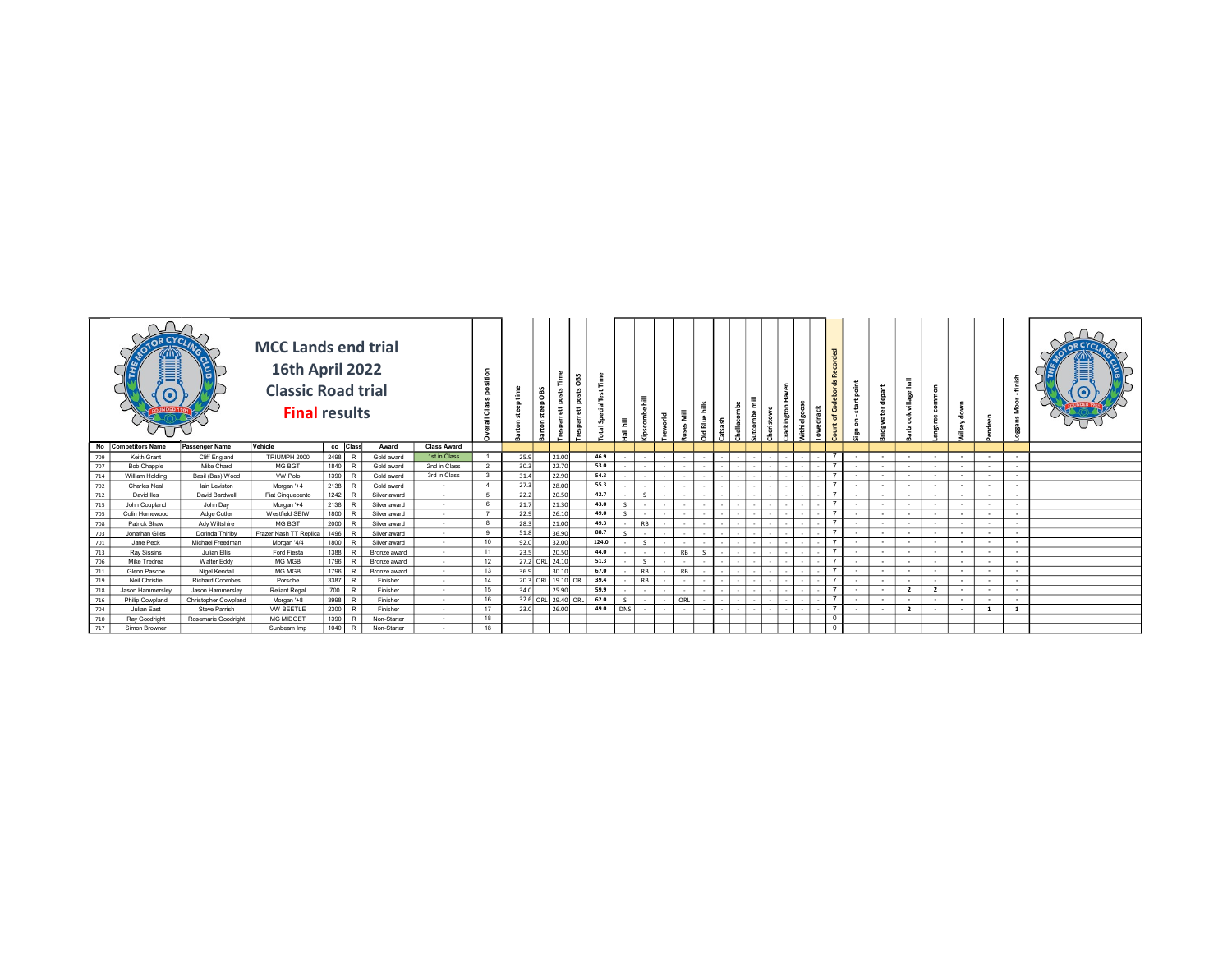|     |                     |                        | <b>MCC Lands end trial</b><br>16th April 2022<br>Classic Road trial<br><b>Final results</b> |          |   |              |                    |                         | ÷    |                    | $\circ$<br>ىم |       |               | 量<br>$\bullet$ | 픈   |           |  |  | ෪<br>8<br>යි<br>৳ |                          |          |                | ō<br>$\omega$  |        |          |              |  |
|-----|---------------------|------------------------|---------------------------------------------------------------------------------------------|----------|---|--------------|--------------------|-------------------------|------|--------------------|---------------|-------|---------------|----------------|-----|-----------|--|--|-------------------|--------------------------|----------|----------------|----------------|--------|----------|--------------|--|
|     | No Competitors Name | Passenger Name         | Vehicle                                                                                     | cc Class |   | Award        | <b>Class Award</b> |                         |      |                    |               |       |               |                |     |           |  |  |                   |                          |          |                |                |        |          |              |  |
| 709 | Keith Grant         | Cliff England          | TRIUMPH 2000                                                                                | 2498     |   | Gold award   | 1st in Class       | $\overline{1}$          | 25.9 |                    | 21.00         | 46.9  |               |                |     |           |  |  |                   | $\sim$                   | <b>.</b> | $\sim$         | $\sim$         | . .    | $\sim$   | $\sim$       |  |
| 707 | <b>Bob Chapple</b>  | Mike Chard             | MG BGT                                                                                      | 1840     |   | Gold award   | 2nd in Class       | $\overline{2}$          | 30.3 |                    | 22.70         | 53.0  |               |                |     |           |  |  |                   |                          | . .      | <b>.</b>       | $\sim$         | . .    | $\sim$   | $\sim$       |  |
| 714 | William Holding     | Basil (Bas) Wood       | VW Polo                                                                                     | 1390 R   |   | Gold award   | 3rd in Class       | $\overline{\mathbf{3}}$ | 31.4 |                    | 22.90         | 54.3  |               |                |     |           |  |  | $\overline{7}$    |                          | $\sim$   | $\sim$         | ٠.             | . .    | $\sim$   | $\sim$       |  |
| 702 | <b>Charles Neal</b> | lain Leviston          | Morgan '+4                                                                                  | 2138 R   |   | Gold award   | $\sim$             | 4                       | 27.3 |                    | 28.00         | 55.3  |               |                |     |           |  |  | $\overline{7}$    |                          | $\sim$   | $\sim$         |                | $\sim$ | $\sim$   |              |  |
| 712 | David lles          | David Bardwell         | Fiat Cinquecento                                                                            | 1242     |   | Silver award | $\sim$             | 5                       | 22.2 |                    | 20.50         | 42.7  |               |                |     |           |  |  |                   |                          | $\sim$   | $\sim$         |                |        | $\sim$   | $\sim$       |  |
| 715 | John Coupland       | John Dav               | Morgan '+4                                                                                  | 2138     |   | Silver award | $\sim$             | 6                       | 21.7 |                    | 21.30         | 43.0  |               |                |     |           |  |  |                   |                          | <b>.</b> | $\sim$         | $\sim$         | $\sim$ | $\sim$   | $\sim$       |  |
| 705 | Colin Homewood      | Adge Cutler            | Westfield SEIW                                                                              | 1800     |   | Silver award | $\sim$             | $\overline{7}$          | 22.9 |                    | 26.10         | 49.0  |               |                |     |           |  |  | $\overline{7}$    |                          | <b>.</b> | <b>.</b>       | $\sim$         |        | $\sim$   | $\sim$       |  |
| 708 | Patrick Shaw        | Ady Wiltshire          | MG BGT                                                                                      | 2000     |   | Silver award | $\sim$             | 8                       | 28.3 |                    | 21.00         | 49.3  |               | <b>RB</b>      |     |           |  |  | $\overline{7}$    |                          | $\sim$   | <b>.</b>       |                | . .    | $\sim$   | $\sim$       |  |
| 703 | Jonathan Giles      | Dorinda Thirlby        | Frazer Nash TT Replica                                                                      | 1496 R   |   | Silver award | $\sim$             | 9                       | 51.8 |                    | 36.90         | 88.7  |               |                |     |           |  |  |                   |                          | <b>.</b> | $\sim$         |                |        | $\sim$   | $\sim$       |  |
| 701 | Jane Peck           | Michael Freedman       | Morgan '4/4                                                                                 | 1800     |   | Silver award | $\sim$             | 10                      | 92.0 |                    | 32.00         | 124.0 |               | $\mathsf{S}$   |     |           |  |  | $\overline{7}$    |                          | $\sim$   | $\sim$         | ٠.             | . .    | $\sim$   | $\sim$       |  |
| 713 | <b>Ray Sissins</b>  | Julian Ellis           | Ford Fiesta                                                                                 | 1388     |   | Bronze award | $\sim$             | 11                      | 23.5 |                    | 20.50         | 44.0  |               |                |     | <b>RB</b> |  |  |                   |                          | <b>.</b> | <b>.</b>       | $\sim$         | $\sim$ | $\sim$   | $\sim$       |  |
| 706 | Mike Tredrea        | Walter Eddy            | MG MGB                                                                                      | 1796     |   | Bronze award | $\sim$             | 12                      |      | 27.2 ORL 24.10     |               | 51.3  |               | $\sim$         |     |           |  |  | $\overline{7}$    |                          | . .      | $\sim$         |                | . .    | $\sim$   | $\sim$       |  |
| 711 | Glenn Pascoe        | Nigel Kendall          | MG MGB                                                                                      | 1796 R   |   | Bronze award | $\sim$             | 13                      | 36.9 |                    | 30.10         | 67.0  |               | <b>RB</b>      |     | <b>RB</b> |  |  | $\overline{7}$    | $\overline{\phantom{a}}$ | $\sim$   | $\sim$         | $\sim$         | $\sim$ | $\sim$   | $\sim$       |  |
| 719 | Neil Christie       | <b>Richard Coombes</b> | Porsche                                                                                     | 3387     | R | Finisher     | $\sim$             | 14                      |      | 20.3 ORL 19.10 ORL |               | 39.4  |               | <b>RB</b>      |     |           |  |  |                   |                          | $\sim$   | $\sim$         |                |        | $\sim$   | $\sim$       |  |
| 718 | Jason Hammersley    | Jason Hammerslev       | <b>Reliant Regal</b>                                                                        | 700      |   | Finisher     | $\sim$             | 15                      | 34.0 |                    | 25.90         | 59.9  |               |                |     |           |  |  |                   |                          | ٠.       | $\overline{2}$ | $\overline{2}$ |        | $\sim$   | $\sim$       |  |
| 716 | Philip Cowpland     | Christopher Cowpland   | Morgan '+8                                                                                  | 3998 R   |   | Finisher     | $\sim$             | 16                      |      | 32.6 ORL 29.40 ORL |               | 62.0  | $\mathcal{S}$ |                | ORL |           |  |  | $\overline{7}$    |                          | - -      | <b>.</b>       | $\sim$         |        | $\sim$   | $\sim$       |  |
| 704 | Julian East         | Steve Parrish          | <b>VW BEETLE</b>                                                                            | 2300 R   |   | Finisher     | $\sim$             | 17                      | 23.0 |                    | 26.00         | 49.0  | <b>DNS</b>    |                |     |           |  |  | $\overline{7}$    |                          | . .      | $\overline{2}$ |                | $\sim$ | <b>1</b> | <sup>1</sup> |  |
| 710 | Ray Goodrigh        | Rosemarie Goodright    | MG MIDGET                                                                                   | 1390     |   | Non-Starter  |                    | 18                      |      |                    |               |       |               |                |     |           |  |  | $\circ$           |                          |          |                |                |        |          |              |  |
| 717 | Simon Browner       |                        | Sunbeam Imp                                                                                 | 1040     |   | Non-Starter  | $\sim$             | 18                      |      |                    |               |       |               |                |     |           |  |  | $\overline{0}$    |                          |          |                |                |        |          |              |  |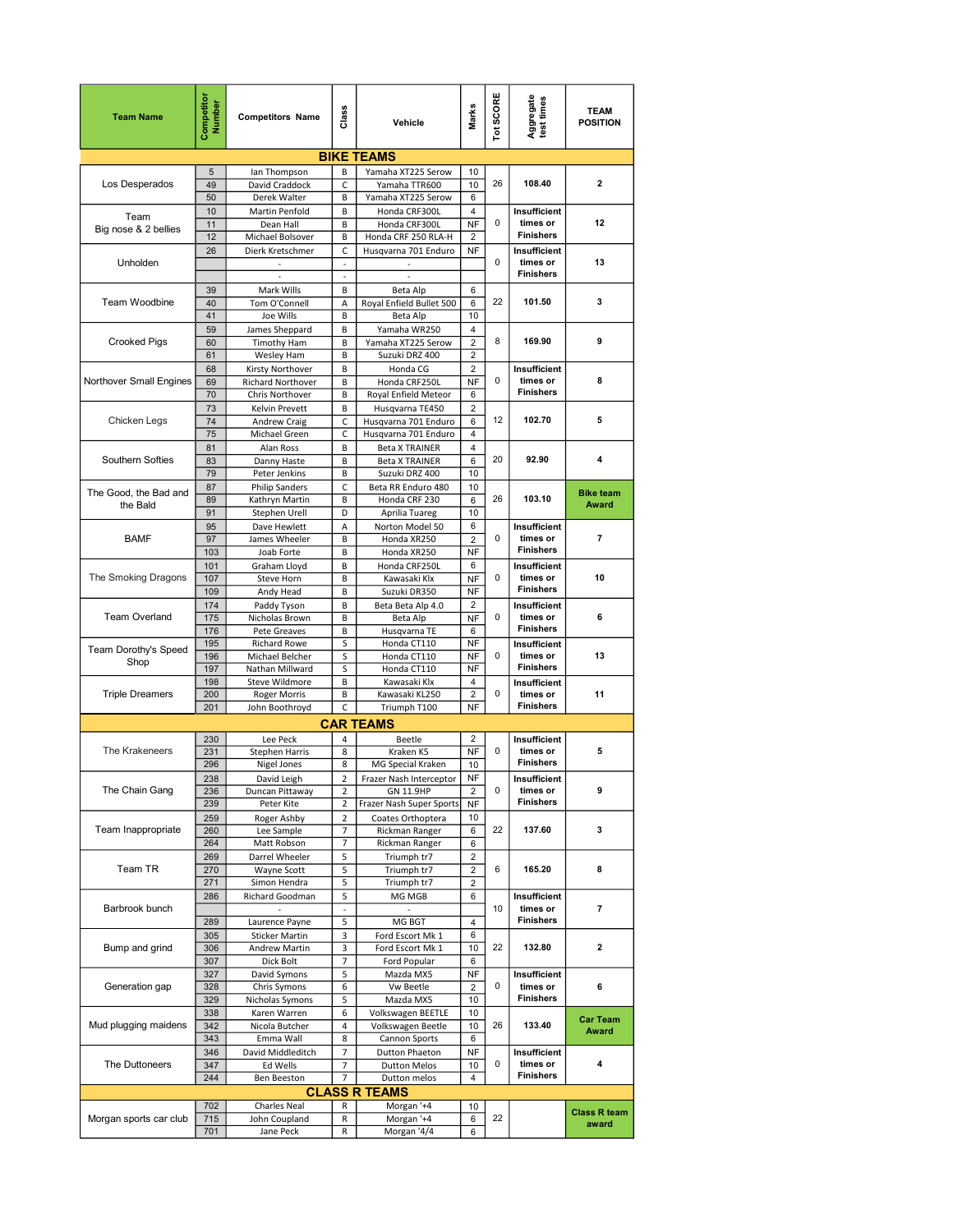| <b>Team Name</b>        | Competito<br>Number | <b>Competitors Name</b>           | Class                            | Vehicle                                 | Marks                        | Tot SCORE   | Aggregate<br>test times      | <b>TEAM</b><br><b>POSITION</b> |
|-------------------------|---------------------|-----------------------------------|----------------------------------|-----------------------------------------|------------------------------|-------------|------------------------------|--------------------------------|
|                         |                     |                                   |                                  | <b>BIKE TEAMS</b>                       |                              |             |                              |                                |
|                         | 5                   | lan Thompson                      | B                                | Yamaha XT225 Serow                      | 10                           |             |                              |                                |
| Los Desperados          | 49                  | David Craddock                    | C                                | Yamaha TTR600                           | 10                           | 26          | 108.40                       | $\mathbf{2}$                   |
|                         | 50                  | Derek Walter                      | B                                | Yamaha XT225 Serow                      | 6                            |             |                              |                                |
| Team                    | 10<br>11            | Martin Penfold<br>Dean Hall       | B<br>B                           | Honda CRF300L<br>Honda CRF300L          | 4<br><b>NF</b>               | 0           | Insufficient<br>times or     | 12                             |
| Big nose & 2 bellies    | 12                  | Michael Bolsover                  | B                                | Honda CRF 250 RLA-H                     | $\overline{2}$               |             | <b>Finishers</b>             |                                |
|                         | 26                  | Dierk Kretschmer                  | C                                | Husqvarna 701 Enduro                    | NF                           |             | Insufficient                 |                                |
| Unholden                |                     |                                   | $\overline{\phantom{a}}$         |                                         |                              | $\mathbf 0$ | times or                     | 13                             |
|                         |                     |                                   | $\sim$                           | $\overline{\phantom{a}}$                |                              |             | <b>Finishers</b>             |                                |
|                         | 39                  | Mark Wills                        | В                                | Beta Alp                                | 6                            |             |                              |                                |
| Team Woodbine           | 40<br>41            | Tom O'Connell                     | Α<br>B                           | Royal Enfield Bullet 500                | 6                            | 22          | 101.50                       | 3                              |
|                         | 59                  | Joe Wills<br>James Sheppard       | B                                | Beta Alp<br>Yamaha WR250                | 10<br>4                      |             |                              |                                |
| <b>Crooked Pigs</b>     | 60                  | <b>Timothy Ham</b>                | В                                | Yamaha XT225 Serow                      | 2                            | 8           | 169.90                       | 9                              |
|                         | 61                  | Wesley Ham                        | B                                | Suzuki DRZ 400                          | $\overline{2}$               |             |                              |                                |
|                         | 68                  | Kirsty Northover                  | B                                | Honda CG                                | $\overline{2}$               |             | Insufficient                 |                                |
| Northover Small Engines | 69                  | Richard Northover                 | В                                | Honda CRF250L                           | <b>NF</b>                    | 0           | times or<br><b>Finishers</b> | 8                              |
|                         | 70                  | Chris Northover                   | B                                | Royal Enfield Meteor                    | 6                            |             |                              |                                |
| Chicken Legs            | 73<br>74            | Kelvin Prevett<br>Andrew Craig    | B<br>C                           | Husqvarna TE450<br>Husqvarna 701 Enduro | $\overline{c}$<br>6          | 12          | 102.70                       | 5                              |
|                         | 75                  | Michael Green                     | $\mathsf C$                      | Husqvarna 701 Enduro                    | 4                            |             |                              |                                |
|                         | 81                  | Alan Ross                         | B                                | <b>Beta X TRAINER</b>                   | 4                            |             |                              |                                |
| Southern Softies        | 83                  | Danny Haste                       | В                                | <b>Beta X TRAINER</b>                   | 6                            | 20          | 92.90                        | 4                              |
|                         | 79                  | Peter Jenkins                     | В                                | Suzuki DRZ 400                          | 10                           |             |                              |                                |
| The Good, the Bad and   | 87                  | <b>Philip Sanders</b>             | $\mathsf C$                      | Beta RR Enduro 480                      | 10                           | 26          | 103.10                       | <b>Bike team</b>               |
| the Bald                | 89<br>91            | Kathryn Martin<br>Stephen Urell   | В<br>D                           | Honda CRF 230<br>Aprilia Tuareg         | 6<br>10                      |             |                              | <b>Award</b>                   |
|                         | 95                  | Dave Hewlett                      | Α                                | Norton Model 50                         | 6                            |             | Insufficient                 |                                |
| <b>BAMF</b>             | 97                  | James Wheeler                     | B                                | Honda XR250                             | $\overline{2}$               | 0           | times or                     | $\overline{\phantom{a}}$       |
|                         | 103                 | Joab Forte                        | В                                | Honda XR250                             | <b>NF</b>                    |             | <b>Finishers</b>             |                                |
|                         | 101                 | Graham Lloyd                      | B                                | Honda CRF250L                           | 6                            |             | Insufficient                 |                                |
| The Smoking Dragons     | 107                 | Steve Horn                        | B                                | Kawasaki Klx                            | NF<br>NF                     | 0           | times or<br><b>Finishers</b> | 10                             |
|                         | 109<br>174          | Andy Head<br>Paddy Tyson          | В<br>B                           | Suzuki DR350<br>Beta Beta Alp 4.0       | $\overline{c}$               |             | Insufficient                 |                                |
| <b>Team Overland</b>    | 175                 | Nicholas Brown                    | B                                | Beta Alp                                | NF                           | 0           | times or                     | 6                              |
|                         | 176                 | Pete Greaves                      | В                                | Husqvarna TE                            | 6                            |             | <b>Finishers</b>             |                                |
| Team Dorothy's Speed    | 195                 | Richard Rowe                      | S                                | Honda CT110                             | NF                           |             | Insufficient                 |                                |
| Shop                    | 196                 | Michael Belcher                   | S                                | Honda CT110                             | NF                           | 0           | times or<br><b>Finishers</b> | 13                             |
|                         | 197<br>198          | Nathan Millward<br>Steve Wildmore | S<br>B                           | Honda CT110<br>Kawasaki Klx             | NF<br>4                      |             |                              |                                |
| <b>Triple Dreamers</b>  | 200                 | <b>Roger Morris</b>               | B                                | Kawasaki KL250                          | $\overline{c}$               | 0           | Insufficient<br>times or     | 11                             |
|                         | 201                 | John Boothroyd                    | C                                | Triumph T100                            | <b>NF</b>                    |             | <b>Finishers</b>             |                                |
|                         |                     |                                   |                                  | <b>CAR TEAMS</b>                        |                              |             |                              |                                |
|                         | 230                 | Lee Peck                          | $\overline{a}$                   | Beetle                                  | $\overline{\mathbf{c}}$      |             | Insufficient                 |                                |
| The Krakeneers          | 231                 | <b>Stephen Harris</b>             | 8                                | Kraken K5                               | NF                           | $\mathbf 0$ | times or                     | 5                              |
|                         | 296                 | Nigel Jones                       | 8                                | MG Special Kraken                       | 10                           |             | <b>Finishers</b>             |                                |
| The Chain Gang          | 238<br>236          | David Leigh                       | $\overline{2}$<br>$\overline{2}$ | Frazer Nash Interceptor                 | <b>NF</b>                    | 0           | Insufficient<br>times or     | 9                              |
|                         | 239                 | Duncan Pittaway<br>Peter Kite     | $\overline{2}$                   | GN 11.9HP<br>Frazer Nash Super Sports   | $\overline{2}$<br><b>NF</b>  |             | <b>Finishers</b>             |                                |
|                         | 259                 | Roger Ashby                       | $\overline{2}$                   | Coates Orthoptera                       | 10                           |             |                              |                                |
| Team Inappropriate      | 260                 | Lee Sample                        | $\overline{7}$                   | Rickman Ranger                          | 6                            | 22          | 137.60                       | 3                              |
|                         | 264                 | Matt Robson                       | $\overline{7}$                   | Rickman Ranger                          | 6                            |             |                              |                                |
|                         | 269                 | Darrel Wheeler                    | 5                                | Triumph tr7                             | $\overline{\mathbf{c}}$      |             |                              |                                |
| Team TR                 | 270<br>271          | Wayne Scott<br>Simon Hendra       | 5                                | Triumph tr7                             | $\overline{\mathbf{c}}$<br>2 | 6           | 165.20                       | 8                              |
|                         | 286                 | Richard Goodman                   | 5<br>5                           | Triumph tr7<br>MG MGB                   | 6                            |             | Insufficient                 |                                |
| Barbrook bunch          |                     |                                   | $\Box$                           |                                         |                              | 10          | times or                     | $\overline{7}$                 |
|                         | 289                 | Laurence Payne                    | 5                                | MG BGT                                  | 4                            |             | <b>Finishers</b>             |                                |
|                         | 305                 | <b>Sticker Martin</b>             | 3                                | Ford Escort Mk 1                        | 6                            |             |                              |                                |
| Bump and grind          | 306                 | Andrew Martin                     | 3                                | Ford Escort Mk 1                        | 10                           | 22          | 132.80                       | $\mathbf{2}$                   |
|                         | 307<br>327          | Dick Bolt<br>David Symons         | $\overline{7}$<br>5              | Ford Popular<br>Mazda MX5               | 6<br><b>NF</b>               |             | Insufficient                 |                                |
| Generation gap          | 328                 | Chris Symons                      | 6                                | <b>Vw Beetle</b>                        | $\overline{2}$               | 0           | times or                     | 6                              |
|                         | 329                 | Nicholas Symons                   | 5                                | Mazda MX5                               | 10                           |             | <b>Finishers</b>             |                                |
|                         | 338                 | Karen Warren                      | 6                                | Volkswagen BEETLE                       | 10                           |             |                              | <b>Car Team</b>                |
| Mud plugging maidens    | 342                 | Nicola Butcher                    | 4                                | Volkswagen Beetle                       | 10                           | 26          | 133.40                       | Award                          |
|                         | 343                 | Emma Wall                         | 8                                | Cannon Sports                           | 6                            |             |                              |                                |
| The Duttoneers          | 346<br>347          | David Middleditch<br>Ed Wells     | $\overline{7}$<br>$\overline{7}$ | Dutton Phaeton<br><b>Dutton Melos</b>   | NF<br>10                     | 0           | Insufficient<br>times or     | 4                              |
|                         | 244                 | <b>Ben Beeston</b>                | $\overline{7}$                   | Dutton melos                            | 4                            |             | <b>Finishers</b>             |                                |
|                         |                     |                                   |                                  | <b>CLASS R TEAMS</b>                    |                              |             |                              |                                |
|                         | 702                 | Charles Neal                      | R                                | Morgan '+4                              | 10                           |             |                              | <b>Class R team</b>            |
| Morgan sports car club  | 715                 | John Coupland                     | R                                | Morgan '+4                              | 6                            | 22          |                              | award                          |
|                         | 701                 | Jane Peck                         | R                                | Morgan '4/4                             | 6                            |             |                              |                                |